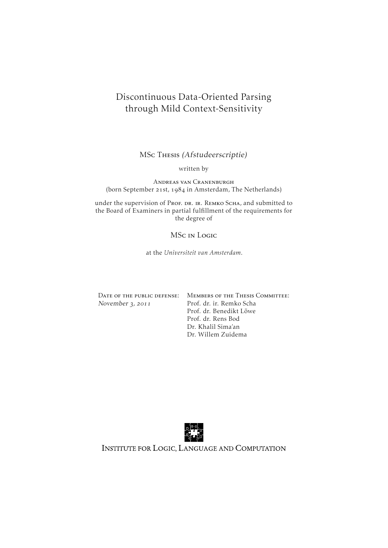# Discontinuous Data-Oriented Parsing through Mild Context-Sensitivity

MSc Thesis (Afstudeerscriptie)

written by

Andreas van Cranenburgh (born September 21st, 1984 in Amsterdam, The Netherlands)

under the supervision of Prof. DR. IR. REMKO SCHA, and submitted to the Board of Examiners in partial fulfillment of the requirements for the degree of

MSc in Logic

at the *Universiteit van Amsterdam*.

|                  | DATE OF THE PUBLIC DEFENSE: MEMBERS OF THE THESIS COMMITTEE: |
|------------------|--------------------------------------------------------------|
| November 3, 2011 | Prof. dr. ir. Remko Scha                                     |
|                  | Prof. dr. Benedikt Löwe                                      |
|                  | Prof. dr. Rens Bod                                           |
|                  | Dr. Khalil Sima'an                                           |
|                  | Dr. Willem Zuidema                                           |



INSTITUTE FOR LOGIC, LANGUAGE AND COMPUTATION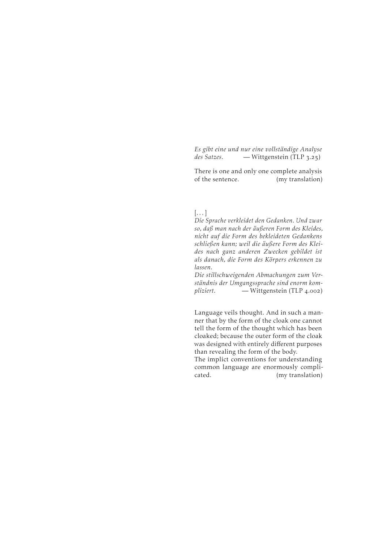*Es gibt eine und nur eine vollständige Analyse des Satzes.* — Wittgenstein (TLP 3.25)

There is one and only one complete analysis of the sentence. (my translation)

#### $\left[\ldots\right]$

*Die Sprache verkleidet den Gedanken. Und zwar so, daß man nach der äußeren Form des Kleides, nicht auf die Form des bekleideten Gedankens schließen kann; weil die äußere Form des Kleides nach ganz anderen Zwecken gebildet ist als danach, die Form des Körpers erkennen zu lassen.*

*Die stillschweigenden Abmachungen zum Verständnis der Umgangssprache sind enorm kompliziert.* — Wittgenstein (TLP 4.002)

Language veils thought. And in such a manner that by the form of the cloak one cannot tell the form of the thought which has been cloaked; because the outer form of the cloak was designed with entirely different purposes than revealing the form of the body.

The implict conventions for understanding common language are enormously complicated. (my translation)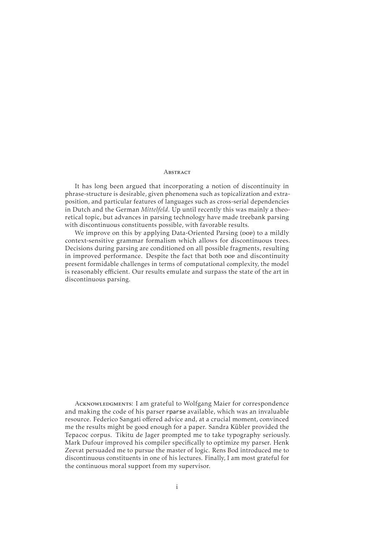#### **ABSTRACT**

It has long been argued that incorporating a notion of discontinuity in phrase-structure is desirable, given phenomena such as topicalization and extraposition, and particular features of languages such as cross-serial dependencies in Dutch and the German *Mittelfeld*. Up until recently this was mainly a theoretical topic, but advances in parsing technology have made treebank parsing with discontinuous constituents possible, with favorable results.

We improve on this by applying Data-Oriented Parsing (pop) to a mildly context-sensitive grammar formalism which allows for discontinuous trees. Decisions during parsing are conditioned on all possible fragments, resulting in improved performance. Despite the fact that both pop and discontinuity present formidable challenges in terms of computational complexity, the model is reasonably efficient. Our results emulate and surpass the state of the art in discontinuous parsing.

ACKNOWLEDGMENTS: I am grateful to Wolfgang Maier for correspondence and making the code of his parser rparse available, which was an invaluable resource. Federico Sangati offered advice and, at a crucial moment, convinced me the results might be good enough for a paper. Sandra Kübler provided the Tepacoc corpus. Tikitu de Jager prompted me to take typography seriously. Mark Dufour improved his compiler specifically to optimize my parser. Henk Zeevat persuaded me to pursue the master of logic. Rens Bod introduced me to discontinuous constituents in one of his lectures. Finally, I am most grateful for the continuous moral support from my supervisor.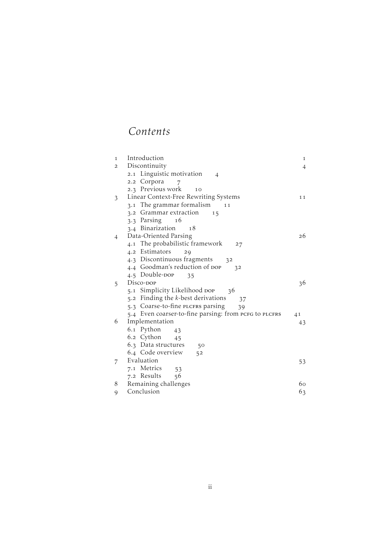# *Contents*

| 1              | Introduction                                          | 1  |
|----------------|-------------------------------------------------------|----|
| $\mathbf{2}$   | Discontinuity                                         | 4  |
|                | 2.1 Linguistic motivation<br>4                        |    |
|                | 2.2 Corpora<br>7                                      |    |
|                | 2.3 Previous work<br>10                               |    |
| 3              | Linear Context-Free Rewriting Systems                 | 11 |
|                | 3.1 The grammar formalism<br>11                       |    |
|                | 3.2 Grammar extraction<br>15                          |    |
|                | 3.3 Parsing<br>16                                     |    |
|                | 3.4 Binarization<br>18                                |    |
| $\overline{4}$ | Data-Oriented Parsing                                 | 26 |
|                | 4.1 The probabilistic framework<br>27                 |    |
|                | 4.2 Estimators<br>29                                  |    |
|                | 4.3 Discontinuous fragments<br>32                     |    |
|                | 4.4 Goodman's reduction of DOP<br>32                  |    |
|                | 4.5 Double-DOP<br>35                                  |    |
| 5              | Disco- <sub>DOP</sub>                                 | 36 |
|                | Simplicity Likelihood DOP<br>36<br>5.1                |    |
|                | 5.2 Finding the k-best derivations<br>37              |    |
|                | 5.3 Coarse-to-fine PLCFRS parsing<br>39               |    |
|                | 5.4 Even coarser-to-fine parsing: from PCFG to PLCFRS | 41 |
| 6              | Implementation                                        | 43 |
|                | 6.1 Python<br>43                                      |    |
|                | 6.2 Cython<br>45                                      |    |
|                | 6.3 Data structures<br>50                             |    |
|                | 6.4 Code overview<br>52                               |    |
| 7              | Evaluation                                            | 53 |
|                | 7.1 Metrics<br>53                                     |    |
|                | 7.2 Results<br>56                                     |    |
| 8              | Remaining challenges                                  | 60 |
| 9              | Conclusion                                            | 63 |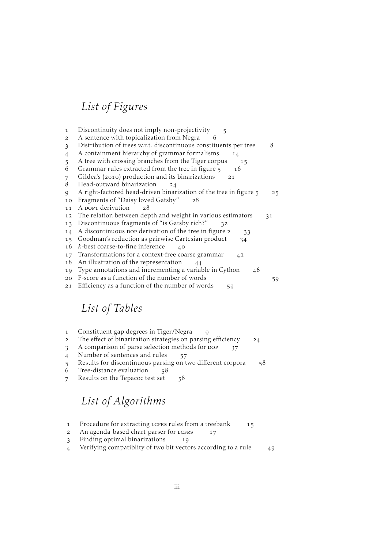# *List of Figures*

- 1 [Discontinuity does not imply non-projectivity](#page-10-0) 5 [A sentence with topicalization from Negra](#page-11-0) [Distribution of trees w.r.t. discontinuous constituents per tree](#page-13-0) 4 [A containment hierarchy of grammar formalisms](#page-19-0) 14 5 [A tree with crossing branches from the Tiger corpus](#page-20-1) 15 6 [Grammar rules extracted from the tree in figure](#page-21-1)  $5 - 16$  $\sigma$  Gildea's (2010[\) production and its binarizations](#page-26-0) 21 8 [Head-outward binarization](#page-29-0) 24 9 [A right-factored head-driven binarization of the tree in figure](#page-30-0) 5 25 10 [Fragments of "Daisy loved Gatsby"](#page-33-0) 28 11 A DOP1 [derivation](#page-33-1) 28 12 [The relation between depth and weight in various estimators](#page-36-0) 31 13 [Discontinuous fragments of "is Gatsby rich?"](#page-37-2) 32 14 A discontinuous pop [derivation of the tree in figure](#page-38-0)  $2 \times 33$ 15 [Goodman's reduction as pairwise Cartesian product](#page-39-0) 34  $16$  k[-best coarse-to-fine inference](#page-45-0)  $40$ 17 [Transformations for a context-free coarse grammar](#page-47-0) 42 18 [An illustration of the representation](#page-49-0) 44 19 [Type annotations and incrementing a variable in Cython](#page-51-0) 46 [F-score as a function of the number of words](#page-64-0)
- 21 Effi[ciency as a function of the number of words](#page-64-1) 59

# *List of Tables*

- [Constituent gap degrees in Tiger/Negra](#page-14-0)
- 2 The eff[ect of binarization strategies on parsing e](#page-29-1)fficiency 24
- 3 [A comparison of parse selection methods for](#page-42-1) DOP 37
- 4 [Number of sentences and rules](#page-62-0) 57
- 5 [Results for discontinuous parsing on two di](#page-63-0)fferent corpora 58
- 6 [Tree-distance evaluation](#page-63-1) 58
- 7 [Results on the Tepacoc test set](#page-63-2) 58

# *List of Algorithms*

- 1 [Procedure for extracting](#page-20-2) LCFRS rules from a treebank 15
- 2 [An agenda-based chart-parser for](#page-22-0) LCFRS 17
- [Finding optimal binarizations](#page-24-0)
- 4 [Verifying compatiblity of two bit vectors according to a rule](#page-54-0) 49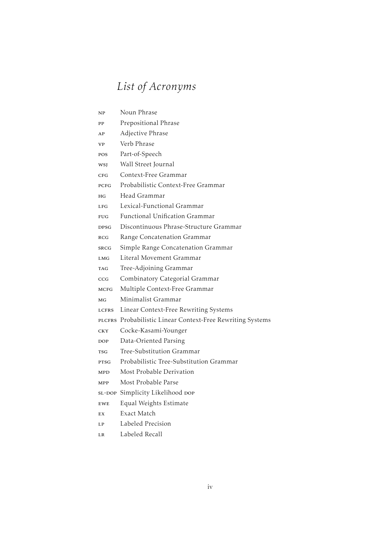# *List of Acronyms*

- np Noun Phrase
- pp Prepositional Phrase
- ap Adjective Phrase
- vp Verb Phrase
- pos Part-of-Speech
- wsj Wall Street Journal
- c<sub>FG</sub> Context-Free Grammar
- pc<sub>FG</sub> Probabilistic Context-Free Grammar
- hg Head Grammar
- LFG Lexical-Functional Grammar
- FUG Functional Unification Grammar
- dpsg Discontinuous Phrase-Structure Grammar
- rcg Range Concatenation Grammar
- srcg Simple Range Concatenation Grammar
- LMG Literal Movement Grammar
- tag Tree-Adjoining Grammar
- ccg Combinatory Categorial Grammar
- MCFG Multiple Context-Free Grammar
- mg Minimalist Grammar
- LCFRS Linear Context-Free Rewriting Systems
- plcfrs Probabilistic Linear Context-Free Rewriting Systems
- cky Cocke-Kasami-Younger
- Dop Data-Oriented Parsing
- tsg Tree-Substitution Grammar
- ptsg Probabilistic Tree-Substitution Grammar
- MPD Most Probable Derivation
- mpp Most Probable Parse
- sL-DOP Simplicity Likelihood DOP
- ewe Equal Weights Estimate
- ex Exact Match
- lp Labeled Precision
- lr Labeled Recall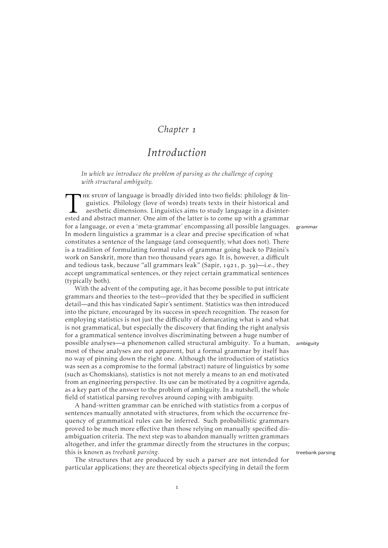### *Chapter*

# *Introduction*

<span id="page-6-0"></span>*In which we introduce the problem of parsing as the challenge of coping with structural ambiguity.*

THE STUDY of language is broadly divided into two fields: philology & linguistics. Philology (love of words) treats texts in their historical and aesthetic dimensions. Linguistics aims to study language in a disinterested He study of language is broadly divided into two fields: philology & linguistics. Philology (love of words) treats texts in their historical and aesthetic dimensions. Linguistics aims to study language in a disinterfor a language, or even a 'meta-grammar' encompassing all possible languages. grammar In modern linguistics a grammar is a clear and precise specification of what constitutes a sentence of the language (and consequently, what does not). There is a tradition of formulating formal rules of grammar going back to Pāṇini's work on Sanskrit, more than two thousand years ago. It is, however, a difficult and tedious task, because "all grammars leak" [\(Sapir,](#page-74-0) 1921, p. 39)-i.e., they accept ungrammatical sentences, or they reject certain grammatical sentences (typically both).

With the advent of the computing age, it has become possible to put intricate grammars and theories to the test—provided that they be specified in sufficient detail—and this has vindicated Sapir's sentiment. Statistics was then introduced into the picture, encouraged by its success in speech recognition. The reason for employing statistics is not just the difficulty of demarcating what is and what is not grammatical, but especially the discovery that finding the right analysis for a grammatical sentence involves discriminating between a huge number of possible analyses—a phenomenon called structural ambiguity. To a human, ambiguity most of these analyses are not apparent, but a formal grammar by itself has no way of pinning down the right one. Although the introduction of statistics was seen as a compromise to the formal (abstract) nature of linguistics by some (such as Chomskians), statistics is not not merely a means to an end motivated from an engineering perspective. Its use can be motivated by a cognitive agenda, as a key part of the answer to the problem of ambiguity. In a nutshell, the whole field of statistical parsing revolves around coping with ambiguity.

A hand-written grammar can be enriched with statistics from a corpus of sentences manually annotated with structures, from which the occurrence frequency of grammatical rules can be inferred. Such probabilistic grammars proved to be much more effective than those relying on manually specified disambiguation criteria. The next step was to abandon manually written grammars altogether, and infer the grammar directly from the structures in the corpus; this is known as *treebank parsing*.

The structures that are produced by such a parser are not intended for particular applications; they are theoretical objects specifying in detail the form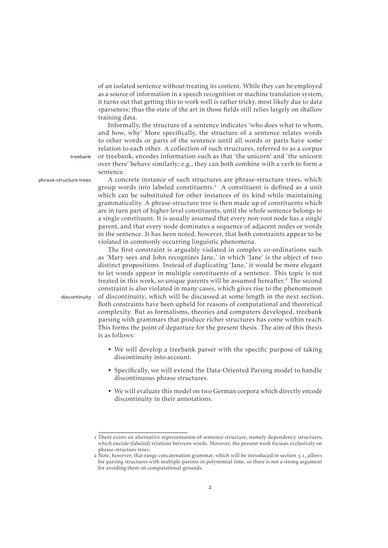of an isolated sentence without treating its content. While they can be employed as a source of information in a speech recognition or machine translation system, it turns out that getting this to work well is rather tricky, most likely due to data sparseness; thus the state of the art in those fields still relies largely on shallow training data.

Informally, the structure of a sentence indicates 'who does what to whom, and how, why' More specifically, the structure of a sentence relates words to other words or parts of the sentence until all words or parts have some relation to each other. A collection of such structures, referred to as a corpus treebank or treebank, encodes information such as that 'the unicorn' and 'the unicorn over there' behave similarly; e.g., they can both combine with a verb to form a sentence.

phrase-structure trees A concrete instance of such structures are phrase-structure trees, which group words into labeled constituents.<sup>1</sup> A constituent is defined as a unit which can be substituted for other instances of its kind while maintaining grammaticality. A phrase-structure tree is then made up of constituents which are in turn part of higher-level constituents, until the whole sentence belongs to a single constituent. It is usually assumed that every non-root node has a single parent, and that every node dominates a sequence of adjacent nodes or words in the sentence. It has been noted, however, that both constraints appear to be violated in commonly occurring linguistic phenomena.

The first constraint is arguably violated in complex co-ordinations such as 'Mary sees and John recognizes Jane,' in which 'Jane' is the object of two distinct propositions. Instead of duplicating 'Jane,' it would be more elegant to let words appear in multiple constituents of a sentence. This topic is not treated in this work, so unique parents will be assumed hereafter.<sup>2</sup> The second constraint is also violated in many cases, which gives rise to the phenomenon discontinuity of discontinuity, which will be discussed at some length in the next section. Both constraints have been upheld for reasons of computational and theoretical complexity. But as formalisms, theories and computers developed, treebank parsing with grammars that produce richer structures has come within reach. This forms the point of departure for the present thesis. The aim of this thesis is as follows:

- We will develop a treebank parser with the specific purpose of taking discontinuity into account.
- Specifically, we will extend the Data-Oriented Parsing model to handle discontinuous phrase structures.
- We will evaluate this model on two German corpora which directly encode discontinuity in their annotations.

There exists an alternative representation of sentence structure, namely dependency structures, which encode (labeled) relations between words. However, the present work focuses exclusively on phrase-structure trees.

<sup>2</sup> Note, however, that range concatenation grammar, which will be introduced in [section](#page-16-1) 3.1, allows for parsing structures with multiple parents in polynomial time, so there is not a strong argument for avoiding them on computational grounds.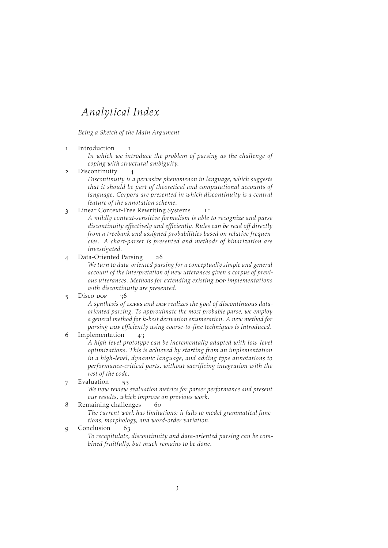# *Analytical Index*

*Being a Sketch of the Main Argument*

1 [Introduction](#page-6-0) 1

*In which we introduce the problem of parsing as the challenge of coping with structural ambiguity.*

2 [Discontinuity](#page-9-0) 4

*Discontinuity is a pervasive phenomenon in language, which suggests that it should be part of theoretical and computational accounts of language. Corpora are presented in which discontinuity is a central feature of the annotation scheme.*

### 3 [Linear Context-Free Rewriting Systems](#page-16-0) 11

*A mildly context-sensitive formalism is able to recognize and parse discontinuity effectively and efficiently. Rules can be read off directly from a treebank and assigned probabilities based on relative frequencies. A chart-parser is presented and methods of binarization are investigated.*

[Data-Oriented Parsing](#page-31-0)

*We turn to data-oriented parsing for a conceptually simple and general account of the interpretation of new utterances given a corpus of previous utterances. Methods for extending existing pop implementations with discontinuity are presented.*

5 [Disco-](#page-41-0)Dop 36

A synthesis of LCFRS and DOP realizes the goal of discontinuous data*oriented parsing. To approximate the most probable parse, we employ a general method for* k*-best derivation enumeration. A new method for parsing* dop *efficiently using coarse-to-fine techniques is introduced.*

6 [Implementation](#page-48-0) 43

*A high-level prototype can be incrementally adapted with low-level optimizations. This is achieved by starting from an implementation in a high-level, dynamic language, and adding type annotations to performance-critical parts, without sacrificing integration with the rest of the code.*

7 [Evaluation](#page-58-0) 53

*We now review evaluation metrics for parser performance and present our results, which improve on previous work.*

8 [Remaining challenges](#page-65-0) 60

*The current work has limitations: it fails to model grammatical functions, morphology, and word-order variation.*

9 [Conclusion](#page-68-0) 63

*To recapitulate, discontinuity and data-oriented parsing can be combined fruitfully, but much remains to be done.*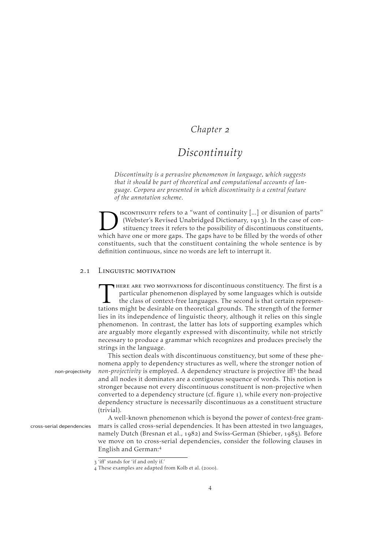### *Chapter*

## *Discontinuity*

<span id="page-9-0"></span>*Discontinuity is a pervasive phenomenon in language, which suggests that it should be part of theoretical and computational accounts of language. Corpora are presented in which discontinuity is a central feature of the annotation scheme.*

ISCONTINUITY refers to a "want of continuity [...] or disunion of parts' (Webster's Revised Unabridged Dictionary, 1913). In the case of constituency trees it refers to the possibility of discontinuous constituents which h iscontinuity refers to a "want of continuity [...] or disunion of parts" (Webster's Revised Unabridged Dictionary, 1913). In the case of constituency trees it refers to the possibility of discontinuous constituents, constituents, such that the constituent containing the whole sentence is by definition continuous, since no words are left to interrupt it.

### 2.1 LINGUISTIC MOTIVATION

<span id="page-9-1"></span>THERE ARE TWO MOTIVATIONS for discontinuous constituency. The first is a particular phenomenon displayed by some languages which is outside the class of context-free languages. The second is that certain representations mi here are two motivations for discontinuous constituency. The first is a particular phenomenon displayed by some languages which is outside the class of context-free languages. The second is that certain represenlies in its independence of linguistic theory, although it relies on this single phenomenon. In contrast, the latter has lots of supporting examples which are arguably more elegantly expressed with discontinuity, while not strictly necessary to produce a grammar which recognizes and produces precisely the strings in the language.

This section deals with discontinuous constituency, but some of these phenomena apply to dependency structures as well, where the stronger notion of non-projectivity non-projectivity is employed. A dependency structure is projective iff<sup>3</sup> the head and all nodes it dominates are a contiguous sequence of words. This notion is stronger because not every discontinuous constituent is non-projective when converted to a dependency structure (cf. [figure](#page-10-0) 1), while every non-projective dependency structure is necessarily discontinuous as a constituent structure (trivial).

A well-known phenomenon which is beyond the power of context-free gramcross-serial dependencies mars is called cross-serial dependencies. It has been attested in two languages, namely Dutch [\(Bresnan et al.,](#page-70-0) 1982) and Swiss-German [\(Shieber,](#page-74-1) 1985). Before we move on to cross-serial dependencies, consider the following clauses in English and German:

'iff' stands for 'if and only if.'

 $\alpha$  These examples are adapted from [Kolb et al.](#page-72-0) (2000).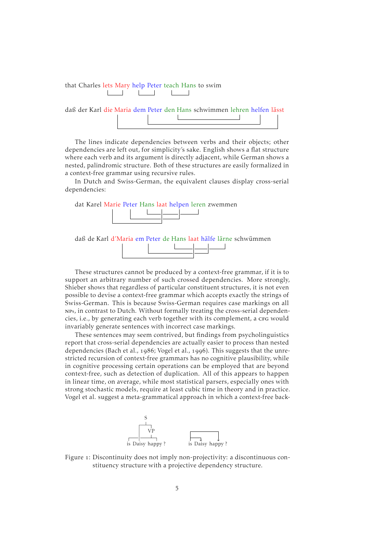that Charles lets Mary help Peter teach Hans to swim  $\mathbb{R}^n$ 

daß der Karl die Maria dem Peter den Hans schwimmen lehren helfen lässt

The lines indicate dependencies between verbs and their objects; other dependencies are left out, for simplicity's sake. English shows a flat structure where each verb and its argument is directly adjacent, while German shows a nested, palindromic structure. Both of these structures are easily formalized in a context-free grammar using recursive rules.

In Dutch and Swiss-German, the equivalent clauses display cross-serial dependencies:





These structures cannot be produced by a context-free grammar, if it is to support an arbitrary number of such crossed dependencies. More strongly, [Shieber](#page-74-1) shows that regardless of particular constituent structures, it is not even possible to devise a context-free grammar which accepts exactly the strings of Swiss-German. This is because Swiss-German requires case markings on all nps, in contrast to Dutch. Without formally treating the cross-serial dependencies, i.e., by generating each verb together with its complement, a crg would invariably generate sentences with incorrect case markings.

These sentences may seem contrived, but findings from psycholinguistics report that cross-serial dependencies are actually easier to process than nested dependencies [\(Bach et al.,](#page-69-0) 1986; [Vogel et al.,](#page-75-0) 1996). This suggests that the unrestricted recursion of context-free grammars has no cognitive plausibility, while in cognitive processing certain operations can be employed that are beyond context-free, such as detection of duplication. All of this appears to happen in linear time, on average, while most statistical parsers, especially ones with strong stochastic models, require at least cubic time in theory and in practice. [Vogel et al.](#page-75-0) suggest a meta-grammatical approach in which a context-free back-



<span id="page-10-0"></span>Figure 1: Discontinuity does not imply non-projectivity: a discontinuous constituency structure with a projective dependency structure.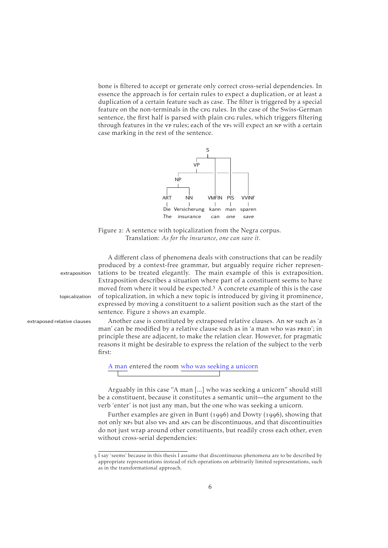<span id="page-11-0"></span>bone is filtered to accept or generate only correct cross-serial dependencies. In essence the approach is for certain rules to expect a duplication, or at least a duplication of a certain feature such as case. The filter is triggered by a special feature on the non-terminals in the cra rules. In the case of the Swiss-German sentence, the first half is parsed with plain crg rules, which triggers filtering through features in the vp rules; each of the vp<sup>s</sup> will expect an np with a certain case marking in the rest of the sentence.



Figure 2: A sentence with topicalization from the Negra corpus. Translation: *As for the insurance, one can save it.*

A different class of phenomena deals with constructions that can be readily produced by a context-free grammar, but arguably require richer represenextraposition tations to be treated elegantly. The main example of this is extraposition. Extraposition describes a situation where part of a constituent seems to have moved from where it would be expected.<sup>5</sup> A concrete example of this is the case topicalization of topicalization, in which a new topic is introduced by giving it prominence, expressed by moving a constituent to a salient position such as the start of the sentence. [Figure](#page-11-0) 2 shows an example.

extraposed relative clauses Another case is constituted by extraposed relative clauses. An np such as 'a man' can be modified by a relative clause such as in 'a man who was PRED'; in principle these are adjacent, to make the relation clear. However, for pragmatic reasons it might be desirable to express the relation of the subject to the verb first:

A man entered the room who was seeking a unicorn

Arguably in this case "A man [...] who was seeking a unicorn" should still be a constituent, because it constitutes a semantic unit—the argument to the verb 'enter' is not just any man, but the one who was seeking a unicorn.

Further examples are given in [Bunt](#page-70-1) (1996) and [Dowty](#page-71-0) (1996), showing that not only np<sup>s</sup> but also vp<sup>s</sup> and ap<sup>s</sup> can be discontinuous, and that discontinuities do not just wrap around other constituents, but readily cross each other, even without cross-serial dependencies:

I say 'seems' because in this thesis I assume that discontinuous phenomena are to be described by appropriate representations instead of rich operations on arbitrarily limited representations, such as in the transformational approach.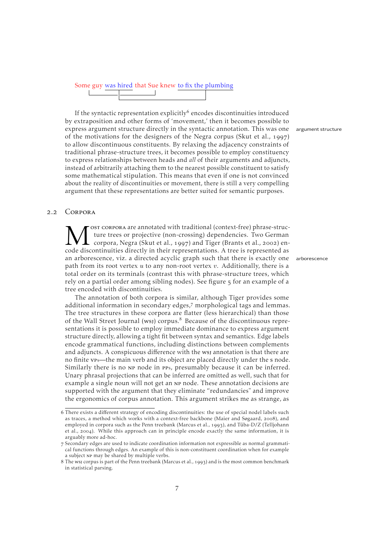# Some guy was hired that Sue knew to fix the plumbing

If the syntactic representation explicitly<sup>6</sup> encodes discontinuities introduced by extraposition and other forms of 'movement,' then it becomes possible to express argument structure directly in the syntactic annotation. This was one argument structure of the motivations for the designers of the Negra corpus [\(Skut et al.,](#page-75-1) 1997) to allow discontinuous constituents. By relaxing the adjacency constraints of traditional phrase-structure trees, it becomes possible to employ constituency to express relationships between heads and *all* of their arguments and adjuncts, instead of arbitrarily attaching them to the nearest possible constituent to satisfy some mathematical stipulation. This means that even if one is not convinced about the reality of discontinuities or movement, there is still a very compelling argument that these representations are better suited for semantic purposes.

#### 2.2 CORPORA

<span id="page-12-0"></span>M <sup>OST</sup> CORPORA are annotated with traditional (context-free) phrase-structure trees or projective (non-crossing) dependencies. Two German code discontinuities directly in their representations. A tree is represented as ost corpora are annotated with traditional (context-free) phrase-structure trees or projective (non-crossing) dependencies. Two German corpora, Negra [\(Skut et al.,](#page-75-1) 1997) and Tiger [\(Brants et al.,](#page-70-2) 2002) enan arborescence, viz. a directed acyclic graph such that there is exactly one arborescence path from its root vertex  $u$  to any non-root vertex  $v$ . Additionally, there is a total order on its terminals (contrast this with phrase-structure trees, which rely on a partial order among sibling nodes). See [figure](#page-20-1)  $\frac{1}{5}$  for an example of a tree encoded with discontinuities.

The annotation of both corpora is similar, although Tiger provides some additional information in secondary edges,<sup>7</sup> morphological tags and lemmas. The tree structures in these corpora are flatter (less hierarchical) than those of the Wall Street Journal (wsj) corpus.<sup>8</sup> Because of the discontinuous representations it is possible to employ immediate dominance to express argument structure directly, allowing a tight fit between syntax and semantics. Edge labels encode grammatical functions, including distinctions between complements and adjuncts. A conspicuous difference with the wsj annotation is that there are no finite vps—the main verb and its object are placed directly under the s node. Similarly there is no NP node in PPs, presumably because it can be inferred. Unary phrasal projections that can be inferred are omitted as well, such that for example a single noun will not get an np node. These annotation decisions are supported with the argument that they eliminate "redundancies" and improve the ergonomics of corpus annotation. This argument strikes me as strange, as

There exists a different strategy of encoding discontinuities: the use of special nodel labels such as traces, a method which works with a context-free backbone [\(Maier and Søgaard,](#page-73-0) 2008), and employed in corpora such as the Penn treebank [\(Marcus et al.,](#page-73-1) 1993), and Tüba-D/Z [\(Telljohann](#page-75-2) [et al.,](#page-75-2) 2004). While this approach can in principle encode exactly the same information, it is arguably more ad-hoc.

Secondary edges are used to indicate coordination information not expressible as normal grammatical functions through edges. An example of this is non-constituent coordination when for example a subject np may be shared by multiple verbs.

<sup>8</sup> The wsj corpus is part of the Penn treebank [\(Marcus et al.,](#page-73-1) 1993) and is the most common benchmark in statistical parsing.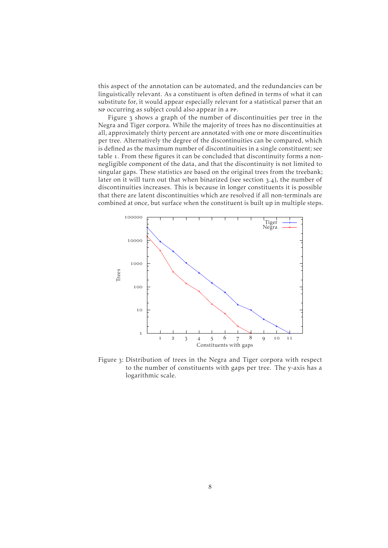this aspect of the annotation can be automated, and the redundancies can be linguistically relevant. As a constituent is often defined in terms of what it can substitute for, it would appear especially relevant for a statistical parser that an np occurring as subject could also appear in a pp.

[Figure](#page-13-0) 3 shows a graph of the number of discontinuities per tree in the Negra and Tiger corpora. While the majority of trees has no discontinuities at all, approximately thirty percent are annotated with one or more discontinuities per tree. Alternatively the degree of the discontinuities can be compared, which is defined as the maximum number of discontinuities in a single constituent; see [table](#page-14-0) 1. From these figures it can be concluded that discontinuity forms a nonnegligible component of the data, and that the discontinuity is not limited to singular gaps. These statistics are based on the original trees from the treebank; later on it will turn out that when binarized (see [section](#page-23-0)  $3.4$ ), the number of discontinuities increases. This is because in longer constituents it is possible that there are latent discontinuities which are resolved if all non-terminals are combined at once, but surface when the constituent is built up in multiple steps.

<span id="page-13-0"></span>

Figure 3: Distribution of trees in the Negra and Tiger corpora with respect to the number of constituents with gaps per tree. The y-axis has a logarithmic scale.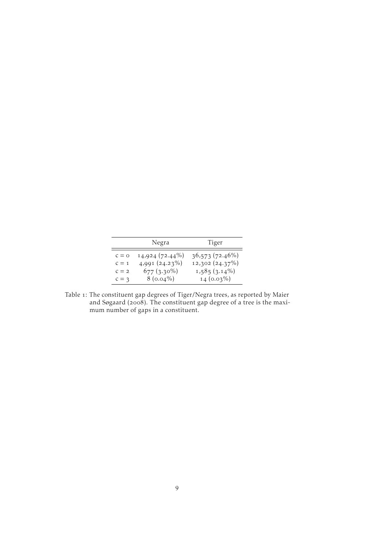<span id="page-14-0"></span>

| Negra   |                     | Tiger           |  |
|---------|---------------------|-----------------|--|
|         |                     |                 |  |
| $c = o$ | 14,924 (72.44%)     | 36,573 (72.46%) |  |
| $C = 1$ | $4,991$ $(24.23\%)$ | 12,302 (24.37%) |  |
| $C = 2$ | $677(3.30\%)$       | $1,585(3.14\%)$ |  |
| $c = 3$ | $8(0.04\%)$         | $14(0.03\%)$    |  |

Table 1: The constituent gap degrees of Tiger/Negra trees, as reported by [Maier](#page-73-0) [and Søgaard](#page-73-0) (2008). The constituent gap degree of a tree is the maximum number of gaps in a constituent.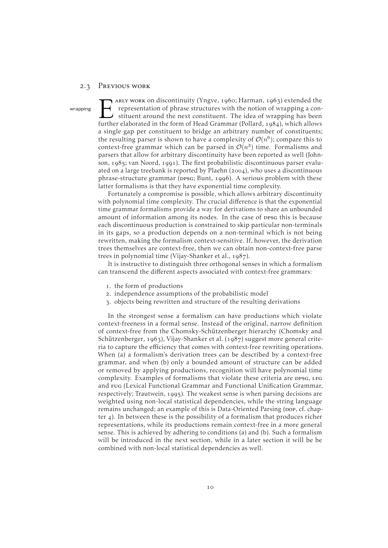#### <span id="page-15-0"></span>2.3 PREVIOUS WORK

EXECUTE: ARLY WORK ON discontinuity (Yngve, 1960; Harman, 1963) extended the representation of phrase structures with the notion of wrapping a constituent around the next constituent. The idea of wrapping has been further ARLY WORK ON discontinuity [\(Yngve,](#page-75-3) 1960; [Harman,](#page-71-1) 1963) extended the wrapping  $\rightarrow$  representation of phrase structures with the notion of wrapping a con-I stituent around the next constituent. The idea of wrapping has been a single gap per constituent to bridge an arbitrary number of constituents; the resulting parser is shown to have a complexity of  $\mathcal{O}(n^6)$ ; compare this to context-free grammar which can be parsed in  $\mathcal{O}(n^3)$  time. Formalisms and parsers that allow for arbitrary discontinuity have been reported as well [\(John](#page-72-1)[son,](#page-72-1)  $1985$ ; [van Noord,](#page-75-4) 1991). The first probabilistic discontinuous parser evalu-ated on a large treebank is reported by [Plaehn](#page-73-2) ( $2004$ ), who uses a discontinuous phrase-structure grammar (ppsg; [Bunt,](#page-70-1) 1996). A serious problem with these latter formalisms is that they have exponential time complexity.

> Fortunately a compromise is possible, which allows arbitrary discontinuity with polynomial time complexity. The crucial difference is that the exponential time grammar formalisms provide a way for derivations to share an unbounded amount of information among its nodes. In the case of ppsg this is because each discontinuous production is constrained to skip particular non-terminals in its gaps, so a production depends on a non-terminal which is not being rewritten, making the formalism context-sensitive. If, however, the derivation trees themselves are context-free, then we can obtain non-context-free parse trees in polynomial time [\(Vijay-Shanker et al.,](#page-75-5)  $1987$ ).

> It is instructive to distinguish three orthogonal senses in which a formalism can transcend the different aspects associated with context-free grammars:

- . the form of productions
- . independence assumptions of the probabilistic model
- . objects being rewritten and structure of the resulting derivations

In the strongest sense a formalism can have productions which violate context-freeness in a formal sense. Instead of the original, narrow definition of context-free from the Chomsky-Schützenberger hierarchy [\(Chomsky and](#page-70-3) [Schützenberger,](#page-70-3) 1963), [Vijay-Shanker et al.](#page-75-5) (1987) suggest more general criteria to capture the efficiency that comes with context-free rewriting operations. When (a) a formalism's derivation trees can be described by a context-free grammar, and when (b) only a bounded amount of structure can be added or removed by applying productions, recognition will have polynomial time complexity. Examples of formalisms that violate these criteria are ppsg, LFG and FUG (Lexical Functional Grammar and Functional Unification Grammar, respectively; [Trautwein,](#page-75-6) 1995). The weakest sense is when parsing decisions are weighted using non-local statistical dependencies, while the string language remains unchanged; an example of this is Data-Oriented Parsing (pop, cf. [chap](#page-31-0)[ter](#page-31-0)  $\phi$ . In between these is the possibility of a formalism that produces richer representations, while its productions remain context-free in a more general sense. This is achieved by adhering to conditions (a) and (b). Such a formalism will be introduced in the next section, while in a later section it will be be combined with non-local statistical dependencies as well.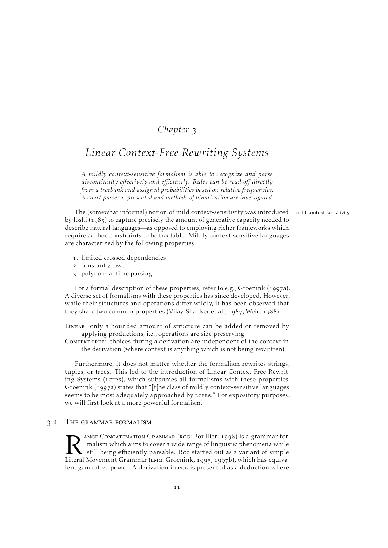### *Chapter*

### <span id="page-16-0"></span>*Linear Context-Free Rewriting Systems*

*A mildly context-sensitive formalism is able to recognize and parse discontinuity effectively and efficiently. Rules can be read off directly from a treebank and assigned probabilities based on relative frequencies. A chart-parser is presented and methods of binarization are investigated.*

The (somewhat informal) notion of mild context-sensitivity was introduced mild context-sensitivity by [Joshi](#page-72-2)  $(1985)$  to capture precisely the amount of generative capacity needed to describe natural languages—as opposed to employing richer frameworks which require ad-hoc constraints to be tractable. Mildly context-sensitive languages are characterized by the following properties:

- . limited crossed dependencies
- . constant growth
- . polynomial time parsing

For a formal description of these properties, refer to e.g., [Groenink](#page-71-2) (1997a). A diverse set of formalisms with these properties has since developed. However, while their structures and operations differ wildly, it has been observed that they share two common properties [\(Vijay-Shanker et al.,](#page-75-5)  $1987$ ; [Weir,](#page-75-7)  $1988$ ):

Linear: only a bounded amount of structure can be added or removed by applying productions, i.e., operations are size preserving

Context-free: choices during a derivation are independent of the context in the derivation (where context is anything which is not being rewritten)

Furthermore, it does not matter whether the formalism rewrites strings, tuples, or trees. This led to the introduction of Linear Context-Free Rewriting Systems (LCFRS), which subsumes all formalisms with these properties. [Groenink](#page-71-2) (1997a) states that "[t]he class of mildly context-sensitive languages seems to be most adequately approached by LCFRS." For expository purposes, we will first look at a more powerful formalism.

#### 3.1 THE GRAMMAR FORMALISM

<span id="page-16-1"></span>N ANGE CONCATENATION GRAMMAR (RCG; Boullier, 1998) is a grammar for-<br>
malism which aims to cover a wide range of linguistic phenomena while<br>
Literal Movement Grammar (LMG; [Groenink,](#page-71-3) 1995, 1997b), which has equiva-ange Concatenation Grammar (RCG; [Boullier,](#page-70-4) 1998) is a grammar formalism which aims to cover a wide range of linguistic phenomena while still being efficiently parsable. Rcg started out as a variant of simple lent generative power. A derivation in rcg is presented as a deduction where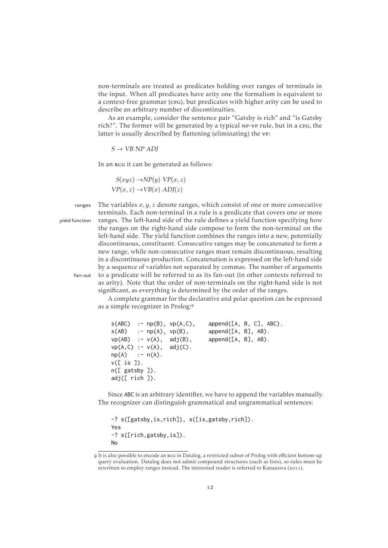non-terminals are treated as predicates holding over ranges of terminals in the input. When all predicates have arity one the formalism is equivalent to a context-free grammar (CFG), but predicates with higher arity can be used to describe an arbitrary number of discontinuities.

As an example, consider the sentence pair "Gatsby is rich" and "is Gatsby rich?". The former will be generated by a typical NP-VP rule, but in a cFG, the latter is usually described by flattening (eliminating) the vp:

$$
S \to V B \; NP \; ADJ
$$

In an rcg it can be generated as follows:

$$
S(xyz) \to NP(y) VP(x, z)
$$
  
 
$$
VP(x, z) \to VB(x) ADJ(z)
$$

ranges The variables  $x, y, z$  denote ranges, which consist of one or more consecutive terminals. Each non-terminal in a rule is a predicate that covers one or more yield function ranges. The left-hand side of the rule defines a yield function specifying how the ranges on the right-hand side compose to form the non-terminal on the left-hand side. The yield function combines the ranges into a new, potentially discontinuous, constituent. Consecutive ranges may be concatenated to form a new range, while non-consecutive ranges must remain discontinuous, resulting in a discontinuous production. Concatenation is expressed on the left-hand side by a sequence of variables not separated by commas. The number of arguments fan-out to a predicate will be referred to as its fan-out (in other contexts referred to as arity). Note that the order of non-terminals on the right-hand side is not significant, as everything is determined by the order of the ranges.

A complete grammar for the declarative and polar question can be expressed as a simple recognizer in Prolog:

```
s(ABC) :- np(B), vp(A,C), append([A, B, C], ABC).
s(AB) : - np(A), vp(B), append([A, B], AB).
vp(AB) :- v(A), adj(B), append([A, B], AB).
vp(A,C) :- v(A), adj(C).
np(A) :- n(A).
v([ is ]).
n([ gatsby ]).
adj([ rich ]).
```
Since ABC is an arbitrary identifier, we have to append the variables manually. The recognizer can distinguish grammatical and ungrammatical sentences:

```
-? s([gatsby,is,rich]), s([is,gatsby,rich]).
Yes
-? s([rich,gatsby,is]).
No
```
It is also possible to encode an rcg in Datalog, a restricted subset of Prolog with efficient bottom-up query evaluation. Datalog does not admit compound structures (such as lists), so rules must be rewritten to employ ranges instead. The interested reader is referred to [Kanazawa](#page-72-3) (2011).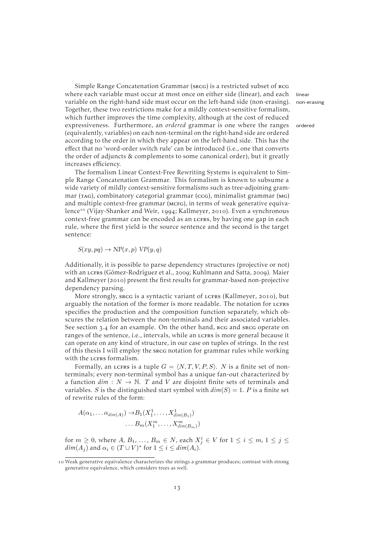Simple Range Concatenation Grammar (srcg) is a restricted subset of rcg where each variable must occur at most once on either side (linear), and each linear variable on the right-hand side must occur on the left-hand side (non-erasing). non-erasing Together, these two restrictions make for a mildly context-sensitive formalism, which further improves the time complexity, although at the cost of reduced expressiveness. Furthermore, an *ordered* grammar is one where the ranges ordered (equivalently, variables) on each non-terminal on the right-hand side are ordered according to the order in which they appear on the left-hand side. This has the effect that no 'word-order switch rule' can be introduced (i.e., one that converts the order of adjuncts & complements to some canonical order), but it greatly increases efficiency.

The formalism Linear Context-Free Rewriting Systems is equivalent to Simple Range Concatenation Grammar. This formalism is known to subsume a wide variety of mildly context-sensitive formalisms such as tree-adjoining grammar (tag), combinatory categorial grammar (ccg), minimalist grammar (mg) and multiple context-free grammar (MCFG), in terms of weak generative equiva-lence<sup>10</sup> [\(Vijay-Shanker and Weir,](#page-75-8) 1994; [Kallmeyer,](#page-72-4) 2010). Even a synchronous context-free grammar can be encoded as an lcfrs, by having one gap in each rule, where the first yield is the source sentence and the second is the target sentence:

 $S(xy, pq) \rightarrow NP(x, p) VP(y, q)$ 

Additionally, it is possible to parse dependency structures (projective or not) with an LCFRS [\(Gómez-Rodríguez et al.,](#page-71-5) 2009; [Kuhlmann and Satta,](#page-72-5) 2009). [Maier](#page-73-3) [and Kallmeyer](#page-73-3) (2010) present the first results for grammar-based non-projective dependency parsing.

More strongly, srcq is a syntactic variant of LCFRS [\(Kallmeyer,](#page-72-4) 2010), but arguably the notation of the former is more readable. The notation for LCFRS specifies the production and the composition function separately, which obscures the relation between the non-terminals and their associated variables. See [section](#page-23-0) 3.4 for an example. On the other hand, RCG and sRCG operate on ranges of the sentence, i.e., intervals, while an LCFRS is more general because it can operate on any kind of structure, in our case on tuples of strings. In the rest of this thesis I will employ the srcg notation for grammar rules while working with the LCFRS formalism.

Formally, an LCFRs is a tuple  $G = \langle N, T, V, P, S \rangle$ . N is a finite set of nonterminals; every non-terminal symbol has a unique fan-out characterized by a function  $dim : N \to \mathbb{N}$ . T and V are disjoint finite sets of terminals and variables. S is the distinguished start symbol with  $dim(S) = 1$ . P is a finite set of rewrite rules of the form:

$$
A(\alpha_1, \ldots \alpha_{\dim(A)}) \to B_1(X_1^1, \ldots, X_{\dim(B_1)}^1)
$$
  
 
$$
\ldots B_m(X_1^m, \ldots, X_{\dim(B_m)}^m)
$$

for  $m \ge 0$ , where  $A, B_1, \ldots, B_m \in N$ , each  $X_j^i \in V$  for  $1 \le i \le m$ ,  $1 \le j \le n$  $dim(A_j)$  and  $\alpha_i \in (T \cup V)^*$  for  $1 \leq i \leq dim(A_i)$ .

<sup>10</sup> Weak generative equivalence characterizes the strings a grammar produces; contrast with strong generative equivalence, which considers trees as well.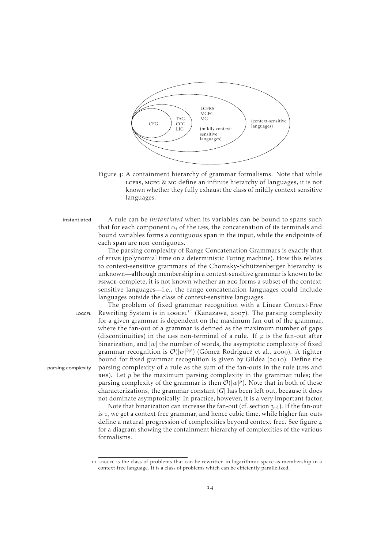<span id="page-19-0"></span>

Figure 4: A containment hierarchy of grammar formalisms. Note that while LCFRS, MCFG & MG define an infinite hierarchy of languages, it is not known whether they fully exhaust the class of mildly context-sensitive languages.

instantiated A rule can be *instantiated* when its variables can be bound to spans such that for each component  $\alpha_i$  of the LHS, the concatenation of its terminals and bound variables forms a contiguous span in the input, while the endpoints of each span are non-contiguous.

> The parsing complexity of Range Concatenation Grammars is exactly that of ptime (polynomial time on a deterministic Turing machine). How this relates to context-sensitive grammars of the Chomsky-Schützenberger hierarchy is unknown—although membership in a context-sensitive grammar is known to be pspace-complete, it is not known whether an rcg forms a subset of the contextsensitive languages—i.e., the range concatenation languages could include languages outside the class of context-sensitive languages.

The problem of fixed grammar recognition with a Linear Context-Free LOGCFL Rewriting System is in LOGCFL<sup>11</sup> [\(Kanazawa,](#page-72-6) 2007). The parsing complexity for a given grammar is dependent on the maximum fan-out of the grammar, where the fan-out of a grammar is defined as the maximum number of gaps (discontinuities) in the LHS non-terminal of a rule. If  $\varphi$  is the fan-out after binarization, and  $|w|$  the number of words, the asymptotic complexity of fixed grammar recognition is  $\mathcal{O}(|w|^{3\varphi})$  [\(Gómez-Rodríguez et al.,](#page-71-6) 2009). A tighter bound for fixed grammar recognition is given by [Gildea](#page-71-7) (2010). Define the parsing complexity parsing complexity of a rule as the sum of the fan-outs in the rule (LHS and RHS). Let  $p$  be the maximum parsing complexity in the grammar rules; the parsing complexity of the grammar is then  $\mathcal{O}(|w|^p)$ . Note that in both of these characterizations, the grammar constant  $|G|$  has been left out, because it does not dominate asymptotically. In practice, however, it is a very important factor.

Note that binarization can increase the fan-out (cf. [section](#page-23-0)  $3.4$ ). If the fan-out is 1, we get a context-free grammar, and hence cubic time, while higher fan-outs define a natural progression of complexities beyond context-free. See [figure](#page-19-0) for a diagram showing the containment hierarchy of complexities of the various formalisms.

<sup>11</sup> LOGCFL is the class of problems that can be rewritten in logarithmic space as membership in a context-free language. It is a class of problems which can be efficiently parallelized.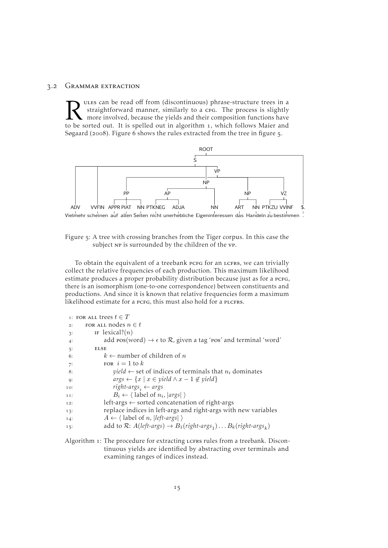#### . Grammar extraction

<span id="page-20-0"></span>The source is a straightforward manner, similarly to a crea. The process is slightly more involved, because the yields and their composition functions have to be sorted out. It is spelled out in [algorithm](#page-20-2) 1, which follows ules can be read off from (discontinuous) phrase-structure trees in a straightforward manner, similarly to a crG. The process is slightly more involved, because the yields and their composition functions have [Søgaard](#page-73-0) (2008). [Figure](#page-21-1) 6 shows the rules extracted from the tree in [figure](#page-20-1)  $\frac{1}{2}$ .

<span id="page-20-1"></span>

Figure 5: A tree with crossing branches from the Tiger corpus. In this case the subject np is surrounded by the children of the vp.

To obtain the equivalent of a treebank pcFG for an LCFRS, we can trivially collect the relative frequencies of each production. This maximum likelihood estimate produces a proper probability distribution because just as for a PCFG, there is an isomorphism (one-to-one correspondence) between constituents and productions. And since it is known that relative frequencies form a maximum likelihood estimate for a pcFG, this must also hold for a PLCFRS.

<span id="page-20-2"></span>

|     | 1: FOR ALL trees $t \in T$                                                                    |
|-----|-----------------------------------------------------------------------------------------------|
| 2:  | FOR ALL nodes $n \in t$                                                                       |
| 3:  | IF lexical? $(n)$                                                                             |
| 4:  | add $pos(word) \rightarrow \epsilon$ to $\mathcal{R}$ , given a tag 'ros' and terminal 'word' |
| 5:  | <b>ELSE</b>                                                                                   |
| 6:  | $k \leftarrow$ number of children of n                                                        |
| 7:  | FOR $i=1$ to k                                                                                |
| 8:  | <i>yield</i> $\leftarrow$ set of indices of terminals that $n_i$ dominates                    |
| 9:  | $args \leftarrow \{x \mid x \in yield \land x - 1 \notin yield\}$                             |
| 10: | right-args, $\leftarrow$ args                                                                 |
| 11: | $B_i \leftarrow \langle$ label of $n_i$ ,  args  $\rangle$                                    |
| 12: | left-args $\leftarrow$ sorted concatenation of right-args                                     |
| 13: | replace indices in left-args and right-args with new variables                                |
| 14: | $A \leftarrow \langle$ label of <i>n</i> ,   left-args  $\rangle$                             |
| 15: | add to R: $A(left-args) \rightarrow B_1(right-args_1) \dots B_k(right-args_k)$                |

```
Algorithm 1: The procedure for extracting LCFRS rules from a treebank. Discon-
             tinuous yields are identified by abstracting over terminals and
             examining ranges of indices instead.
```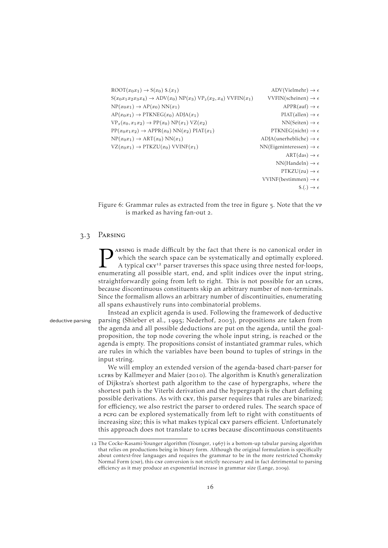```
ROOT(x_0x_1) \rightarrow S(x_0) $.(x_1) ADV(Vielmehr) \rightarrow \epsilonS(x_0x_1x_2x_3x_4) \rightarrow ADV(x_0) NP(x_3) VP_2(x_2, x_4) VVFIN(x_1) \qquad VVFIN(sch einen) \rightarrow \epsilonNP(x_0x_1) \rightarrow AP(x_0) NN(x_1) APPR(auf) \rightarrow \epsilonAP(x_0x_1) \rightarrow PTKNEG(x_0) ADJA(x_1) PIAT(allen) \rightarrow \epsilonVP_2(x_0, x_1x_2) \rightarrow PP(x_0) NP(x_1) VZ(x_2) NN(Seiten) \rightarrow \epsilonPP(x_0x_1x_2) \rightarrow APPR(x_0) NN(x_2) PIAT(x_1) PTKNEG(nicht) \rightarrow \epsilonNP(x_0x_1) \rightarrow ART(x_0) NN(x_1) ADJA(unerhebliche) \rightarrow \epsilonVZ(x_0x_1) \rightarrow PTKZU(x_0) VVINF(x_1) NN(Eigeninteressen) \rightarrow \epsilonART(das) \rightarrow \epsilonNN(Handeln) \rightarrow \epsilonPTKZU(zu) \rightarrow \epsilonVVINF(bestimmen) \rightarrow \epsilon\$(.) \rightarrow \epsilon
```
Figure 6: Grammar rules as extracted from the tree in [figure](#page-20-1) 5. Note that the vp is marked as having fan-out 2.

#### 3.3 PARSING

<span id="page-21-0"></span>**P** ARSING is made difficult by the fact that there is no canonical order in which the search space can be systematically and optimally explored. A typical  $cov^{12}$  parser traverses this space using three nested for-loops, arsing is made difficult by the fact that there is no canonical order in which the search space can be systematically and optimally explored. A typical cky<sup>12</sup> parser traverses this space using three nested for-loops, straightforwardly going from left to right. This is not possible for an LCFRS, because discontinuous constituents skip an arbitrary number of non-terminals. Since the formalism allows an arbitrary number of discontinuities, enumerating all spans exhaustively runs into combinatorial problems.

Instead an explicit agenda is used. Following the framework of deductive deductive parsing parsing [\(Shieber et al.,](#page-74-3) 1995; [Nederhof,](#page-73-4) 2003), propositions are taken from the agenda and all possible deductions are put on the agenda, until the goalproposition, the top node covering the whole input string, is reached or the agenda is empty. The propositions consist of instantiated grammar rules, which are rules in which the variables have been bound to tuples of strings in the input string.

We will employ an extended version of the agenda-based chart-parser for LCFRS by [Kallmeyer and Maier](#page-72-7) (2010). The algorithm is Knuth's generalization of Dijkstra's shortest path algorithm to the case of hypergraphs, where the shortest path is the Viterbi derivation and the hypergraph is the chart defining possible derivations. As with cky, this parser requires that rules are binarized; for efficiency, we also restrict the parser to ordered rules. The search space of a pcfg can be explored systematically from left to right with constituents of increasing size; this is what makes typical cky parsers efficient. Unfortunately this approach does not translate to LCFRS because discontinuous constituents

<sup>12</sup> The Cocke-Kasami-Younger algorithm [\(Younger,](#page-76-0) 1967) is a bottom-up tabular parsing algorithm that relies on productions being in binary form. Although the original formulation is specifically about context-free languages and requires the grammar to be in the more restricted Chomsky Normal Form (CNF), this CNF conversion is not strictly necessary and in fact detrimental to parsing efficiency as it may produce an exponential increase in grammar size [\(Lange,](#page-73-5) 2009).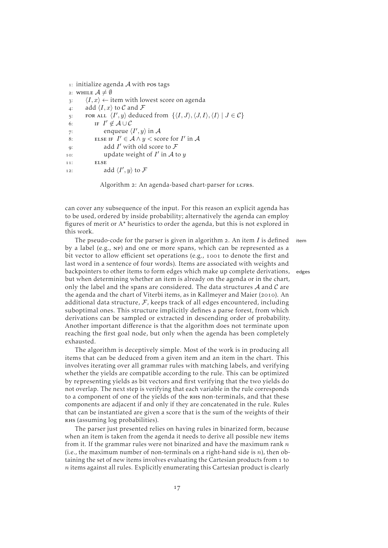```
1: initialize agenda A with pos tags
 2: WHILE \mathcal{A} \neq \emptyset\langle I, x \rangle \leftarrow item with lowest score on agenda
 4: add \langle I, x \rangle to C and F
 5: FOR ALL \langle I', y \rangle deduced from \{\langle I, J \rangle, \langle J, I \rangle, \langle I \rangle \mid J \in \mathcal{C}\}\6: IF I' \notin A \cup C7: enqueue \langle I', y \rangle in A
 8: ELSE IF I' \in A \wedge y < score for I' in A
 9: add I' with old score to \mathcal F10: update weight of I' in A to y11: ELSE
12: add \langle I', y \rangle to \mathcal F
```
Algorithm 2: An agenda-based chart-parser for LCFRS.

can cover any subsequence of the input. For this reason an explicit agenda has to be used, ordered by inside probability; alternatively the agenda can employ figures of merit or A\* heuristics to order the agenda, but this is not explored in this work.

The pseudo-code for the parser is given in [algorithm](#page-22-0) 2. An item  $I$  is defined item by a label (e.g., np) and one or more spans, which can be represented as a bit vector to allow efficient set operations (e.g., 1001 to denote the first and last word in a sentence of four words). Items are associated with weights and backpointers to other items to form edges which make up complete derivations, edges but when determining whether an item is already on the agenda or in the chart, only the label and the spans are considered. The data structures  $A$  and  $C$  are the agenda and the chart of Viterbi items, as in [Kallmeyer and Maier](#page-72-7) (2010). An additional data structure,  $F$ , keeps track of all edges encountered, including suboptimal ones. This structure implicitly defines a parse forest, from which derivations can be sampled or extracted in descending order of probability. Another important difference is that the algorithm does not terminate upon reaching the first goal node, but only when the agenda has been completely exhausted.

The algorithm is deceptively simple. Most of the work is in producing all items that can be deduced from a given item and an item in the chart. This involves iterating over all grammar rules with matching labels, and verifying whether the yields are compatible according to the rule. This can be optimized by representing yields as bit vectors and first verifying that the two yields do not overlap. The next step is verifying that each variable in the rule corresponds to a component of one of the yields of the RHS non-terminals, and that these components are adjacent if and only if they are concatenated in the rule. Rules that can be instantiated are given a score that is the sum of the weights of their RHS (assuming log probabilities).

The parser just presented relies on having rules in binarized form, because when an item is taken from the agenda it needs to derive all possible new items from it. If the grammar rules were not binarized and have the maximum rank  $n$ (i.e., the maximum number of non-terminals on a right-hand side is  $n$ ), then obtaining the set of new items involves evaluating the Cartesian products from to  $n$  items against all rules. Explicitly enumerating this Cartesian product is clearly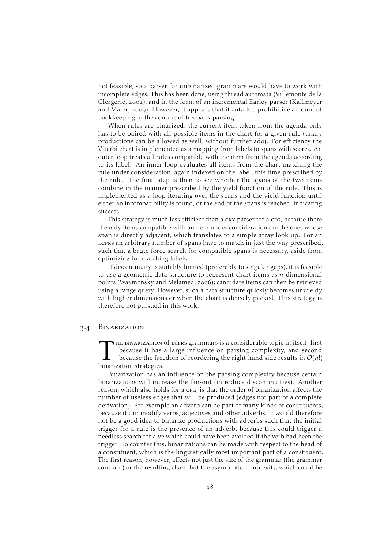not feasible, so a parser for unbinarized grammars would have to work with incomplete edges. This has been done, using thread automata [\(Villemonte de la](#page-75-9) [Clergerie,](#page-75-9) 2002), and in the form of an incremental Earley parser [\(Kallmeyer](#page-72-8) [and Maier,](#page-72-8) 2009). However, it appears that it entails a prohibitive amount of bookkeeping in the context of treebank parsing.

When rules are binarized, the current item taken from the agenda only has to be paired with all possible items in the chart for a given rule (unary productions can be allowed as well, without further ado). For efficiency the Viterbi chart is implemented as a mapping from labels to spans with scores. An outer loop treats all rules compatible with the item from the agenda according to its label. An inner loop evaluates all items from the chart matching the rule under consideration, again indexed on the label, this time prescribed by the rule. The final step is then to see whether the spans of the two items combine in the manner prescribed by the yield function of the rule. This is implemented as a loop iterating over the spans and the yield function until either an incompatibility is found, or the end of the spans is reached, indicating success.

This strategy is much less efficient than a cky parser for a crG, because there the only items compatible with an item under consideration are the ones whose span is directly adjacent, which translates to a simple array look up. For an LCFRS an arbitrary number of spans have to match in just the way prescribed, such that a brute force search for compatible spans is necessary, aside from optimizing for matching labels.

If discontinuity is suitably limited (preferably to singular gaps), it is feasible to use a geometric data structure to represent chart items as  $n$ -dimensional points [\(Waxmonsky and Melamed,](#page-75-10) 2006); candidate items can then be retrieved using a range query. However, such a data structure quickly becomes unwieldy with higher dimensions or when the chart is densely packed. This strategy is therefore not pursued in this work.

#### <span id="page-23-0"></span>. Binarization

THE BINARIZATION<br>because it has<br>binarization strategies. he binarization of lcfrs grammars is a considerable topic in itself, first because it has a large influence on parsing complexity, and second because the freedom of reordering the right-hand side results in  $\mathcal{O}(n!)$ 

Binarization has an influence on the parsing complexity because certain binarizations will increase the fan-out (introduce discontinuities). Another reason, which also holds for a crG, is that the order of binarization affects the number of useless edges that will be produced (edges not part of a complete derivation). For example an adverb can be part of many kinds of constituents, because it can modify verbs, adjectives and other adverbs. It would therefore not be a good idea to binarize productions with adverbs such that the initial trigger for a rule is the presence of an adverb, because this could trigger a needless search for a vp which could have been avoided if the verb had been the trigger. To counter this, binarizations can be made with respect to the head of a constituent, which is the linguistically most important part of a constituent. The first reason, however, affects not just the size of the grammar (the grammar constant) or the resulting chart, but the asymptotic complexity, which could be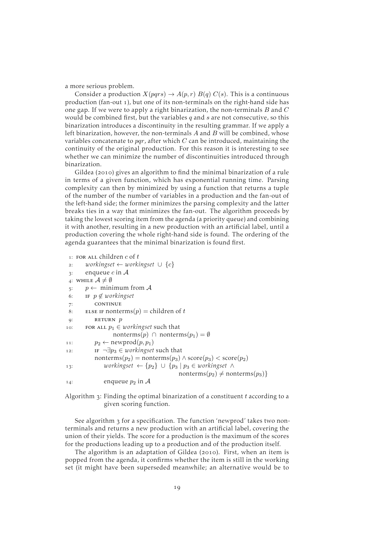a more serious problem.

Consider a production  $X(pqrs) \rightarrow A(p,r) B(q) C(s)$ . This is a continuous production (fan-out ), but one of its non-terminals on the right-hand side has one gap. If we were to apply a right binarization, the non-terminals  $B$  and  $C$ would be combined first, but the variables  $q$  and  $s$  are not consecutive, so this binarization introduces a discontinuity in the resulting grammar. If we apply a left binarization, however, the non-terminals  $A$  and  $B$  will be combined, whose variables concatenate to pqr, after which  $C$  can be introduced, maintaining the continuity of the original production. For this reason it is interesting to see whether we can minimize the number of discontinuities introduced through binarization.

[Gildea](#page-71-7) (2010) gives an algorithm to find the minimal binarization of a rule in terms of a given function, which has exponential running time. Parsing complexity can then by minimized by using a function that returns a tuple of the number of the number of variables in a production and the fan-out of the left-hand side; the former minimizes the parsing complexity and the latter breaks ties in a way that minimizes the fan-out. The algorithm proceeds by taking the lowest scoring item from the agenda (a priority queue) and combining it with another, resulting in a new production with an artificial label, until a production covering the whole right-hand side is found. The ordering of the agenda guarantees that the minimal binarization is found first.

```
1: FOR ALL children c of t: workingset ← workingset ∪ {c}
 \alpha: enqueue c in A
 4: WHILE \mathcal{A} \neq \emptyset\mathfrak{s}: \mathfrak{p} \leftarrow \text{minimum from } \mathcal{A}6: if p \notin workingset
 : continue
 8: ELSE IF nonterms(p) = children of t
 q: RETURN p10: FOR ALL p_1 \in <i>workingset</i> such thatnonterms(p) ∩ nonterms(p<sub>1</sub>) = \emptyset11: p_2 \leftarrow \text{newprod}(p, p_1)12: IF \neg \exists p_3 \in \textit{workingset} such that
            \text{nonterms}(p_2) = \text{nonterms}(p_3) \wedge \text{score}(p_3) < \text{score}(p_2)13: workingset ← \{p_2\} ∪ \{p_3 | p_3 \in w \text{or } k \text{ in } \mathbb{R} \} ∧
                                                 nonterms(p_2) \neq nonterms(p_3)}
14: enqueue p_2 in A
```
Algorithm  $\alpha$ : Finding the optimal binarization of a constituent t according to a given scoring function.

See [algorithm](#page-24-0) 3 for a specification. The function 'newprod' takes two nonterminals and returns a new production with an artificial label, covering the union of their yields. The score for a production is the maximum of the scores for the productions leading up to a production and of the production itself.

The algorithm is an adaptation of [Gildea](#page-71-7) (2010). First, when an item is popped from the agenda, it confirms whether the item is still in the working set (it might have been superseded meanwhile; an alternative would be to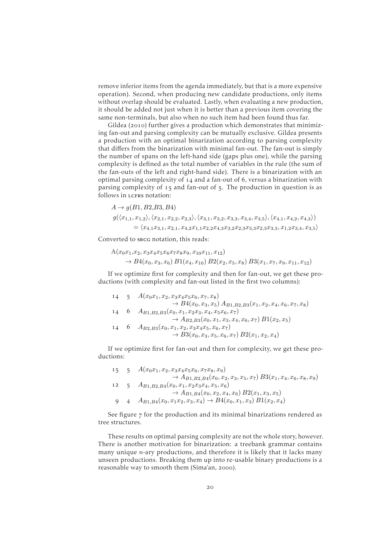remove inferior items from the agenda immediately, but that is a more expensive operation). Second, when producing new candidate productions, only items without overlap should be evaluated. Lastly, when evaluating a new production, it should be added not just when it is better than a previous item covering the same non-terminals, but also when no such item had been found thus far.

[Gildea](#page-71-7) (2010) further gives a production which demonstrates that minimizing fan-out and parsing complexity can be mutually exclusive. [Gildea](#page-71-7) presents a production with an optimal binarization according to parsing complexity that differs from the binarization with minimal fan-out. The fan-out is simply the number of spans on the left-hand side (gaps plus one), while the parsing complexity is defined as the total number of variables in the rule (the sum of the fan-outs of the left and right-hand side). There is a binarization with an optimal parsing complexity of  $14$  and a fan-out of 6, versus a binarization with parsing complexity of 15 and fan-out of 5. The production in question is as follows in LCFRS notation:

$$
A \rightarrow g(B1, B2, B3, B4)
$$
  
\n
$$
g(\langle x_{1,1}, x_{1,2} \rangle, \langle x_{2,1}, x_{2,2}, x_{2,3} \rangle, \langle x_{3,1}, x_{3,2}, x_{3,3}, x_{3,4}, x_{3,5} \rangle, \langle x_{4,1}, x_{4,2}, x_{4,3} \rangle)
$$
  
\n
$$
= \langle x_{4,1}x_{3,1}, x_{2,1}, x_{4,2}x_{1,1}x_{2,2}x_{4,3}x_{3,2}x_{2,3}x_{3,3}x_{2,3}x_{3,3}, x_{1,2}x_{3,4}, x_{3,5} \rangle
$$

Converted to srcg notation, this reads:

$$
A(x_0x_1,x_2,x_3x_4x_5x_6x_7x_8x_9,x_{10}x_{11},x_{12})
$$
  
\n
$$
\rightarrow B4(x_0,x_3,x_6) B1(x_4,x_{10}) B2(x_2,x_5,x_8) B3(x_1,x_7,x_9,x_{11},x_{12})
$$

If we optimize first for complexity and then for fan-out, we get these productions (with complexity and fan-out listed in the first two columns):

| 14 | $-5$ | $A(x_0x_1, x_2, x_3x_4x_5x_6, x_7, x_8)$                                   |
|----|------|----------------------------------------------------------------------------|
|    |      | $\rightarrow B4(x_0, x_3, x_5) A_{B1,B2,B3}(x_1, x_2, x_4, x_6, x_7, x_8)$ |
|    |      | $A_{B1,B2,B3}(x_0,x_1,x_2x_3,x_4,x_5x_6,x_7)$                              |
|    |      | $\rightarrow$ $A_{B2,B3}(x_0, x_1, x_3, x_4, x_6, x_7) B1(x_2, x_5)$       |
|    |      | $A_{B2,B3}(x_0,x_1,x_2,x_3x_4x_5,x_6,x_7)$                                 |
|    |      | $\rightarrow B3(x_0, x_3, x_5, x_6, x_7) B2(x_1, x_2, x_4)$                |
|    |      |                                                                            |

If we optimize first for fan-out and then for complexity, we get these productions:

|    | $15 \quad 5$ | $A(x_0x_1, x_2, x_3x_4x_5x_6, x_7x_8, x_9)$                                                                                                                              |
|----|--------------|--------------------------------------------------------------------------------------------------------------------------------------------------------------------------|
|    |              | $\rightarrow$ $A_{B1,B2,B4}(x_0,x_2,x_3,x_5,x_7) B3(x_1,x_4,x_6,x_8,x_9)$                                                                                                |
| 12 | $-5$         | $A_{B1,B2,B4}(x_0,x_1,x_2x_3x_4,x_5,x_6)$                                                                                                                                |
|    |              | $\rightarrow$ A <sub>B1,B4</sub> (x <sub>0</sub> , x <sub>2</sub> , x <sub>4</sub> , x <sub>6</sub> ) B <sub>2</sub> (x <sub>1</sub> , x <sub>3</sub> , x <sub>5</sub> ) |
|    |              | $A_{B1,B4}(x_0, x_1x_2, x_3, x_4) \rightarrow B4(x_0, x_1, x_3) B1(x_2, x_4)$                                                                                            |

See [figure](#page-26-0)  $7$  for the production and its minimal binarizations rendered as tree structures.

These results on optimal parsing complexity are not the whole story, however. There is another motivation for binarization: a treebank grammar contains many unique  $n$ -ary productions, and therefore it is likely that it lacks many unseen productions. Breaking them up into re-usable binary productions is a reasonable way to smooth them [\(Sima'an,](#page-75-11) 2000).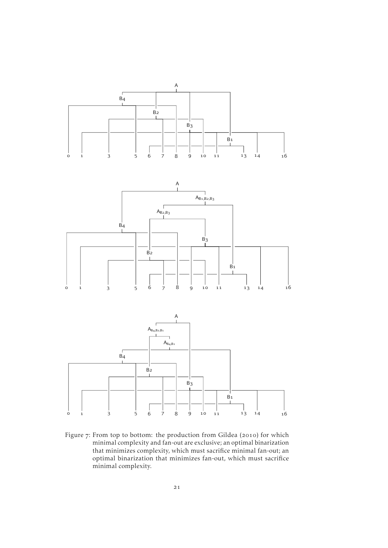<span id="page-26-0"></span>

Figure 7: From top to bottom: the production from [Gildea](#page-71-7) (2010) for which minimal complexity and fan-out are exclusive; an optimal binarization that minimizes complexity, which must sacrifice minimal fan-out; an optimal binarization that minimizes fan-out, which must sacrifice minimal complexity.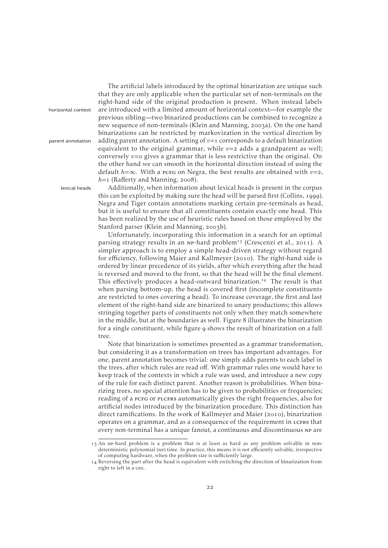The artificial labels introduced by the optimal binarization are unique such that they are only applicable when the particular set of non-terminals on the right-hand side of the original production is present. When instead labels horizontal context are introduced with a limited amount of horizontal context—for example the previous sibling—two binarized productions can be combined to recognize a new sequence of non-terminals [\(Klein and Manning,](#page-72-9) 2003a). On the one hand binarizations can be restricted by markovization in the vertical direction by parent annotation adding parent annotation. A setting of  $v=1$  corresponds to a default binarization equivalent to the original grammar, while  $v=2$  adds a grandparent as well; conversely  $v=0$  gives a grammar that is less restrictive than the original. On the other hand we can smooth in the horizontal direction instead of using the default  $h=\infty$ . With a pcrg on Negra, the best results are obtained with  $v=2$ ,  $h=1$  (Raff[erty and Manning,](#page-74-4) 2008).

lexical heads Additionally, when information about lexical heads is present in the corpus this can be exploited by making sure the head will be parsed first [\(Collins,](#page-70-5) 1999). Negra and Tiger contain annotations marking certain pre-terminals as head, but it is useful to ensure that all constituents contain exactly one head. This has been realized by the use of heuristic rules based on those employed by the Stanford parser [\(Klein and Manning,](#page-72-10) 2003b).

> Unfortunately, incorporating this information in a search for an optimal parsing strategy results in an NP-hard problem<sup>13</sup> [\(Crescenzi et al.,](#page-71-8) 2011). A simpler approach is to employ a simple head-driven strategy without regard for efficiency, following [Maier and Kallmeyer](#page-73-3) (2010). The right-hand side is ordered by linear precedence of its yields, after which everything after the head is reversed and moved to the front, so that the head will be the final element. This effectively produces a head-outward binarization.<sup>14</sup> The result is that when parsing bottom-up, the head is covered first (incomplete constituents are restricted to ones covering a head). To increase coverage, the first and last element of the right-hand side are binarized to unary productions; this allows stringing together parts of constituents not only when they match somewhere in the middle, but at the boundaries as well. [Figure](#page-29-0) 8 illustrates the binarization for a single constituent, while [figure](#page-30-0) 9 shows the result of binarization on a full tree.

> Note that binarization is sometimes presented as a grammar transformation, but considering it as a transformation on trees has important advantages. For one, parent annotation becomes trivial: one simply adds parents to each label in the trees, after which rules are read off. With grammar rules one would have to keep track of the contexts in which a rule was used, and introduce a new copy of the rule for each distinct parent. Another reason is probabilities. When binarizing trees, no special attention has to be given to probabilities or frequencies; reading of a pcfg or plcfrs automatically gives the right frequencies, also for artificial nodes introduced by the binarization procedure. This distinction has direct ramifications. In the work of [Kallmeyer and Maier](#page-72-7) (2010), binarization operates on a grammar, and as a consequence of the requirement in LCFRS that every non-terminal has a unique fanout, a continuous and discontinuous np are

<sup>13</sup> An NP-hard problem is a problem that is at least as hard as any problem solvable in nondeterministic polynomial (np) time. In practice, this means it is not efficiently solvable, irrespective of computing hardware, when the problem size is sufficiently large.

<sup>14</sup> Reversing the part after the head is equivalent with switching the direction of binarization from right to left in a c<sub>FG</sub>.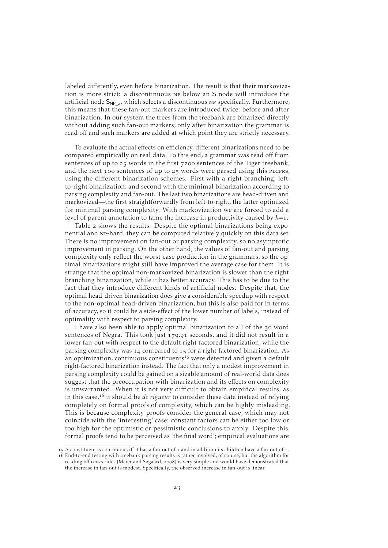labeled differently, even before binarization. The result is that their markovization is more strict: a discontinuous np below an S node will introduce the artificial node  $S_{NP}$ , which selects a discontinuous np specifically. Furthermore, this means that these fan-out markers are introduced twice: before and after binarization. In our system the trees from the treebank are binarized directly without adding such fan-out markers; only after binarization the grammar is read off and such markers are added at which point they are strictly necessary.

To evaluate the actual effects on efficiency, different binarizations need to be compared empirically on real data. To this end, a grammar was read off from sentences of up to 25 words in the first 7200 sentences of the Tiger treebank, and the next 100 sentences of up to 25 words were parsed using this PLCFRS, using the different binarization schemes. First with a right branching, leftto-right binarization, and second with the minimal binarization according to parsing complexity and fan-out. The last two binarizations are head-driven and markovized—the first straightforwardly from left-to-right, the latter optimized for minimal parsing complexity. With markovization we are forced to add a level of parent annotation to tame the increase in productivity caused by  $h=1$ .

[Table](#page-29-1) 2 shows the results. Despite the optimal binarizations being exponential and np-hard, they can be computed relatively quickly on this data set. There is no improvement on fan-out or parsing complexity, so no asymptotic improvement in parsing. On the other hand, the values of fan-out and parsing complexity only reflect the worst-case production in the grammars, so the optimal binarizations might still have improved the average case for them. It is strange that the optimal non-markovized binarization is slower than the right branching binarization, while it has better accuracy. This has to be due to the fact that they introduce different kinds of artificial nodes. Despite that, the optimal head-driven binarization does give a considerable speedup with respect to the non-optimal head-driven binarization, but this is also paid for in terms of accuracy, so it could be a side-effect of the lower number of labels, instead of optimality with respect to parsing complexity.

I have also been able to apply optimal binarization to all of the 30 word sentences of Negra. This took just 179.91 seconds, and it did not result in a lower fan-out with respect to the default right-factored binarization, while the parsing complexity was  $14$  compared to  $15$  for a right-factored binarization. As an optimization, continuous constituents<sup>15</sup> were detected and given a default right-factored binarization instead. The fact that only a modest improvement in parsing complexity could be gained on a sizable amount of real-world data does suggest that the preoccupation with binarization and its effects on complexity is unwarranted. When it is not very difficult to obtain empirical results, as in this case,<sup>16</sup> it should be *de rigueur* to consider these data instead of relying completely on formal proofs of complexity, which can be highly misleading. This is because complexity proofs consider the general case, which may not coincide with the 'interesting' case: constant factors can be either too low or too high for the optimistic or pessimistic conclusions to apply. Despite this, formal proofs tend to be perceived as 'the final word'; empirical evaluations are

<sup>15</sup> A constituent is continuous iff it has a fan-out of 1 and in addition its children have a fan-out of 1. End-to-end testing with treebank parsing results is rather involved, of course, but the algorithm for reading off LCFRS rules [\(Maier and Søgaard,](#page-73-0) 2008) is very simple and would have demonstrated that the increase in fan-out is modest. Specifically, the observed increase in fan-out is linear.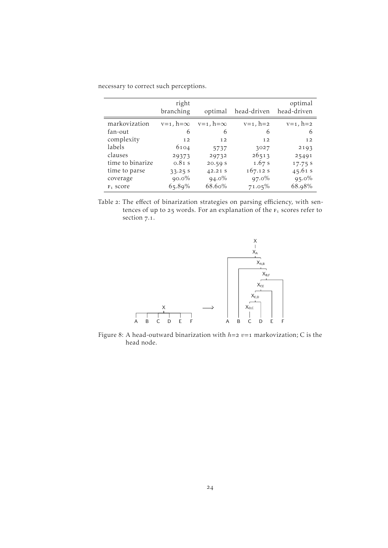<span id="page-29-1"></span>

|                  | right<br>branching | optimal            | head-driven       | optimal<br>head-driven |
|------------------|--------------------|--------------------|-------------------|------------------------|
| markovization    | $v=1$ , $h=\infty$ | $v=1$ , $h=\infty$ | $v = 1$ , $h = 2$ | $v=1$ , $h=2$          |
| fan-out          | 6                  | 6                  | 6                 | 6                      |
| complexity       | 12                 | 12                 | 12                | 12                     |
| labels           | 6104               | 5737               | 3027              | 2193                   |
| clauses          | 29373              | 29732              | 26513             | 25491                  |
| time to binarize | $0.81$ s           | 20.59S             | 1.67 s            | 17.75 s                |
| time to parse    | 33.25 S            | 42.21 S            | 167.12 s          | 45.61 s                |
| coverage         | $90.0\%$           | $94.0\%$           | $97.0\%$          | $95.0\%$               |
| $F_1$ score      | $65.89\%$          | 68.60%             | $71.05\%$         | 68.98%                 |

necessary to correct such perceptions.

Table 2: The effect of binarization strategies on parsing efficiency, with sentences of up to 25 words. For an explanation of the  $F_1$  scores refer to [section](#page-58-1) 7.1.

<span id="page-29-0"></span>

Figure 8: A head-outward binarization with  $h=$  2  $v=$  1 markovization; C is the head node.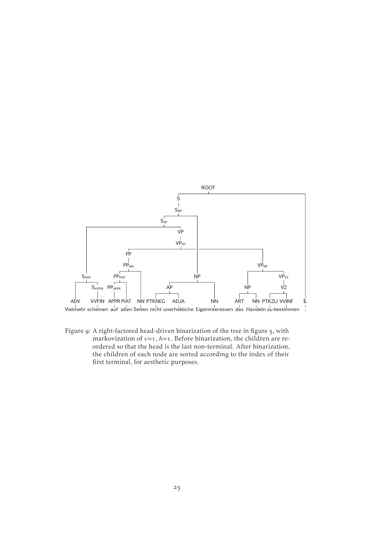<span id="page-30-0"></span>

Figure 9: A right-factored head-driven binarization of the tree in [figure](#page-20-1) 5, with markovization of  $v=1$ ,  $h=1$ . Before binarization, the children are reordered so that the head is the last non-terminal. After binarization, the children of each node are sorted according to the index of their first terminal, for aesthetic purposes.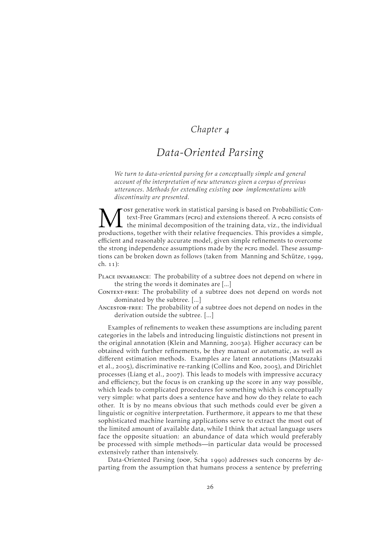### *Chapter*

# <span id="page-31-0"></span>*Data-Oriented Parsing*

*We turn to data-oriented parsing for a conceptually simple and general account of the interpretation of new utterances given a corpus of previous utterances. Methods for extending existing* dop *implementations with discontinuity are presented.*

M ost generative work in statistical parsing is based on Probabilistic Context-Free Grammars (PCFG) and extensions thereof. A PCFG consists of the minimal decomposition of the training data, viz., the individual production ost generative work in statistical parsing is based on Probabilistic Context-Free Grammars (PCFG) and extensions thereof. A PCFG consists of the minimal decomposition of the training data, viz., the individual efficient and reasonably accurate model, given simple refinements to overcome the strong independence assumptions made by the pcFG model. These assump-tions can be broken down as follows (taken from [Manning and Schütze,](#page-73-6) 1999,  $ch. 11$ :

- Place invariance: The probability of a subtree does not depend on where in the string the words it dominates are [...]
- CONTEXT-FREE: The probability of a subtree does not depend on words not dominated by the subtree. [...]
- Ancestor-free: The probability of a subtree does not depend on nodes in the derivation outside the subtree. [...]

Examples of refinements to weaken these assumptions are including parent categories in the labels and introducing linguistic distinctions not present in the original annotation [\(Klein and Manning,](#page-72-9) 2003a). Higher accuracy can be obtained with further refinements, be they manual or automatic, as well as different estimation methods. Examples are latent annotations [\(Matsuzaki](#page-73-7) [et al.,](#page-73-7) 2005), discriminative re-ranking [\(Collins and Koo,](#page-70-6) 2005), and Dirichlet processes [\(Liang et al.,](#page-73-8) 2007). This leads to models with impressive accuracy and efficiency, but the focus is on cranking up the score in any way possible, which leads to complicated procedures for something which is conceptually very simple: what parts does a sentence have and how do they relate to each other. It is by no means obvious that such methods could ever be given a linguistic or cognitive interpretation. Furthermore, it appears to me that these sophisticated machine learning applications serve to extract the most out of the limited amount of available data, while I think that actual language users face the opposite situation: an abundance of data which would preferably be processed with simple methods—in particular data would be processed extensively rather than intensively.

Data-Oriented Parsing (pop, [Scha](#page-74-5) 1990) addresses such concerns by departing from the assumption that humans process a sentence by preferring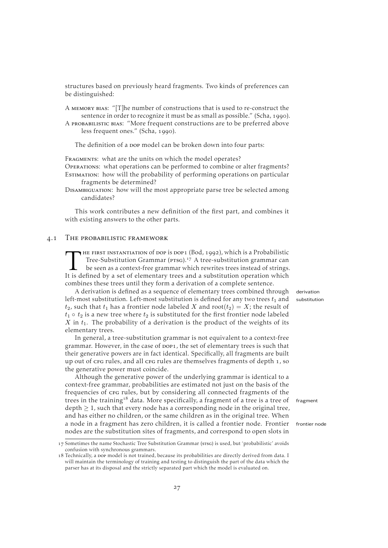structures based on previously heard fragments. Two kinds of preferences can be distinguished:

- A memory bias: "[T]he number of constructions that is used to re-construct the sentence in order to recognize it must be as small as possible." [\(Scha,](#page-74-5) 1990).
- A probabilistic bias: "More frequent constructions are to be preferred above less frequent ones." [\(Scha,](#page-74-5) 1990).

The definition of a pop model can be broken down into four parts:

FRAGMENTS: what are the units on which the model operates?

Operations: what operations can be performed to combine or alter fragments? Estimation: how will the probability of performing operations on particular fragments be determined?

Disambiguation: how will the most appropriate parse tree be selected among candidates?

This work contributes a new definition of the first part, and combines it with existing answers to the other parts.

#### 4.1 THE PROBABILISTIC FRAMEWORK

<span id="page-32-0"></span>THE FIRST INSTANTIATION of DOP is DOP1 (Bod, 1992), which is a Probabilistic<br>Tree-Substitution Grammar (PTSG).<sup>17</sup> A tree-substitution grammar can<br>be seen as a context-free grammar which rewrites trees instead of strings<br>I HE FIRST INSTANTIATION Of DOP is DOP1 [\(Bod,](#page-69-1) 1992), which is a Probabilistic Tree-Substitution Grammar (PTSG).<sup>17</sup> A tree-substitution grammar can be seen as a context-free grammar which rewrites trees instead of strings. combines these trees until they form a derivation of a complete sentence.

A derivation is defined as a sequence of elementary trees combined through derivation left-most substitution. Left-most substitution is defined for any two trees  $t_1$  and substitution  $t_2$ , such that  $t_1$  has a frontier node labeled X and root( $t_2$ ) = X; the result of  $t_1 \circ t_2$  is a new tree where  $t_2$  is substituted for the first frontier node labeled  $X$  in  $t_1$ . The probability of a derivation is the product of the weights of its elementary trees.

In general, a tree-substitution grammar is not equivalent to a context-free grammar. However, in the case of pop1, the set of elementary trees is such that their generative powers are in fact identical. Specifically, all fragments are built up out of crg rules, and all crg rules are themselves fragments of depth 1, so the generative power must coincide.

Although the generative power of the underlying grammar is identical to a context-free grammar, probabilities are estimated not just on the basis of the frequencies of crg rules, but by considering all connected fragments of the trees in the training<sup>18</sup> data. More specifically, a fragment of a tree is a tree of fragment  $depth \geq 1$ , such that every node has a corresponding node in the original tree, and has either no children, or the same children as in the original tree. When a node in a fragment has zero children, it is called a frontier node. Frontier frontier node nodes are the substitution sites of fragments, and correspond to open slots in

<sup>17</sup> Sometimes the name Stochastic Tree Substitution Grammar (srsg) is used, but 'probabilistic' avoids confusion with synchronous grammars.

<sup>18</sup> Technically, a por model is not trained, because its probabilities are directly derived from data. I will maintain the terminology of training and testing to distinguish the part of the data which the parser has at its disposal and the strictly separated part which the model is evaluated on.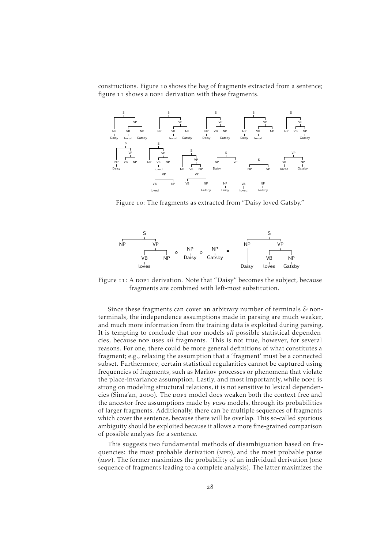constructions. [Figure](#page-33-0) 10 shows the bag of fragments extracted from a sentence; [figure](#page-33-1) 11 shows a pop1 derivation with these fragments.

<span id="page-33-0"></span>

Figure 10: The fragments as extracted from "Daisy loved Gatsby."

<span id="page-33-1"></span>

Figure 11: A pop1 derivation. Note that "Daisy" becomes the subject, because fragments are combined with left-most substitution.

Since these fragments can cover an arbitrary number of terminals *&* nonterminals, the independence assumptions made in parsing are much weaker, and much more information from the training data is exploited during parsing. It is tempting to conclude that pop models *all* possible statistical dependencies, because dop uses *all* fragments. This is not true, however, for several reasons. For one, there could be more general definitions of what constitutes a fragment; e.g., relaxing the assumption that a 'fragment' must be a connected subset. Furthermore, certain statistical regularities cannot be captured using frequencies of fragments, such as Markov processes or phenomena that violate the place-invariance assumption. Lastly, and most importantly, while pop1 is strong on modeling structural relations, it is not sensitive to lexical dependen-cies [\(Sima'an,](#page-75-11) 2000). The pop1 model does weaken both the context-free and the ancestor-free assumptions made by pcrg models, through its probabilities of larger fragments. Additionally, there can be multiple sequences of fragments which cover the sentence, because there will be overlap. This so-called spurious ambiguity should be exploited because it allows a more fine-grained comparison of possible analyses for a sentence.

This suggests two fundamental methods of disambiguation based on frequencies: the most probable derivation (MPD), and the most probable parse (mpp). The former maximizes the probability of an individual derivation (one sequence of fragments leading to a complete analysis). The latter maximizes the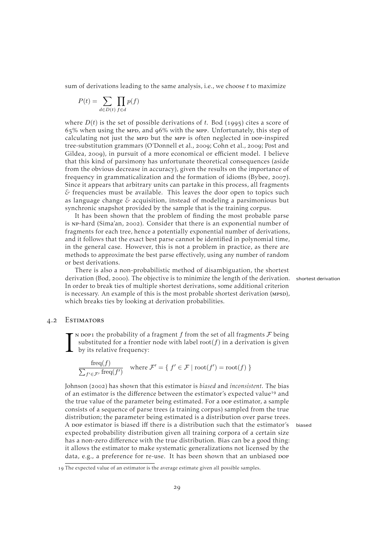sum of derivations leading to the same analysis, i.e., we choose  $t$  to maximize

$$
P(t) = \sum_{d \in D(t)} \prod_{f \in d} p(f)
$$

where  $D(t)$  is the set of possible derivations of t. [Bod](#page-69-2) (1995) cites a score of  $65\%$  when using the MPD, and 96% with the MPP. Unfortunately, this step of calculating not just the MPD but the MPP is often neglected in DOP-inspired tree-substitution grammars [\(O'Donnell et al.,](#page-73-9) 2009; [Cohn et al.,](#page-70-7) 2009; [Post and](#page-74-6) [Gildea,](#page-74-6) 2009), in pursuit of a more economical or efficient model. I believe that this kind of parsimony has unfortunate theoretical consequences (aside from the obvious decrease in accuracy), given the results on the importance of frequency in grammaticalization and the formation of idioms [\(Bybee,](#page-70-8) 2007). Since it appears that arbitrary units can partake in this process, all fragments *&* frequencies must be available. This leaves the door open to topics such as language change *&* acquisition, instead of modeling a parsimonious but synchronic snapshot provided by the sample that is the training corpus.

It has been shown that the problem of finding the most probable parse is NP-hard [\(Sima'an,](#page-75-12) 2002). Consider that there is an exponential number of fragments for each tree, hence a potentially exponential number of derivations, and it follows that the exact best parse cannot be identified in polynomial time, in the general case. However, this is not a problem in practice, as there are methods to approximate the best parse effectively, using any number of random or best derivations.

There is also a non-probabilistic method of disambiguation, the shortest derivation [\(Bod,](#page-69-3) 2000). The objective is to minimize the length of the derivation. shortest derivation In order to break ties of multiple shortest derivations, some additional criterion is necessary. An example of this is the most probable shortest derivation (MPSD), which breaks ties by looking at derivation probabilities.

#### . Estimators

<span id="page-34-0"></span>I  $\mathbf{r}$  N DOP1 the probability of a fragment f from the set of all fragments  $\mathcal F$  being substituted for a frontier node with label  $root(f)$  in a derivation is given by its relative frequency:

$$
\frac{\text{freq}(f)}{\sum_{f' \in \mathcal{F}'} \text{freq}(f')} \quad \text{where } \mathcal{F}' = \{ f' \in \mathcal{F} \mid \text{root}(f') = \text{root}(f) \}
$$

[Johnson](#page-72-11) (2002) has shown that this estimator is *biased* and *inconsistent*. The bias of an estimator is the difference between the estimator's expected value<sup>19</sup> and the true value of the parameter being estimated. For a pop estimator, a sample consists of a sequence of parse trees (a training corpus) sampled from the true distribution; the parameter being estimated is a distribution over parse trees. A dop estimator is biased iff there is a distribution such that the estimator's biased expected probability distribution given all training corpora of a certain size has a non-zero difference with the true distribution. Bias can be a good thing: it allows the estimator to make systematic generalizations not licensed by the data, e.g., a preference for re-use. It has been shown that an unbiased pop

The expected value of an estimator is the average estimate given all possible samples.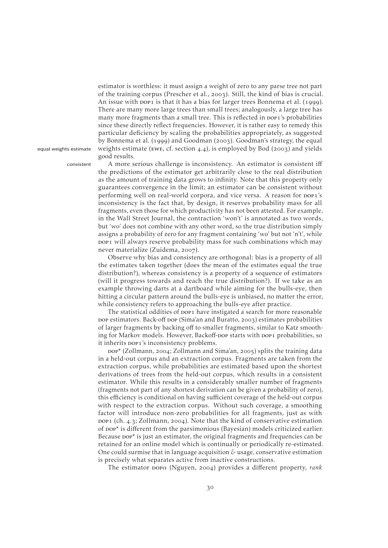estimator is worthless: it must assign a weight of zero to any parse tree not part of the training corpus [\(Prescher et al.,](#page-74-7) 2003). Still, the kind of bias is crucial. An issue with pop1 is that it has a bias for larger trees [Bonnema et al.](#page-70-9) (1999). There are many more large trees than small trees; analogously, a large tree has many more fragments than a small tree. This is reflected in pop1's probabilities since these directly reflect frequencies. However, it is rather easy to remedy this particular deficiency by scaling the probabilities appropriately, as suggested by [Bonnema et al.](#page-70-9) (1999) and [Goodman](#page-71-9) (2003). Goodman's strategy, the equal equal weights estimate weights estimate (EWE, cf. [section](#page-37-1)  $4.4$ ), is employed by [Bod](#page-69-4) (2003) and yields good results.

consistent A more serious challenge is inconsistency. An estimator is consistent iff the predictions of the estimator get arbitrarily close to the real distribution as the amount of training data grows to infinity. Note that this property only guarantees convergence in the limit; an estimator can be consistent without performing well on real-world corpora, and vice versa. A reason for pop1's inconsistency is the fact that, by design, it reserves probability mass for all fragments, even those for which productivity has not been attested. For example, in the Wall Street Journal, the contraction 'won't' is annotated as two words, but 'wo' does not combine with any other word, so the true distribution simply assigns a probability of zero for any fragment containing 'wo' but not 'n't', while pop1 will always reserve probability mass for such combinations which may never materialize [\(Zuidema,](#page-76-1) 2007).

> Observe why bias and consistency are orthogonal: bias is a property of all the estimates taken together (does the mean of the estimates equal the true distribution?), whereas consistency is a property of a sequence of estimators (will it progress towards and reach the true distribution?). If we take as an example throwing darts at a dartboard while aiming for the bulls-eye, then hitting a circular pattern around the bulls-eye is unbiased, no matter the error, while consistency refers to approaching the bulls-eye after practice.

> The statistical oddities of pop1 have instigated a search for more reasonable pop estimators. Back-off pop [\(Sima'an and Buratto,](#page-75-13) 2003) estimates probabilities of larger fragments by backing off to smaller fragments, similar to Katz smoothing for Markov models. However, Backoff-pop starts with pop1 probabilities, so it inherits pop1's inconsistency problems.

> $\text{pop}^*$  [\(Zollmann,](#page-76-2) 2004; [Zollmann and Sima'an,](#page-76-3) 2005) splits the training data in a held-out corpus and an extraction corpus. Fragments are taken from the extraction corpus, while probabilities are estimated based upon the shortest derivations of trees from the held-out corpus, which results in a consistent estimator. While this results in a considerably smaller number of fragments (fragments not part of any shortest derivation can be given a probability of zero), this efficiency is conditional on having sufficient coverage of the held-out corpus with respect to the extraction corpus. Without such coverage, a smoothing factor will introduce non-zero probabilities for all fragments, just as with pop1 (ch. 4.3; [Zollmann,](#page-76-2) 2004). Note that the kind of conservative estimation of dop\* is different from the parsimonious (Bayesian) models criticized earlier. Because  $\text{pop*}$  is just an estimator, the original fragments and frequencies can be retained for an online model which is continually or periodically re-estimated. One could surmise that in language acquisition *&* usage, conservative estimation is precisely what separates active from inactive constructions.

The estimator *popα* [\(Nguyen,](#page-73-10) 2004) provides a different property, *rank*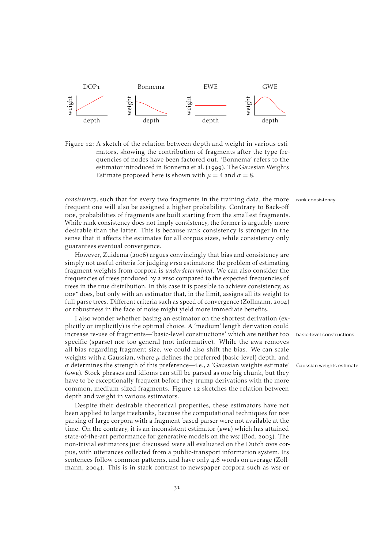<span id="page-36-0"></span>

Figure 12: A sketch of the relation between depth and weight in various estimators, showing the contribution of fragments after the type frequencies of nodes have been factored out. 'Bonnema' refers to the estimator introduced in [Bonnema et al.](#page-70-0) (1999). The Gaussian Weights Estimate proposed here is shown with  $\mu = 4$  and  $\sigma = 8$ .

*consistency*, such that for every two fragments in the training data, the more rank consistency frequent one will also be assigned a higher probability. Contrary to Back-off bop, probabilities of fragments are built starting from the smallest fragments. While rank consistency does not imply consistency, the former is arguably more desirable than the latter. This is because rank consistency is stronger in the sense that it affects the estimates for all corpus sizes, while consistency only guarantees eventual convergence.

However, [Zuidema](#page-76-0) (2006) argues convincingly that bias and consistency are simply not useful criteria for judging prsg estimators: the problem of estimating fragment weights from corpora is *underdetermined*. We can also consider the frequencies of trees produced by a prsg compared to the expected frequencies of trees in the true distribution. In this case it is possible to achieve consistency, as dop\* does, but only with an estimator that, in the limit, assigns all its weight to full parse trees. Different criteria such as speed of convergence [\(Zollmann,](#page-76-1) 2004) or robustness in the face of noise might yield more immediate benefits.

I also wonder whether basing an estimator on the shortest derivation (explicitly or implicitly) is the optimal choice. A 'medium' length derivation could increase re-use of fragments—'basic-level constructions' which are neither too basic-level constructions specific (sparse) nor too general (not informative). While the ewe removes all bias regarding fragment size, we could also shift the bias. We can scale weights with a Gaussian, where  $\mu$  defines the preferred (basic-level) depth, and  $\sigma$  determines the strength of this preference—i.e., a 'Gaussian weights estimate' Gaussian weights estimate (gwe). Stock phrases and idioms can still be parsed as one big chunk, but they have to be exceptionally frequent before they trump derivations with the more common, medium-sized fragments. [Figure](#page-36-0) 12 sketches the relation between depth and weight in various estimators.

Despite their desirable theoretical properties, these estimators have not been applied to large treebanks, because the computational techniques for DOP parsing of large corpora with a fragment-based parser were not available at the time. On the contrary, it is an inconsistent estimator (ewe) which has attained state-of-the-art performance for generative models on the wsj [\(Bod,](#page-69-0) 2003). The non-trivial estimators just discussed were all evaluated on the Dutch ovis corpus, with utterances collected from a public-transport information system. Its sentences follow common patterns, and have only 4.6 words on average [\(Zoll](#page-76-1)[mann,](#page-76-1)  $2004$ ). This is in stark contrast to newspaper corpora such as wsj or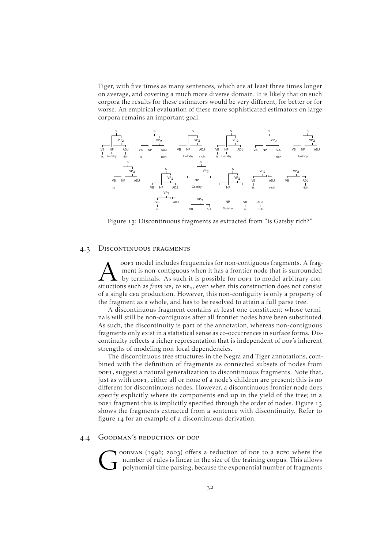Tiger, with five times as many sentences, which are at least three times longer on average, and covering a much more diverse domain. It is likely that on such corpora the results for these estimators would be very different, for better or for worse. An empirical evaluation of these more sophisticated estimators on large corpora remains an important goal.

<span id="page-37-0"></span>

Figure 13: Discontinuous fragments as extracted from "is Gatsby rich?"

#### 4.3 DISCONTINUOUS FRAGMENTS

**A** pop1 model includes frequencies for non-contiguous fragments. A fragment is non-contiguous when it has a frontier node that is surrounded by terminals. As such it is possible for pop1 to model arbitrary constructions s pop1 model includes frequencies for non-contiguous fragments. A fragment is non-contiguous when it has a frontier node that is surrounded by terminals. As such it is possible for DOP1 to model arbitrary conof a single crg production. However, this non-contiguity is only a property of the fragment as a whole, and has to be resolved to attain a full parse tree.

A discontinuous fragment contains at least one constituent whose terminals will still be non-contiguous after all frontier nodes have been substituted. As such, the discontinuity is part of the annotation, whereas non-contiguous fragments only exist in a statistical sense as co-occurrences in surface forms. Discontinuity reflects a richer representation that is independent of pop's inherent strengths of modeling non-local dependencies.

The discontinuous tree structures in the Negra and Tiger annotations, combined with the definition of fragments as connected subsets of nodes from pop<sub>1</sub>, suggest a natural generalization to discontinuous fragments. Note that, just as with pop1, either all or none of a node's children are present; this is no different for discontinuous nodes. However, a discontinuous frontier node does specify explicitly where its components end up in the yield of the tree; in a pop1 fragment this is implicitly specified through the order of nodes. [Figure](#page-37-0) 13 shows the fragments extracted from a sentence with discontinuity. Refer to [figure](#page-38-0) 14 for an example of a discontinuous derivation.

#### . Goodman's reduction of dop

G  $0$ OODMAN (1996; 2003) offers a reduction of DOP to a PCFG where the number of rules is linear in the size of the training corpus. This allows polynomial time parsing, because the exponential number of fragments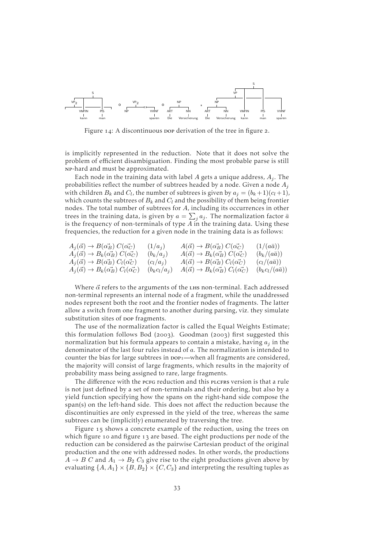<span id="page-38-0"></span>

Figure 14: A discontinuous pop derivation of the tree in [figure](#page-11-0) 2.

is implicitly represented in the reduction. Note that it does not solve the problem of efficient disambiguation. Finding the most probable parse is still np-hard and must be approximated.

Each node in the training data with label  $A$  gets a unique address,  $A_i$ . The probabilities reflect the number of subtrees headed by a node. Given a node  $A_j$ with children  $B_k$  and  $C_l$ , the number of subtrees is given by  $a_j=(b_k+1)(c_l+1)$ , which counts the subtrees of  $B_k$  and  $C_l$  and the possibility of them being frontier nodes. The total number of subtrees for A, including its occurrences in other trees in the training data, is given by  $a=\sum_j a_j.$  The normalization factor  $\bar a$ is the frequency of non-terminals of type  $A$  in the training data. Using these frequencies, the reduction for a given node in the training data is as follows:

| $A_j(\vec{\alpha}) \rightarrow B(\vec{\alpha_B}) C(\vec{\alpha_C})$     | $(1/a_i)$       | $A(\vec{\alpha}) \rightarrow B(\vec{\alpha_B}) C(\vec{\alpha_C})$     | $(1/(a\bar{a}))$       |
|-------------------------------------------------------------------------|-----------------|-----------------------------------------------------------------------|------------------------|
| $A_j(\vec{\alpha}) \rightarrow B_k(\vec{\alpha_B}) C(\vec{\alpha_C})$   | $(b_k/a_i)$     | $A(\vec{\alpha}) \rightarrow B_k(\vec{\alpha_B}) C(\vec{\alpha_C})$   | $(b_k/(a\bar{a}))$     |
| $A_i(\vec{\alpha}) \rightarrow B(\vec{\alpha_B}) C_l(\vec{\alpha_C})$   | $(c_l/a_j)$     | $A(\vec{\alpha}) \rightarrow B(\vec{\alpha_B}) C_l(\vec{\alpha_C})$   | $(c_l/(a\bar{a}))$     |
| $A_i(\vec{\alpha}) \rightarrow B_k(\vec{\alpha_B}) C_l(\vec{\alpha_C})$ | $(b_k c_l/a_j)$ | $A(\vec{\alpha}) \rightarrow B_k(\vec{\alpha_B}) C_l(\vec{\alpha_C})$ | $(b_k c_l/(a\bar{a}))$ |

Where  $\vec{\alpha}$  refers to the arguments of the LHs non-terminal. Each addressed non-terminal represents an internal node of a fragment, while the unaddressed nodes represent both the root and the frontier nodes of fragments. The latter allow a switch from one fragment to another during parsing, viz. they simulate substitution sites of pop fragments.

The use of the normalization factor is called the Equal Weights Estimate; this formulation follows [Bod](#page-69-0) (2003). [Goodman](#page-71-1) (2003) first suggested this normalization but his formula appears to contain a mistake, having  $a_i$  in the denominator of the last four rules instead of a. The normalization is intended to counter the bias for large subtrees in  $pop_1$ —when all fragments are considered, the majority will consist of large fragments, which results in the majority of probability mass being assigned to rare, large fragments.

The difference with the pcfg reduction and this plcfres version is that a rule is not just defined by a set of non-terminals and their ordering, but also by a yield function specifying how the spans on the right-hand side compose the span(s) on the left-hand side. This does not affect the reduction because the discontinuities are only expressed in the yield of the tree, whereas the same subtrees can be (implicitly) enumerated by traversing the tree.

[Figure](#page-39-0) 15 shows a concrete example of the reduction, using the trees on which [figure](#page-37-0) 10 and figure 13 are based. The eight productions per node of the reduction can be considered as the pairwise Cartesian product of the original production and the one with addressed nodes. In other words, the productions  $A \rightarrow B C$  and  $A_1 \rightarrow B_2 C_3$  give rise to the eight productions given above by evaluating  $\{A, A_1\} \times \{B, B_2\} \times \{C, C_3\}$  and interpreting the resulting tuples as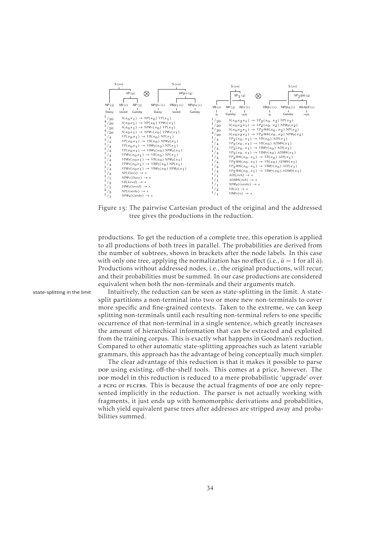<span id="page-39-0"></span>

Figure 15: The pairwise Cartesian product of the original and the addressed tree gives the productions in the reduction.

productions. To get the reduction of a complete tree, this operation is applied to all productions of both trees in parallel. The probabilities are derived from the number of subtrees, shown in brackets after the node labels. In this case with only one tree, applying the normalization has no effect (i.e.,  $\bar{a} = 1$  for all  $\bar{a}$ ). Productions without addressed nodes, i.e., the original productions, will recur, and their probabilities must be summed. In our case productions are considered equivalent when both the non-terminals and their arguments match.

state-splitting in the limit Intuitively, the reduction can be seen as state-splitting in the limit. A statesplit partitions a non-terminal into two or more new non-terminals to cover more specific and fine-grained contexts. Taken to the extreme, we can keep splitting non-terminals until each resulting non-terminal refers to one specific occurrence of that non-terminal in a single sentence, which greatly increases the amount of hierarchical information that can be extracted and exploited from the training corpus. This is exactly what happens in Goodman's reduction. Compared to other automatic state-splitting approaches such as latent variable grammars, this approach has the advantage of being conceptually much simpler.

The clear advantage of this reduction is that it makes it possible to parse pop using existing, off-the-shelf tools. This comes at a price, however. The pop model in this reduction is reduced to a mere probabilistic 'upgrade' over a pcrg or plcfrs. This is because the actual fragments of pop are only represented implicitly in the reduction. The parser is not actually working with fragments, it just ends up with homomorphic derivations and probabilities, which yield equivalent parse trees after addresses are stripped away and probabilities summed.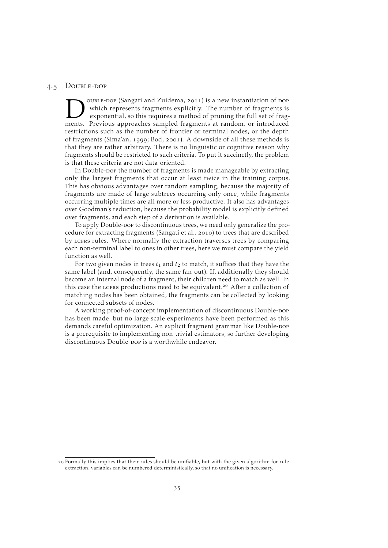#### 4.5 DOUBLE-DOP

**DELE-DOP** (Sangati and Zuidema, 2011) is a new instantiation of DOP which represents fragments explicitly. The number of fragments is exponential, so this requires a method of pruning the full set of fragments. Previous a ouble-dop [\(Sangati and Zuidema,](#page-74-0) 2011) is a new instantiation of dop which represents fragments explicitly. The number of fragments is exponential, so this requires a method of pruning the full set of fragrestrictions such as the number of frontier or terminal nodes, or the depth of fragments [\(Sima'an,](#page-74-1) 1999; [Bod,](#page-69-1) 2001). A downside of all these methods is that they are rather arbitrary. There is no linguistic or cognitive reason why fragments should be restricted to such criteria. To put it succinctly, the problem is that these criteria are not data-oriented.

In Double-pop the number of fragments is made manageable by extracting only the largest fragments that occur at least twice in the training corpus. This has obvious advantages over random sampling, because the majority of fragments are made of large subtrees occurring only once, while fragments occurring multiple times are all more or less productive. It also has advantages over Goodman's reduction, because the probability model is explicitly defined over fragments, and each step of a derivation is available.

To apply Double-pop to discontinuous trees, we need only generalize the pro-cedure for extracting fragments [\(Sangati et al.,](#page-74-2) 2010) to trees that are described by LCFRS rules. Where normally the extraction traverses trees by comparing each non-terminal label to ones in other trees, here we must compare the yield function as well.

For two given nodes in trees  $t_1$  and  $t_2$  to match, it suffices that they have the same label (and, consequently, the same fan-out). If, additionally they should become an internal node of a fragment, their children need to match as well. In this case the LCFRS productions need to be equivalent.<sup>20</sup> After a collection of matching nodes has been obtained, the fragments can be collected by looking for connected subsets of nodes.

A working proof-of-concept implementation of discontinuous Double-pop has been made, but no large scale experiments have been performed as this demands careful optimization. An explicit fragment grammar like Double-pop is a prerequisite to implementing non-trivial estimators, so further developing discontinuous Double-pop is a worthwhile endeavor.

 Formally this implies that their rules should be unifiable, but with the given algorithm for rule extraction, variables can be numbered deterministically, so that no unification is necessary.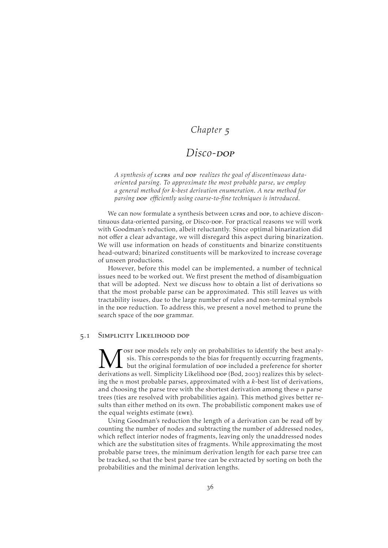### *Chapter*

### Disco-<sub>DOP</sub>

A synthesis of LCFRS and DOP realizes the goal of discontinuous data*oriented parsing. To approximate the most probable parse, we employ a general method for* k*-best derivation enumeration. A new method for parsing pop efficiently* using coarse-to-fine techniques is introduced.

We can now formulate a synthesis between LCFRS and DOP, to achieve discontinuous data-oriented parsing, or Disco-Dop. For practical reasons we will work with Goodman's reduction, albeit reluctantly. Since optimal binarization did not offer a clear advantage, we will disregard this aspect during binarization. We will use information on heads of constituents and binarize constituents head-outward; binarized constituents will be markovized to increase coverage of unseen productions.

However, before this model can be implemented, a number of technical issues need to be worked out. We first present the method of disambiguation that will be adopted. Next we discuss how to obtain a list of derivations so that the most probable parse can be approximated. This still leaves us with tractability issues, due to the large number of rules and non-terminal symbols in the pop reduction. To address this, we present a novel method to prune the search space of the pop grammar.

#### . Simplicity Likelihood dop

M ost pop models rely only on probabilities to identify the best analy-<br>sis. This corresponds to the bias for frequently occurring fragments,<br>derivations as well. Simplicity Likelihood pop [\(Bod,](#page-69-0) 2003) realizes this by sele ost pop models rely only on probabilities to identify the best analysis. This corresponds to the bias for frequently occurring fragments,  $\mathsf{\mathsf{L}}$  but the original formulation of pop included a preference for shorter ing the  $n$  most probable parses, approximated with a  $k$ -best list of derivations, and choosing the parse tree with the shortest derivation among these  $n$  parse trees (ties are resolved with probabilities again). This method gives better results than either method on its own. The probabilistic component makes use of the equal weights estimate (ewe).

Using Goodman's reduction the length of a derivation can be read off by counting the number of nodes and subtracting the number of addressed nodes, which reflect interior nodes of fragments, leaving only the unaddressed nodes which are the substitution sites of fragments. While approximating the most probable parse trees, the minimum derivation length for each parse tree can be tracked, so that the best parse tree can be extracted by sorting on both the probabilities and the minimal derivation lengths.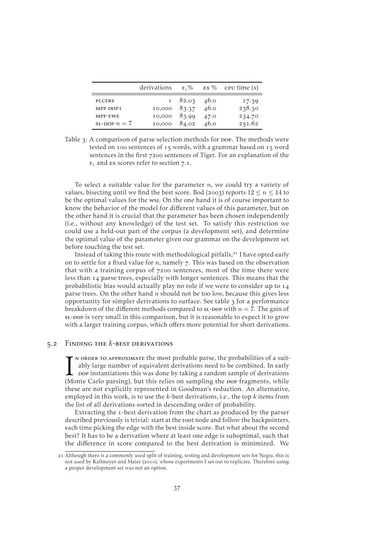<span id="page-42-0"></span>

|                   | derivations  |                          |      | $F_1\%$ EX % CPU time (s) |
|-------------------|--------------|--------------------------|------|---------------------------|
| <b>PLCFRS</b>     |              | $1\quad 82.03\quad 46.0$ |      | 17.39                     |
| MPP DOP1          | 10,000 83.37 |                          | 46.0 | 238.30                    |
| MPP EWE           | 10,000       | 83.99                    | 47.0 | 234.70                    |
| $SL$ -DOP $n = 7$ | 10,000       | 84.02                    | 46.0 | 251.62                    |

Table 3: A comparison of parse selection methods for pop. The methods were tested on 100 sentences of 15 words, with a grammar based on 15 word sentences in the first 7200 sentences of Tiger. For an explanation of the  $F_1$  and  $EX$  scores refer to [section](#page-58-0) 7.1.

To select a suitable value for the parameter  $n$ , we could try a variety of values, bisecting until we find the best score. [Bod](#page-69-0) (2003) reports  $12 \le n \le 14$  to be the optimal values for the wsj. On the one hand it is of course important to know the behavior of the model for different values of this parameter, but on the other hand it is crucial that the parameter has been chosen independently (i.e., without any knowledge) of the test set. To satisfy this restriction we could use a held-out part of the corpus (a development set), and determine the optimal value of the parameter given our grammar on the development set before touching the test set.

Instead of taking this route with methodological pitfalls,<sup>21</sup> I have opted early on to settle for a fixed value for  $n$ , namely  $7$ . This was based on the observation that with a training corpus of 7200 sentences, most of the time there were less than 14 parse trees, especially with longer sentences. This means that the probabilistic bias would actually play no role if we were to consider up to parse trees. On the other hand  $n$  should not be too low, because this gives less opportunity for simpler derivations to surface. See [table](#page-42-0)  $\beta$  for a performance breakdown of the different methods compared to sL-DOP with  $n = 7$ . The gain of sL-DOP is very small in this comparison, but it is reasonable to expect it to grow with a larger training corpus, which offers more potential for short derivations.

#### . Finding the *k*-best derivations

NORDER TO APPROXIMATE the most probable parse, the probabilities of a suitably large number of equivalent derivations need to be combined. In early pop instantiations this was done by taking a random sample of derivations n order to approximate the most probable parse, the probabilities of a suitably large number of equivalent derivations need to be combined. In early bop instantiations this was done by taking a random sample of derivations these are not explicitly represented in Goodman's reduction. An alternative, employed in this work, is to use the  $k$ -best derivations, i.e., the top  $k$  items from the list of all derivations sorted in descending order of probability.

Extracting the 1-best derivation from the chart as produced by the parser described previously is trivial: start at the root node and follow the backpointers, each time picking the edge with the best inside score. But what about the second best? It has to be a derivation where at least one edge is suboptimal, such that the difference in score compared to the best derivation is minimized. We

Although there is a commonly used split of training, testing and development sets for Negra, this is not used by [Kallmeyer and Maier](#page-72-0) (2010), whose experiments I set out to replicate. Therefore using a proper development set was not an option.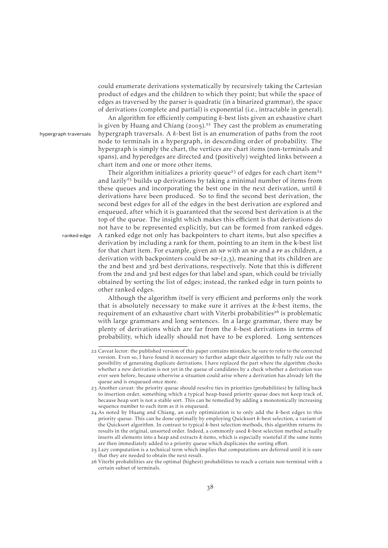could enumerate derivations systematically by recursively taking the Cartesian product of edges and the children to which they point; but while the space of edges as traversed by the parser is quadratic (in a binarized grammar), the space of derivations (complete and partial) is exponential (i.e., intractable in general).

An algorithm for efficiently computing  $k$ -best lists given an exhaustive chart is given by [Huang and Chiang](#page-72-1) (2005).<sup>22</sup> They cast the problem as enumerating hypergraph traversals hypergraph traversals. A  $k$ -best list is an enumeration of paths from the root node to terminals in a hypergraph, in descending order of probability. The hypergraph is simply the chart, the vertices are chart items (non-terminals and spans), and hyperedges are directed and (positively) weighted links between a chart item and one or more other items.

Their algorithm initializes a priority queue<sup>23</sup> of edges for each chart item<sup>24</sup> and lazily<sup>25</sup> builds up derivations by taking a minimal number of items from these queues and incorporating the best one in the next derivation, until  $k$ derivations have been produced. So to find the second best derivation, the second best edges for all of the edges in the best derivation are explored and enqueued, after which it is guaranteed that the second best derivation is at the top of the queue. The insight which makes this efficient is that derivations do not have to be represented explicitly, but can be formed from ranked edges. ranked edge A ranked edge not only has backpointers to chart items, but also specifies a derivation by including a rank for them, pointing to an item in the k-best list for that chart item. For example, given an NP with an NP and a PP as children, a derivation with backpointers could be  $NP-(2,3)$ , meaning that its children are the 2nd best and 3rd best derivations, respectively. Note that this is different from the 2nd and 3rd best edges for that label and span, which could be trivially obtained by sorting the list of edges; instead, the ranked edge in turn points to other ranked edges.

> Although the algorithm itself is very efficient and performs only the work that is absolutely necessary to make sure it arrives at the  $k$ -best items, the requirement of an exhaustive chart with Viterbi probabilities<sup>26</sup> is problematic with large grammars and long sentences. In a large grammar, there may be plenty of derivations which are far from the k-best derivations in terms of probability, which ideally should not have to be explored. Long sentences

<sup>22</sup> Caveat lector: the published version of this paper contains mistakes; be sure to refer to the corrected version. Even so, I have found it necessary to further adapt their algorithm to fully rule out the possibility of generating duplicate derivations. I have replaced the part where the algorithm checks whether a new derivation is not yet in the queue of candidates by a check whether a derivation was ever seen before, because otherwise a situation could arise where a derivation has already left the queue and is enqueued once more.

<sup>23</sup> Another caveat: the priority queue should resolve ties in priorities (probabilities) by falling back to insertion order, something which a typical heap-based priority queue does not keep track of, because heap sort is not a stable sort. This can be remedied by adding a monotonically increasing sequence number to each item as it is enqueued.

 $24$  As noted by [Huang and Chiang,](#page-72-1) an early optimization is to only add the  $k$ -best edges to this priority queue. This can be done optimally by employing Quicksort  $k$ -best selection, a variant of the Quicksort algorithm. In contrast to typical  $k$ -best selection methods, this algorithm returns its results in the original, unsorted order. Indeed, a commonly used  $k$ -best selection method actually inserts all elements into a heap and extracts  $k$  items, which is especially wasteful if the same items are then immediately added to a priority queue which duplicates the sorting effort.

Lazy computation is a technical term which implies that computations are deferred until it is sure that they are needed to obtain the next result.

<sup>26</sup> Viterbi probabilities are the optimal (highest) probabilities to reach a certain non-terminal with a certain subset of terminals.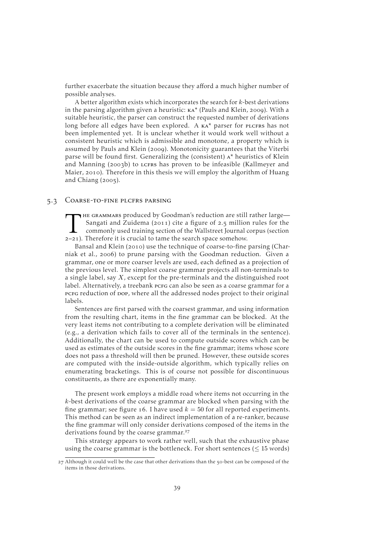further exacerbate the situation because they afford a much higher number of possible analyses.

A better algorithm exists which incorporates the search for  $k$ -best derivations in the parsing algorithm given a heuristic:  $\kappa A^*$  [\(Pauls and Klein,](#page-73-0) 2009). With a suitable heuristic, the parser can construct the requested number of derivations long before all edges have been explored. A KA\* parser for PLCFRS has not been implemented yet. It is unclear whether it would work well without a consistent heuristic which is admissible and monotone, a property which is assumed by [Pauls and Klein](#page-73-0) (2009). Monotonicity guarantees that the Viterbi parse will be found first. Generalizing the (consistent)  $A^*$  heuristics of [Klein](#page-72-2) [and Manning](#page-72-2) (2003b) to LCFRS has proven to be infeasible [\(Kallmeyer and](#page-72-0) [Maier,](#page-72-0) 2010). Therefore in this thesis we will employ the algorithm of [Huang](#page-72-1) [and Chiang](#page-72-1)  $(2005)$ .

#### 5.3 COARSE-TO-FINE PLCFRS PARSING

THE GRAMMARS produced by Goodman's reduction are still<br>Sangati and Zuidema (2011) cite a figure of 2.5 million<br>commonly used training section of the Wallstreet Journal<br>2-21). Therefore it is crucial to tame the search spac HE GRAMMARS produced by Goodman's reduction are still rather large— [Sangati and Zuidema](#page-74-0) (2011) cite a figure of 2.5 million rules for the commonly used training section of the Wallstreet Journal corpus (section

[Bansal and Klein](#page-69-2) (2010) use the technique of coarse-to-fine parsing [\(Char](#page-70-1)[niak et al.,](#page-70-1) 2006) to prune parsing with the Goodman reduction. Given a grammar, one or more coarser levels are used, each defined as a projection of the previous level. The simplest coarse grammar projects all non-terminals to a single label, say X, except for the pre-terminals and the distinguished root label. Alternatively, a treebank pcrg can also be seen as a coarse grammar for a pcFG reduction of pop, where all the addressed nodes project to their original labels.

Sentences are first parsed with the coarsest grammar, and using information from the resulting chart, items in the fine grammar can be blocked. At the very least items not contributing to a complete derivation will be eliminated (e.g., a derivation which fails to cover all of the terminals in the sentence). Additionally, the chart can be used to compute outside scores which can be used as estimates of the outside scores in the fine grammar; items whose score does not pass a threshold will then be pruned. However, these outside scores are computed with the inside-outside algorithm, which typically relies on enumerating bracketings. This is of course not possible for discontinuous constituents, as there are exponentially many.

The present work employs a middle road where items not occurring in the k-best derivations of the coarse grammar are blocked when parsing with the fine grammar; see [figure](#page-45-0) 16. I have used  $k = 50$  for all reported experiments. This method can be seen as an indirect implementation of a re-ranker, because the fine grammar will only consider derivations composed of the items in the derivations found by the coarse grammar.<sup>27</sup>

This strategy appears to work rather well, such that the exhaustive phase using the coarse grammar is the bottleneck. For short sentences  $(< 15$  words)

 $27$  Although it could well be the case that other derivations than the  $50$ -best can be composed of the items in those derivations.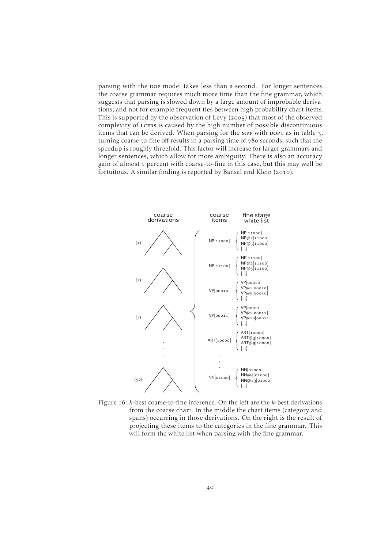parsing with the pop model takes less than a second. For longer sentences the coarse grammar requires much more time than the fine grammar, which suggests that parsing is slowed down by a large amount of improbable derivations, and not for example frequent ties between high probability chart items. This is supported by the observation of [Levy](#page-73-1) (2005) that most of the observed complexity of LCFRS is caused by the high number of possible discontinuous items that can be derived. When parsing for the MPP with pop1 as in [table](#page-42-0)  $\alpha$ , turning coarse-to-fine off results in a parsing time of  $780$  seconds, such that the speedup is roughly threefold. This factor will increase for larger grammars and longer sentences, which allow for more ambiguity. There is also an accuracy gain of almost 1 percent with coarse-to-fine in this case, but this may well be fortuitous. A similar finding is reported by [Bansal and Klein](#page-69-2) (2010).

<span id="page-45-0"></span>

Figure  $16$ :  $k$ -best coarse-to-fine inference. On the left are the  $k$ -best derivations from the coarse chart. In the middle the chart items (category and spans) occurring in those derivations. On the right is the result of projecting these items to the categories in the fine grammar. This will form the white list when parsing with the fine grammar.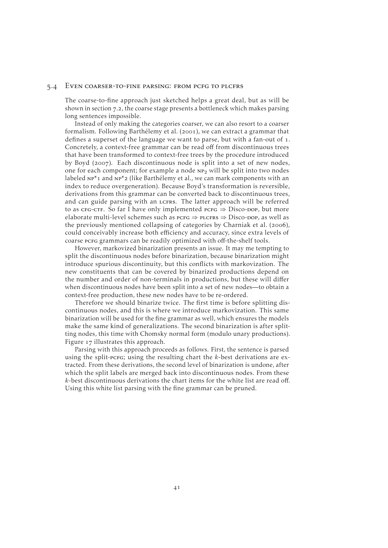#### . Even coarser-to-fine parsing: from pcfg to plcfrs

The coarse-to-fine approach just sketched helps a great deal, but as will be shown in [section](#page-61-0)  $7.2$ , the coarse stage presents a bottleneck which makes parsing long sentences impossible.

Instead of only making the categories coarser, we can also resort to a coarser formalism. Following [Barthélemy et al.](#page-69-3) (2001), we can extract a grammar that defines a superset of the language we want to parse, but with a fan-out of 1. Concretely, a context-free grammar can be read off from discontinuous trees that have been transformed to context-free trees by the procedure introduced by [Boyd](#page-70-2) (2007). Each discontinuous node is split into a set of new nodes, one for each component; for example a node  $NP<sub>2</sub>$  will be split into two nodes labeled  $NP^*$ 1 and  $NP^*$ 2 (like [Barthélemy et al.,](#page-69-3) we can mark components with an index to reduce overgeneration). Because Boyd's transformation is reversible, derivations from this grammar can be converted back to discontinuous trees, and can guide parsing with an LCFRS. The latter approach will be referred to as cfg-ctf. So far I have only implemented  $pcrG \Rightarrow Disco-DOP$ , but more elaborate multi-level schemes such as  $p_{CFG} \Rightarrow p_{LCFRS} \Rightarrow Disco-p_{OP}$ , as well as the previously mentioned collapsing of categories by [Charniak et al.](#page-70-1)  $(2006)$ , could conceivably increase both efficiency and accuracy, since extra levels of coarse pcrg grammars can be readily optimized with off-the-shelf tools.

However, markovized binarization presents an issue. It may me tempting to split the discontinuous nodes before binarization, because binarization might introduce spurious discontinuity, but this conflicts with markovization. The new constituents that can be covered by binarized productions depend on the number and order of non-terminals in productions, but these will differ when discontinuous nodes have been split into a set of new nodes—to obtain a context-free production, these new nodes have to be re-ordered.

Therefore we should binarize twice. The first time is before splitting discontinuous nodes, and this is where we introduce markovization. This same binarization will be used for the fine grammar as well, which ensures the models make the same kind of generalizations. The second binarization is after splitting nodes, this time with Chomsky normal form (modulo unary productions). [Figure](#page-47-0) 17 illustrates this approach.

Parsing with this approach proceeds as follows. First, the sentence is parsed using the split-pcfg; using the resulting chart the  $k$ -best derivations are extracted. From these derivations, the second level of binarization is undone, after which the split labels are merged back into discontinuous nodes. From these k-best discontinuous derivations the chart items for the white list are read off. Using this white list parsing with the fine grammar can be pruned.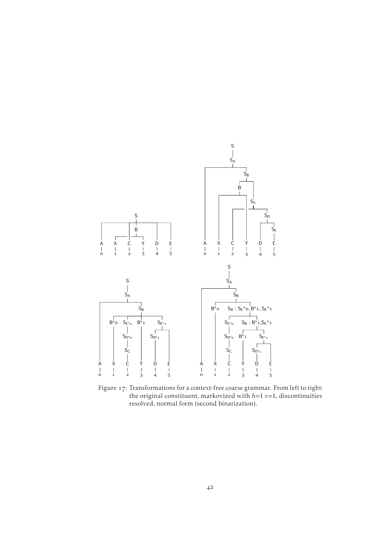<span id="page-47-0"></span>

Figure 17: Transformations for a context-free coarse grammar. From left to right: the original constituent, markovized with  $h=1$   $v=1$ , discontinuities resolved, normal form (second binarization).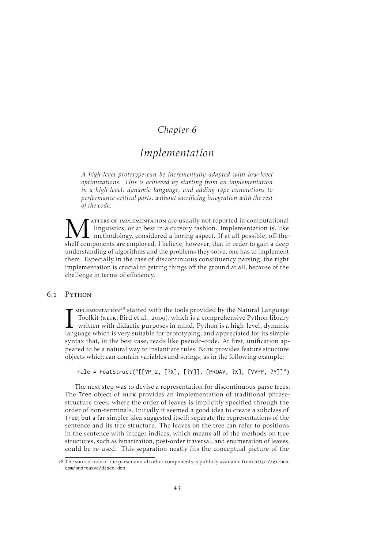### *Chapter*

# *Implementation*

*A high-level prototype can be incrementally adapted with low-level optimizations. This is achieved by starting from an implementation in a high-level, dynamic language, and adding type annotations to performance-critical parts, without sacrificing integration with the rest of the code.*

M Inguistics, or at best in a cursory fashion. Implementation is, like methodology, considered a boring aspect. If at all possible, off-the-shelf components are employed. I believe, however, that in order to gain a deep atters of implementation are usually not reported in computational linguistics, or at best in a cursory fashion. Implementation is, like methodology, considered a boring aspect. If at all possible, off-theunderstanding of algorithms and the problems they solve, one has to implement them. Especially in the case of discontinuous constituency parsing, the right implementation is crucial to getting things off the ground at all, because of the challenge in terms of efficiency.

#### 6.1 PYTHON

MPLEMENTATION<sup>28</sup> started with the tools provided by the Natural Language<br>Toolkit (NLTK; Bird et al., 2009), which is a comprehensive Python library<br>written with didactic purposes in mind. Python is a high-level, dynamic<br>l  $\sim$  mplementation<sup>28</sup> started with the tools provided by the Natural Language Toolkit (NLTK; [Bird et al.,](#page-69-4) 2009), which is a comprehensive Python library written with didactic purposes in mind. Python is a high-level, dynamic syntax that, in the best case, reads like pseudo-code. At first, unification appeared to be a natural way to instantiate rules. NLTK provides feature structure objects which can contain variables and strings, as in the following example:

rule = FeatStruct("[[VP\_2, [?X], [?Y]], [PROAV, ?X], [VVPP, ?Y]]")

The next step was to devise a representation for discontinuous parse trees. The Tree object of NLTK provides an implementation of traditional phrasestructure trees, where the order of leaves is implicitly specified through the order of non-terminals. Initially it seemed a good idea to create a subclass of Tree, but a far simpler idea suggested itself: separate the representations of the sentence and its tree structure. The leaves on the tree can refer to positions in the sentence with integer indices, which means all of the methods on tree structures, such as binarization, post-order traversal, and enumeration of leaves, could be re-used. This separation neatly fits the conceptual picture of the

<sup>28</sup> The source code of the parser and all other components is publicly available from [http://github.](http://github.com/andreasvc/disco-dop) [com/andreasvc/disco-dop](http://github.com/andreasvc/disco-dop)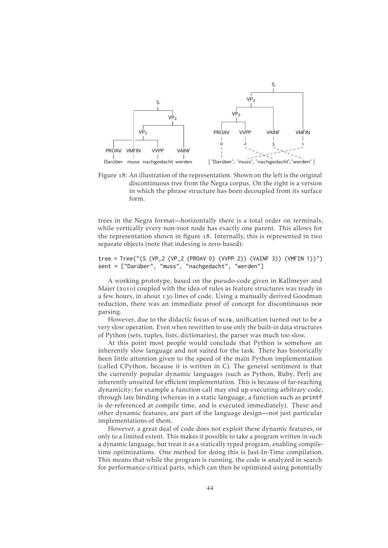<span id="page-49-0"></span>

Figure 18: An illustration of the representation. Shown on the left is the original discontinuous tree from the Negra corpus. On the right is a version in which the phrase structure has been decoupled from its surface form.

trees in the Negra format—horizontally there is a total order on terminals, while vertically every non-root node has exactly one parent. This allows for the representation shown in [figure](#page-49-0) 18. Internally, this is represented in two separate objects (note that indexing is zero-based):

#### tree = Tree("(S (VP\_2 (VP\_2 (PROAV 0) (VVPP 2)) (VAINF 3)) (VMFIN 1))") sent = ["Darüber", "muss", "nachgedacht", "werden"]

A working prototype, based on the pseudo-code given in [Kallmeyer and](#page-72-0) [Maier](#page-72-0) (2010) coupled with the idea of rules as feature structures was ready in a few hours, in about 130 lines of code. Using a manually derived Goodman reduction, there was an immediate proof of concept for discontinuous pop parsing.

However, due to the didactic focus of NLTK, unification turned out to be a very slow operation. Even when rewritten to use only the built-in data structures of Python (sets, tuples, lists, dictionaries), the parser was much too slow.

At this point most people would conclude that Python is somehow an inherently slow language and not suited for the task. There has historically been little attention given to the speed of the main Python implementation (called CPython, because it is written in C). The general sentiment is that the currently popular dynamic languages (such as Python, Ruby, Perl) are inherently unsuited for efficient implementation. This is because of far-reaching dynamicity; for example a function call may end up executing arbitrary code, through late binding (whereas in a static language, a function such as printf is de-referenced at compile time, and is executed immediately). These and other dynamic features, are part of the language design—not just particular implementations of them.

However, a great deal of code does not exploit these dynamic features, or only to a limited extent. This makes it possible to take a program written in such a dynamic language, but treat it as a statically typed program, enabling compiletime optimizations. One method for doing this is Just-In-Time compilation. This means that while the program is running, the code is analyzed in search for performance-critical parts, which can then be optimized using potentially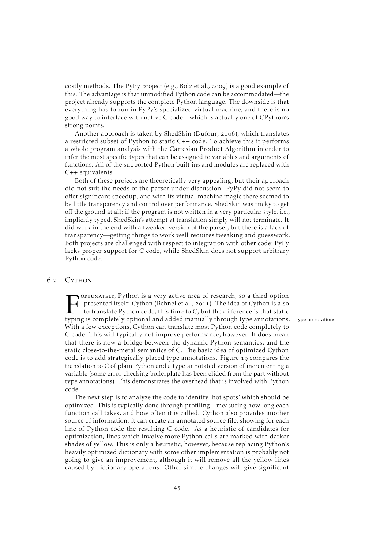costly methods. The PyPy project (e.g., [Bolz et al.,](#page-70-3) 2009) is a good example of this. The advantage is that unmodified Python code can be accommodated—the project already supports the complete Python language. The downside is that everything has to run in PyPy's specialized virtual machine, and there is no good way to interface with native C code—which is actually one of CPython's strong points.

Another approach is taken by ShedSkin [\(Dufour,](#page-71-2) 2006), which translates a restricted subset of Python to static C++ code. To achieve this it performs a whole program analysis with the Cartesian Product Algorithm in order to infer the most specific types that can be assigned to variables and arguments of functions. All of the supported Python built-ins and modules are replaced with C++ equivalents.

Both of these projects are theoretically very appealing, but their approach did not suit the needs of the parser under discussion. PyPy did not seem to offer significant speedup, and with its virtual machine magic there seemed to be little transparency and control over performance. ShedSkin was tricky to get off the ground at all: if the program is not written in a very particular style, i.e., implicitly typed, ShedSkin's attempt at translation simply will not terminate. It did work in the end with a tweaked version of the parser, but there is a lack of transparency—getting things to work well requires tweaking and guesswork. Both projects are challenged with respect to integration with other code; PyPy lacks proper support for C code, while ShedSkin does not support arbitrary Python code.

#### 6.2 CYTHON

FORTUNATELY, Python is a very active area of research, so a third option<br>presented itself: Cython (Behnel et al., 2011). The idea of Cython is also<br>to translate Python code, this time to C, but the difference is that stati ortunately, Python is a very active area of research, so a third option presented itself: Cython [\(Behnel et al.,](#page-69-5) 2011). The idea of Cython is also to translate Python code, this time to C, but the difference is that static With a few exceptions, Cython can translate most Python code completely to C code. This will typically not improve performance, however. It does mean that there is now a bridge between the dynamic Python semantics, and the static close-to-the-metal semantics of C. The basic idea of optimized Cython code is to add strategically placed type annotations. [Figure](#page-51-0) 19 compares the translation to C of plain Python and a type-annotated version of incrementing a variable (some error-checking boilerplate has been elided from the part without type annotations). This demonstrates the overhead that is involved with Python code.

The next step is to analyze the code to identify 'hot spots' which should be optimized. This is typically done through profiling—measuring how long each function call takes, and how often it is called. Cython also provides another source of information: it can create an annotated source file, showing for each line of Python code the resulting C code. As a heuristic of candidates for optimization, lines which involve more Python calls are marked with darker shades of yellow. This is only a heuristic, however, because replacing Python's heavily optimized dictionary with some other implementation is probably not going to give an improvement, although it will remove all the yellow lines caused by dictionary operations. Other simple changes will give significant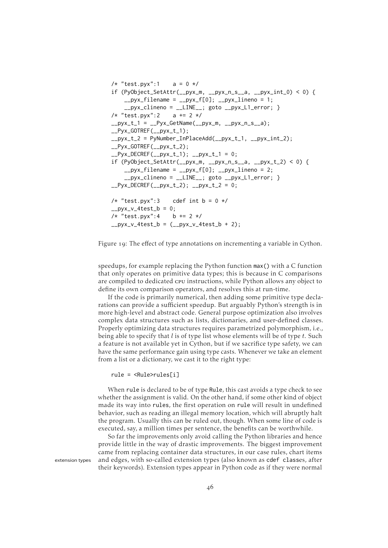```
/* "test.pyx":1   a = 0 */
if (PyObject_SetAttr(__pyx_m, __pyx_n_s__a, __pyx_int_0) < 0) {
    _{\text{up}}yx_filename = _{\text{up}}yx_f[0]; _{\text{up}}yx_lineno = 1;
     _{\text{upyx}\text{-}\text{clineno}} = \text{_{\text{allNE}\_\text{1}}} goto _{\text{upyx}\text{-}\text{L1}\_\text{error}}; }
/* "test.pyx":2   a == 2 */
_{\text{up}}yx_t_1 = __Pyx_GetName(__pyx_m, __pyx_n_s__a);
__Pyx_GOTREF(__pyx_t_1);
_{\text{up}}yx_t_2 = PyNumber_InPlaceAdd(__pyx_t_1, __pyx_int_2);
LPyx_GOTREF(Lpyx_t_2);
L_Pyx_DECREF(L_Pyx_t_1); L_Pyx_t_1 = 0;
if (PyObject\_SetAttr(\_\_pyx_m, \_\_pyx_n_s,\_\_s,\_\_pyx_t_2) < 0) {
    _{\text{up}}yx_filename = _{\text{up}}yx_f[0]; _{\text{up}}yx_lineno = 2;
     __pyx_clineno = __LINE__; goto __pyx_L1_error; }
L-Pyx_DECREF(L-pyx_t_2); L-pyx_t_2 = 0;
/* "test.pyx":3 cdef int b = 0 */
\anglepyx_v_4test_b = 0;
/* "test.pyx":4   b == 2 */
_{2.}pyx_v_4test_b = _{(-.}pyx_v_4test_b + 2);
```
Figure 19: The effect of type annotations on incrementing a variable in Cython.

speedups, for example replacing the Python function max() with a C function that only operates on primitive data types; this is because in C comparisons are compiled to dedicated cpu instructions, while Python allows any object to define its own comparison operators, and resolves this at run-time.

If the code is primarily numerical, then adding some primitive type declarations can provide a sufficient speedup. But arguably Python's strength is in more high-level and abstract code. General purpose optimization also involves complex data structures such as lists, dictionaries, and user-defined classes. Properly optimizing data structures requires parametrized polymorphism, i.e., being able to specify that  $l$  is of type list whose elements will be of type  $t$ . Such a feature is not available yet in Cython, but if we sacrifice type safety, we can have the same performance gain using type casts. Whenever we take an element from a list or a dictionary, we cast it to the right type:

rule = <Rule>rules[i]

When rule is declared to be of type Rule, this cast avoids a type check to see whether the assignment is valid. On the other hand, if some other kind of object made its way into rules, the first operation on rule will result in undefined behavior, such as reading an illegal memory location, which will abruptly halt the program. Usually this can be ruled out, though. When some line of code is executed, say, a million times per sentence, the benefits can be worthwhile.

So far the improvements only avoid calling the Python libraries and hence provide little in the way of drastic improvements. The biggest improvement came from replacing container data structures, in our case rules, chart items extension types and edges, with so-called extension types (also known as cdef classes, after their keywords). Extension types appear in Python code as if they were normal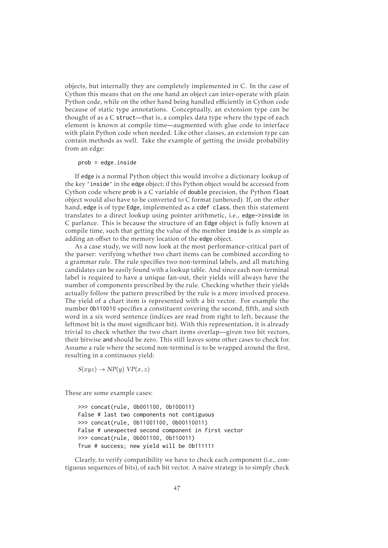objects, but internally they are completely implemented in C. In the case of Cython this means that on the one hand an object can inter-operate with plain Python code, while on the other hand being handled efficiently in Cython code because of static type annotations. Conceptually, an extension type can be thought of as a C struct—that is, a complex data type where the type of each element is known at compile time—augmented with glue code to interface with plain Python code when needed. Like other classes, an extension type can contain methods as well. Take the example of getting the inside probability from an edge:

#### prob = edge.inside

If edge is a normal Python object this would involve a dictionary lookup of the key 'inside' in the edge object; if this Python object would be accessed from Cython code where prob is a C variable of double precision, the Python float object would also have to be converted to C format (unboxed). If, on the other hand, edge is of type Edge, implemented as a cdef class, then this statement translates to a direct lookup using pointer arithmetic, i.e., edge->inside in C parlance. This is because the structure of an Edge object is fully known at compile time, such that getting the value of the member inside is as simple as adding an offset to the memory location of the edge object.

As a case study, we will now look at the most performance-critical part of the parser: verifying whether two chart items can be combined according to a grammar rule. The rule specifies two non-terminal labels, and all matching candidates can be easily found with a lookup table. And since each non-terminal label is required to have a unique fan-out, their yields will always have the number of components prescribed by the rule. Checking whether their yields actually follow the pattern prescribed by the rule is a more involved process. The yield of a chart item is represented with a bit vector. For example the number 0b110010 specifies a constituent covering the second, fifth, and sixth word in a six word sentence (indices are read from right to left, because the leftmost bit is the most significant bit). With this representation, it is already trivial to check whether the two chart items overlap—given two bit vectors, their bitwise and should be zero. This still leaves some other cases to check for. Assume a rule where the second non-terminal is to be wrapped around the first, resulting in a continuous yield:

 $S(xyz) \rightarrow NP(y) VP(x, z)$ 

These are some example cases:

>>> concat(rule, 0b001100, 0b100011) False # last two components not contiguous >>> concat(rule, 0b11001100, 0b00110011) False # unexpected second component in first vector >>> concat(rule, 0b001100, 0b110011) True # success; new yield will be 0b111111

Clearly, to verify compatibility we have to check each component (i.e., contiguous sequences of bits), of each bit vector. A naive strategy is to simply check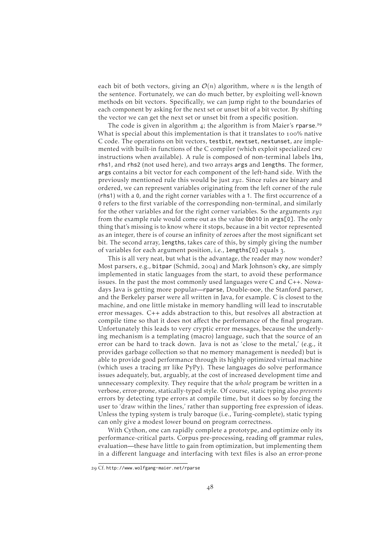each bit of both vectors, giving an  $\mathcal{O}(n)$  algorithm, where *n* is the length of the sentence. Fortunately, we can do much better, by exploiting well-known methods on bit vectors. Specifically, we can jump right to the boundaries of each component by asking for the next set or unset bit of a bit vector. By shifting the vector we can get the next set or unset bit from a specific position.

The code is given in [algorithm](#page-54-0) 4; the algorithm is from Maier's rparse.<sup>29</sup> What is special about this implementation is that it translates to 100% native C code. The operations on bit vectors, testbit, nextset, nextunset, are implemented with built-in functions of the C compiler (which exploit specialized cpu instructions when available). A rule is composed of non-terminal labels lhs, rhs1, and rhs2 (not used here), and two arrays args and lengths. The former, args contains a bit vector for each component of the left-hand side. With the previously mentioned rule this would be just xyz. Since rules are binary and ordered, we can represent variables originating from the left corner of the rule (rhs1) with a 0, and the right corner variables with a 1. The first occurrence of a 0 refers to the first variable of the corresponding non-terminal, and similarly for the other variables and for the right corner variables. So the arguments  $xyz$ from the example rule would come out as the value 0b010 in args[0]. The only thing that's missing is to know where it stops, because in a bit vector represented as an integer, there is of course an infinity of zeroes after the most significant set bit. The second array, lengths, takes care of this, by simply giving the number of variables for each argument position, i.e., lengths[0] equals 3.

This is all very neat, but what is the advantage, the reader may now wonder? Most parsers, e.g., bitpar [\(Schmid,](#page-74-3) 2004) and Mark Johnson's cky, are simply implemented in static languages from the start, to avoid these performance issues. In the past the most commonly used languages were C and C++. Nowadays Java is getting more popular—rparse, Double-pop, the Stanford parser, and the Berkeley parser were all written in Java, for example. C is closest to the machine, and one little mistake in memory handling will lead to inscrutable error messages. C++ adds abstraction to this, but resolves all abstraction at compile time so that it does not affect the performance of the final program. Unfortunately this leads to very cryptic error messages, because the underlying mechanism is a templating (macro) language, such that the source of an error can be hard to track down. Java is not as 'close to the metal,' (e.g., it provides garbage collection so that no memory management is needed) but is able to provide good performance through its highly optimized virtual machine (which uses a tracing  $\mu$  like PyPy). These languages do solve performance issues adequately, but, arguably, at the cost of increased development time and unnecessary complexity. They require that the *whole* program be written in a verbose, error-prone, statically-typed style. Of course, static typing also *prevents* errors by detecting type errors at compile time, but it does so by forcing the user to 'draw within the lines,' rather than supporting free expression of ideas. Unless the typing system is truly baroque (i.e., Turing-complete), static typing can only give a modest lower bound on program correctness.

With Cython, one can rapidly complete a prototype, and optimize only its performance-critical parts. Corpus pre-processing, reading off grammar rules, evaluation—these have little to gain from optimization, but implementing them in a different language and interfacing with text files is also an error-prone

Cf. <http://www.wolfgang-maier.net/rparse>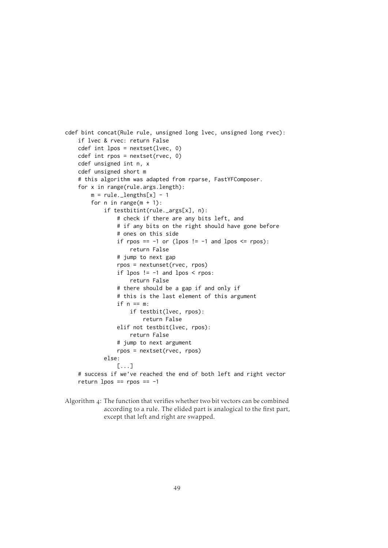```
cdef bint concat(Rule rule, unsigned long lvec, unsigned long rvec):
    if lvec & rvec: return False
    cdef int lpos = nextset(lvec, 0)
   cdef int rpos = nextset(rvec, 0)
    cdef unsigned int n, x
    cdef unsigned short m
    # this algorithm was adapted from rparse, FastYFComposer.
    for x in range(rule.args.length):
       m = rule. lengths[x] - 1
        for n in range(m + 1):
            if testbitint(rule._args[x], n):
                # check if there are any bits left, and
                # if any bits on the right should have gone before
                # ones on this side
                if rpos == -1 or (lpos != -1 and lpos <= rpos):
                    return False
                # jump to next gap
                rpos = nextunset(rvec, rpos)
                if lpos != -1 and lpos < rpos:
                    return False
                # there should be a gap if and only if
                # this is the last element of this argument
                if n == m:
                    if testbit(lvec, rpos):
                        return False
                elif not testbit(lvec, rpos):
                    return False
                # jump to next argument
                rpos = nextset(rvec, rpos)
            else:
                [...]
    # success if we've reached the end of both left and right vector
    return lpos == rpos == -1
```

```
Algorithm 4: The function that verifies whether two bit vectors can be combined
              according to a rule. The elided part is analogical to the first part,
              except that left and right are swapped.
```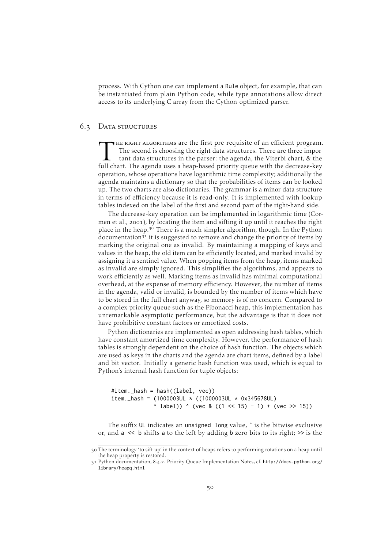process. With Cython one can implement a Rule object, for example, that can be instantiated from plain Python code, while type annotations allow direct access to its underlying C array from the Cython-optimized parser.

### 6.3 DATA STRUCTURES

THE RIGHT ALGORITHMS are the first pre-requisite of an efficient program<br>The second is choosing the right data structures. There are three impor-<br>tant data structures in the parser: the agenda, the Viterbi chart, & the<br>ful HE RIGHT ALGORITHMS are the first pre-requisite of an efficient program. The second is choosing the right data structures. There are three important data structures in the parser: the agenda, the Viterbi chart, & the operation, whose operations have logarithmic time complexity; additionally the agenda maintains a dictionary so that the probabilities of items can be looked up. The two charts are also dictionaries. The grammar is a minor data structure in terms of efficiency because it is read-only. It is implemented with lookup tables indexed on the label of the first and second part of the right-hand side.

The decrease-key operation can be implemented in logarithmic time [\(Cor](#page-71-3)[men et al.,](#page-71-3) 2001), by locating the item and sifting it up until it reaches the right place in the heap.<sup>30</sup> There is a much simpler algorithm, though. In the Python documentation<sup>31</sup> it is suggested to remove and change the priority of items by marking the original one as invalid. By maintaining a mapping of keys and values in the heap, the old item can be efficiently located, and marked invalid by assigning it a sentinel value. When popping items from the heap, items marked as invalid are simply ignored. This simplifies the algorithms, and appears to work efficiently as well. Marking items as invalid has minimal computational overhead, at the expense of memory efficiency. However, the number of items in the agenda, valid or invalid, is bounded by the number of items which have to be stored in the full chart anyway, so memory is of no concern. Compared to a complex priority queue such as the Fibonacci heap, this implementation has unremarkable asymptotic performance, but the advantage is that it does not have prohibitive constant factors or amortized costs.

Python dictionaries are implemented as open addressing hash tables, which have constant amortized time complexity. However, the performance of hash tables is strongly dependent on the choice of hash function. The objects which are used as keys in the charts and the agenda are chart items, defined by a label and bit vector. Initially a generic hash function was used, which is equal to Python's internal hash function for tuple objects:

#item.\_hash = hash((label, vec)) item.\_hash =  $(1000003UL \times ((1000003UL \times 0x345678UL))$  $\land$  label))  $\land$  (vec & ((1 << 15) - 1) + (vec >> 15))

The suffix UL indicates an unsigned long value, ˆ is the bitwise exclusive or, and  $a \ll b$  shifts a to the left by adding b zero bits to its right;  $\gg$  is the

The terminology 'to sift up' in the context of heaps refers to performing rotations on a heap until the heap property is restored.

<sup>31</sup> Python documentation, 8.4.2. Priority Queue Implementation Notes, cf. [http://docs.python.org/](http://docs.python.org/library/heapq.html) [library/heapq.html](http://docs.python.org/library/heapq.html)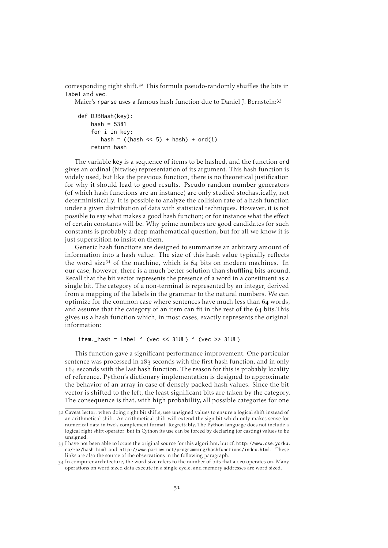corresponding right shift. $32$  This formula pseudo-randomly shuffles the bits in label and vec.

Maier's rparse uses a famous hash function due to Daniel J. Bernstein:

```
def DJBHash(key):
    hash = 5381for i in key:
       hash = ((hash \le 5) + hash) + ord(i)return hash
```
The variable key is a sequence of items to be hashed, and the function ord gives an ordinal (bitwise) representation of its argument. This hash function is widely used, but like the previous function, there is no theoretical justification for why it should lead to good results. Pseudo-random number generators (of which hash functions are an instance) are only studied stochastically, not deterministically. It is possible to analyze the collision rate of a hash function under a given distribution of data with statistical techniques. However, it is not possible to say what makes a good hash function; or for instance what the effect of certain constants will be. Why prime numbers are good candidates for such constants is probably a deep mathematical question, but for all we know it is just superstition to insist on them.

Generic hash functions are designed to summarize an arbitrary amount of information into a hash value. The size of this hash value typically reflects the word size<sup>34</sup> of the machine, which is  $64$  bits on modern machines. In our case, however, there is a much better solution than shuffling bits around. Recall that the bit vector represents the presence of a word in a constituent as a single bit. The category of a non-terminal is represented by an integer, derived from a mapping of the labels in the grammar to the natural numbers. We can optimize for the common case where sentences have much less than 64 words, and assume that the category of an item can fit in the rest of the  $64$  bits. This gives us a hash function which, in most cases, exactly represents the original information:

item.\_hash = label  $\land$  (vec << 31UL)  $\land$  (vec >> 31UL)

This function gave a significant performance improvement. One particular sentence was processed in  $283$  seconds with the first hash function, and in only 164 seconds with the last hash function. The reason for this is probably locality of reference. Python's dictionary implementation is designed to approximate the behavior of an array in case of densely packed hash values. Since the bit vector is shifted to the left, the least significant bits are taken by the category. The consequence is that, with high probability, all possible categories for one

Caveat lector: when doing right bit shifts, use unsigned values to ensure a logical shift instead of an arithmetical shift. An arithmetical shift will extend the sign bit which only makes sense for numerical data in two's complement format. Regrettably, The Python language does not include a logical right shift operator, but in Cython its use can be forced by declaring (or casting) values to be unsigned.

I have not been able to locate the original source for this algorithm, but cf. [http://www.cse.yorku.](http://www.cse.yorku.ca/~oz/hash.html) [ca/~oz/hash.html](http://www.cse.yorku.ca/~oz/hash.html) and <http://www.partow.net/programming/hashfunctions/index.html>. These links are also the source of the observations in the following paragraph.

<sup>34</sup> In computer architecture, the word size refers to the number of bits that a cpu operates on. Many operations on word sized data execute in a single cycle, and memory addresses are word sized.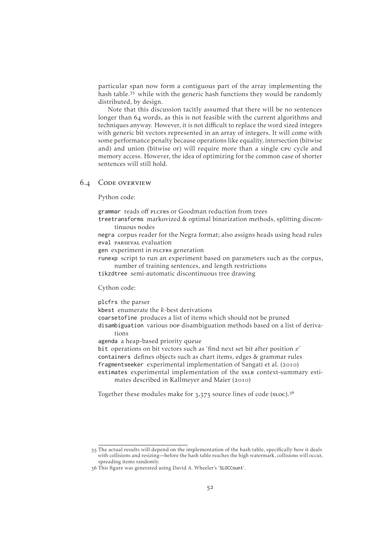particular span now form a contiguous part of the array implementing the hash table.<sup>35</sup> while with the generic hash functions they would be randomly distributed, by design.

Note that this discussion tacitly assumed that there will be no sentences longer than 64 words, as this is not feasible with the current algorithms and techniques anyway. However, it is not difficult to replace the word sized integers with generic bit vectors represented in an array of integers. It will come with some performance penalty because operations like equality, intersection (bitwise and) and union (bitwise or) will require more than a single cru cycle and memory access. However, the idea of optimizing for the common case of shorter sentences will still hold.

#### 6.4 CODE OVERVIEW

Python code:

grammar reads off plcfrs or Goodman reduction from trees

treetransforms markovized & optimal binarization methods, splitting discontinuous nodes

negra corpus reader for the Negra format; also assigns heads using head rules eval parseval evaluation

gen experiment in plcFRS generation

runexp script to run an experiment based on parameters such as the corpus, number of training sentences, and length restrictions

tikzdtree semi-automatic discontinuous tree drawing

Cython code:

plcfrs the parser

kbest enumerate the  $k$ -best derivations

coarsetofine produces a list of items which should not be pruned

disambiguation various pop disambiguation methods based on a list of derivations

agenda a heap-based priority queue

bit operations on bit vectors such as 'find next set bit after position  $x'$ containers defines objects such as chart items, edges & grammar rules fragmentseeker experimental implementation of [Sangati et al.](#page-74-2) (2010)

estimates experimental implementation of the sxlx context-summary esti-mates described in [Kallmeyer and Maier](#page-72-0) (2010)

Together these modules make for  $3,375$  source lines of code (sLoc).<sup>36</sup>

The actual results will depend on the implementation of the hash table, specifically how it deals with collisions and resizing—before the hash table reaches the high watermark, collisions will occur, spreading items randomly.

This figure was generated using David A. Wheeler's 'SLOCCount'.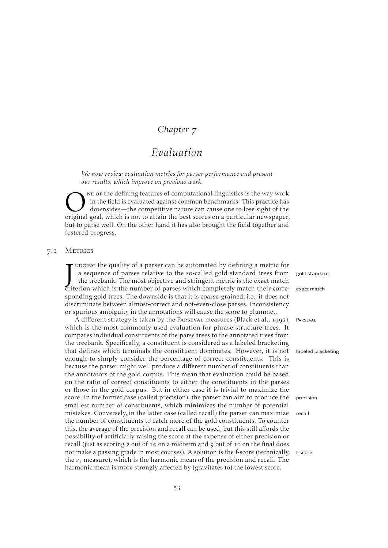### *Chapter*

# *Evaluation*

*We now review evaluation metrics for parser performance and present our results, which improve on previous work.*

ONE OF the defining features of computational linguistics is the way work<br>in the field is evaluated against common benchmarks. This practice has<br>downsides—the competitive nature can cause one to lose sight of the<br>original ne of the defining features of computational linguistics is the way work in the field is evaluated against common benchmarks. This practice has downsides—the competitive nature can cause one to lose sight of the but to parse well. On the other hand it has also brought the field together and fostered progress.

#### 7.1 METRICS

<span id="page-58-0"></span>JUDGING the quality of a parser can be automated by defining a metric for<br>a sequence of parses relative to the so-called gold standard trees from gold standar<br>the treebank. The most objective and stringent metric is the ex udging the quality of a parser can be automated by defining a metric f a sequence of parses relative to the so-called gold standard trees from the treebank. The most objective and stringent metric is the exact mat sponding gold trees. The downside is that it is coarse-grained; i.e., it does r discriminate between almost-correct and not-even-close parses. Inconsisten or spurious ambiguity in the annotations will cause the score to plummet.

A different strategy is taken by the Parseval measures [\(Black et al.,](#page-69-6) 199 which is the most commonly used evaluation for phrase-structure trees. compares individual constituents of the parse trees to the annotated trees from the treebank. Specifically, a constituent is considered as a labeled bracketing that defines which terminals the constituent dominates. However, it is r enough to simply consider the percentage of correct constituents. This because the parser might well produce a different number of constituents th the annotators of the gold corpus. This mean that evaluation could be based on the ratio of correct constituents to either the constituents in the pars or those in the gold corpus. But in either case it is trivial to maximize t score. In the former case (called precision), the parser can aim to produce the predicted precision). smallest number of constituents, which minimizes the number of potential mistakes. Conversely, in the latter case (called recall) the parser can maximi the number of constituents to catch more of the gold constituents. To count this, the average of the precision and recall can be used, but this still affords t possibility of artificially raising the score at the expense of either precision recall (just as scoring 2 out of 10 on a midterm and 9 out of 10 on the final do not make a passing grade in most courses). A solution is the f-score (technical the  $F_1$  measure), which is the harmonic mean of the precision and recall. The harmonic mean is more strongly affected by (gravitates to) the lowest score.

| LOT  |                    |
|------|--------------------|
| om   | gold standard      |
| :ch  |                    |
|      | Te- exact match    |
| ıot  |                    |
| icy  |                    |
|      |                    |
| (2), | PARSEVAL           |
| It   |                    |
| om   |                    |
| ng   |                    |
| ıot  | labeled bracketing |
| is   |                    |
| an   |                    |
| ed   |                    |
| ses  |                    |
| he   |                    |
| he:  | precision          |
| ial  |                    |
| ize  | recall             |
| ter  |                    |
| the  |                    |
| or   |                    |
| pes  |                    |
|      | lly, f-score       |
| `he  |                    |
|      |                    |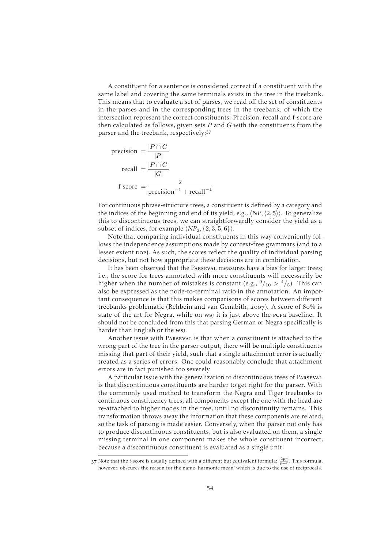A constituent for a sentence is considered correct if a constituent with the same label and covering the same terminals exists in the tree in the treebank. This means that to evaluate a set of parses, we read off the set of constituents in the parses and in the corresponding trees in the treebank, of which the intersection represent the correct constituents. Precision, recall and f-score are then calculated as follows, given sets  $P$  and  $G$  with the constituents from the parser and the treebank, respectively:

$$
precision = \frac{|P \cap G|}{|P|}
$$

$$
recall = \frac{|P \cap G|}{|G|}
$$

$$
f-score = \frac{2}{precision^{-1} + recall^{-1}}
$$

For continuous phrase-structure trees, a constituent is defined by a category and the indices of the beginning and end of its yield, e.g.,  $\langle NP, \langle 2, 5 \rangle$ . To generalize this to discontinuous trees, we can straightforwardly consider the yield as a subset of indices, for example  $\langle NP_2, \{2, 3, 5, 6\}\rangle$ .

Note that comparing individual constituents in this way conveniently follows the independence assumptions made by context-free grammars (and to a lesser extent pop). As such, the scores reflect the quality of individual parsing decisions, but not how appropriate these decisions are in combination.

It has been observed that the Parseval measures have a bias for larger trees; i.e., the score for trees annotated with more constituents will necessarily be higher when the number of mistakes is constant (e.g.,  $\frac{9}{10} > \frac{4}{5}$ ). This can also be expressed as the node-to-terminal ratio in the annotation. An important consequence is that this makes comparisons of scores between different treebanks problematic [\(Rehbein and van Genabith,](#page-74-4) 2007). A score of 80% is state-of-the-art for Negra, while on wsj it is just above the pcFG baseline. It should not be concluded from this that parsing German or Negra specifically is harder than English or the wsj.

Another issue with Parseval is that when a constituent is attached to the wrong part of the tree in the parser output, there will be multiple constituents missing that part of their yield, such that a single attachment error is actually treated as a series of errors. One could reasonably conclude that attachment errors are in fact punished too severely.

A particular issue with the generalization to discontinuous trees of Parseval is that discontinuous constituents are harder to get right for the parser. With the commonly used method to transform the Negra and Tiger treebanks to continuous constituency trees, all components except the one with the head are re-attached to higher nodes in the tree, until no discontinuity remains. This transformation throws away the information that these components are related, so the task of parsing is made easier. Conversely, when the parser not only has to produce discontinuous constituents, but is also evaluated on them, a single missing terminal in one component makes the whole constituent incorrect, because a discontinuous constituent is evaluated as a single unit.

<sup>37</sup> Note that the f-score is usually defined with a different but equivalent formula:  $\frac{2pr}{p+r}$ . This formula, however, obscures the reason for the name 'harmonic mean' which is due to the use of reciprocals.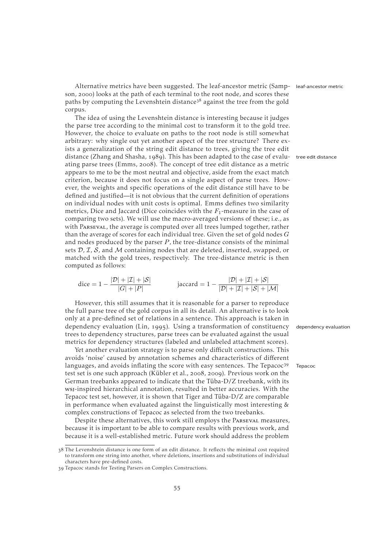Alternative metrics have been suggested. The leaf-ancestor metric [\(Samp-](#page-74-5) leaf-ancestor metric [son,](#page-74-5) 2000) looks at the path of each terminal to the root node, and scores these paths by computing the Levenshtein distance  $3^8$  against the tree from the gold corpus.

The idea of using the Levenshtein distance is interesting because it judges the parse tree according to the minimal cost to transform it to the gold tree. However, the choice to evaluate on paths to the root node is still somewhat arbitrary: why single out yet another aspect of the tree structure? There exists a generalization of the string edit distance to trees, giving the tree edit distance [\(Zhang and Shasha,](#page-76-2) 1989). This has been adapted to the case of evalu- tree edit distance ating parse trees [\(Emms,](#page-71-4) 2008). The concept of tree edit distance as a metric appears to me to be the most neutral and objective, aside from the exact match criterion, because it does not focus on a single aspect of parse trees. However, the weights and specific operations of the edit distance still have to be defined and justified—it is not obvious that the current definition of operations on individual nodes with unit costs is optimal. Emms defines two similarity metrics, Dice and Jaccard (Dice coincides with the  $F_1$ -measure in the case of comparing two sets). We will use the macro-averaged versions of these; i.e., as with Parseval, the average is computed over all trees lumped together, rather than the average of scores for each individual tree. Given the set of gold nodes  $G$ and nodes produced by the parser  $P$ , the tree-distance consists of the minimal sets  $D$ ,  $\mathcal{I}$ ,  $\mathcal{S}$ , and  $\mathcal{M}$  containing nodes that are deleted, inserted, swapped, or matched with the gold trees, respectively. The tree-distance metric is then computed as follows:

$$
\text{dice} = 1 - \frac{|\mathcal{D}| + |\mathcal{I}| + |\mathcal{S}|}{|G| + |P|} \qquad \text{jaccard} = 1 - \frac{|\mathcal{D}| + |\mathcal{I}| + |\mathcal{S}|}{|\mathcal{D}| + |\mathcal{I}| + |\mathcal{S}| + |\mathcal{M}|}
$$

However, this still assumes that it is reasonable for a parser to reproduce the full parse tree of the gold corpus in all its detail. An alternative is to look only at a pre-defined set of relations in a sentence. This approach is taken in dependency evaluation [\(Lin,](#page-73-2) 1995). Using a transformation of constituency dependency evaluation trees to dependency structures, parse trees can be evaluated against the usual metrics for dependency structures (labeled and unlabeled attachment scores).

Yet another evaluation strategy is to parse only difficult constructions. This avoids 'noise' caused by annotation schemes and characteristics of different languages, and avoids inflating the score with easy sentences. The Tepacoc<sup>39</sup> Tepacoc test set is one such approach [\(Kübler et al.,](#page-72-3) 2008, 2009). Previous work on the German treebanks appeared to indicate that the Tüba-D/Z treebank, with its wsj-inspired hierarchical annotation, resulted in better accuracies. With the Tepacoc test set, however, it is shown that Tiger and Tüba-D/Z are comparable in performance when evaluated against the linguistically most interesting & complex constructions of Tepacoc as selected from the two treebanks.

Despite these alternatives, this work still employs the PARSEVAL measures, because it is important to be able to compare results with previous work, and because it is a well-established metric. Future work should address the problem

<sup>38</sup> The Levenshtein distance is one form of an edit distance. It reflects the minimal cost required to transform one string into another, where deletions, insertions and substitutions of individual characters have pre-defined costs.

Tepacoc stands for Testing Parsers on Complex Constructions.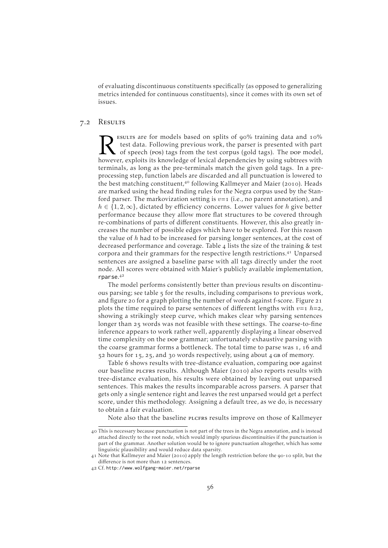of evaluating discontinuous constituents specifically (as opposed to generalizing metrics intended for continuous constituents), since it comes with its own set of issues.

#### 7.2 Results

<span id="page-61-0"></span>R ESULTS are for models based on splits of 90% training data and 10% test data. Following previous work, the parser is presented with part of speech (pos) tags from the test corpus (gold tags). The pop model however, explo esultrs are for models based on splits of 90% training data and  $10\%$ test data. Following previous work, the parser is presented with part of speech (pos) tags from the test corpus (gold tags). The DOP model, terminals, as long as the pre-terminals match the given gold tags. In a preprocessing step, function labels are discarded and all punctuation is lowered to the best matching constituent, $40$  following [Kallmeyer and Maier](#page-72-0) (2010). Heads are marked using the head finding rules for the Negra corpus used by the Stanford parser. The markovization setting is  $v=1$  (i.e., no parent annotation), and  $h \in \{1, 2, \infty\}$ , dictated by efficiency concerns. Lower values for h give better performance because they allow more flat structures to be covered through re-combinations of parts of different constituents. However, this also greatly increases the number of possible edges which have to be explored. For this reason the value of  $h$  had to be increased for parsing longer sentences, at the cost of decreased performance and coverage. [Table](#page-62-0) 4 lists the size of the training & test corpora and their grammars for the respective length restrictions.<sup>41</sup> Unparsed sentences are assigned a baseline parse with all tags directly under the root node. All scores were obtained with Maier's publicly available implementation, rparse.

The model performs consistently better than previous results on discontinuous parsing; see [table](#page-63-0)  $\frac{1}{2}$  for the results, including comparisons to previous work, and [figure](#page-64-0) 20 for a graph plotting the number of words against f-score. [Figure](#page-64-1) 21 plots the time required to parse sentences of different lengths with  $v=1$   $h=2$ , showing a strikingly steep curve, which makes clear why parsing sentences longer than 25 words was not feasible with these settings. The coarse-to-fine inference appears to work rather well, apparently displaying a linear observed time complexity on the pop grammar; unfortunately exhaustive parsing with the coarse grammar forms a bottleneck. The total time to parse was  $1$ , 16 and  $52$  hours for 15, 25, and 30 words respectively, using about 4 GB of memory.

[Table](#page-63-1) 6 shows results with tree-distance evaluation, comparing pop against our baseline plcFRs results. Although [Maier](#page-73-3) (2010) also reports results with tree-distance evaluation, his results were obtained by leaving out unparsed sentences. This makes the results incomparable across parsers. A parser that gets only a single sentence right and leaves the rest unparsed would get a perfect score, under this methodology. Assigning a default tree, as we do, is necessary to obtain a fair evaluation.

Note also that the baseline plcfrs results improve on those of [Kallmeyer](#page-72-0)

[This is necessary because punctuation is not part of the trees in the Negra annotation, and is instead](#page-72-0) [attached directly to the root node, which would imply spurious discontinuities if the punctuation is](#page-72-0) [part of the grammar. Another solution would be to ignore punctuation altogether, which has some](#page-72-0) [linguistic plausibility and would reduce data sparsity.](#page-72-0)

<sup>41</sup> Note that [Kallmeyer and Maier](#page-72-0) (2010[\) apply the length restriction before the](#page-72-0) 90-10 split, but the diff[erence is not more than](#page-72-0) 12 sentences.

Cf. [http://www.wolfgang-maier.net/rparse](#page-72-0)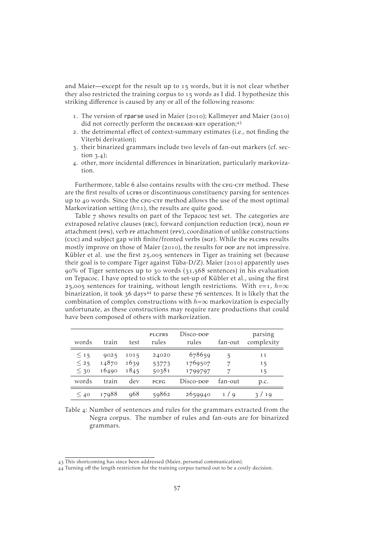[and Maier—](#page-72-0)except for the result up to  $15$  words, but it is not clear whether they also restricted the training corpus to  $15$  words as I did. I hypothesize this striking difference is caused by any or all of the following reasons:

- 1. The version of rparse used in [Maier](#page-73-3) (2010); [Kallmeyer and Maier](#page-72-0) (2010) did not correctly perform the DECREASE-KEY operation;<sup>43</sup>
- . the detrimental effect of context-summary estimates (i.e., not finding the Viterbi derivation);
- . their binarized grammars include two levels of fan-out markers (cf. [sec](#page-23-0)[tion](#page-23-0)  $3.4$ );
- . other, more incidental differences in binarization, particularly markovization.

Furthermore, [table](#page-63-1) 6 also contains results with the CFG-CTF method. These are the first results of LCFRS or discontinuous constituency parsing for sentences up to 40 words. Since the CFG-CTF method allows the use of the most optimal Markovization setting  $(h=1)$ , the results are quite good.

[Table](#page-63-2)  $7$  shows results on part of the Tepacoc test set. The categories are extraposed relative clauses (ERC), forward conjunction reduction (FCR), noun PP attachment (ppn), verb pp attachment (ppv), coordination of unlike constructions (cuc) and subject gap with finite/fronted verbs (sgF). While the PLCFRS results mostly improve on those of [Maier](#page-73-3) (2010), the results for pop are not impressive. [Kübler et al.](#page-72-3) use the first 25,005 sentences in Tiger as training set (because their goal is to compare Tiger against Tüba-D/Z). [Maier](#page-73-3) (2010) apparently uses  $90\%$  of Tiger sentences up to  $30$  words  $(31,568$  sentences) in his evaluation on Tepacoc. I have opted to stick to the set-up of [Kübler et al.,](#page-72-3) using the first 25,005 sentences for training, without length restrictions. With  $v=1$ ,  $h=\infty$ binarization, it took  $36 \text{ days}^{44}$  to parse these  $76 \text{ sentences}$ . It is likely that the combination of complex constructions with  $h=\infty$  markovization is especially unfortunate, as these constructions may require rare productions that could have been composed of others with markovization.

<span id="page-62-0"></span>

| words                            | train                  | test                 | <b>PLCFRS</b><br>rules  | Disco- <sub>DOP</sub><br>rules | fan-out | parsing<br>complexity |
|----------------------------------|------------------------|----------------------|-------------------------|--------------------------------|---------|-----------------------|
| $\leq 15$<br>$\leq$ 25<br>$<$ 30 | 9025<br>14870<br>16490 | 1015<br>1639<br>1845 | 24020<br>53773<br>50381 | 678659<br>1769507<br>1799797   | 5<br>7  | 11<br>15<br>15        |
| words                            | train                  | dev                  | <b>PCFG</b>             | Disco-dop                      | fan-out | p.c.                  |
| $\leq 40$                        | 17988                  | 968                  | 59862                   | 2659940                        | 1/a     | 3/19                  |

Table 4: Number of sentences and rules for the grammars extracted from the Negra corpus. The number of rules and fan-outs are for binarized grammars.

This shortcoming has since been addressed (Maier, personal communication).

Turning off the length restriction for the training corpus turned out to be a costly decision.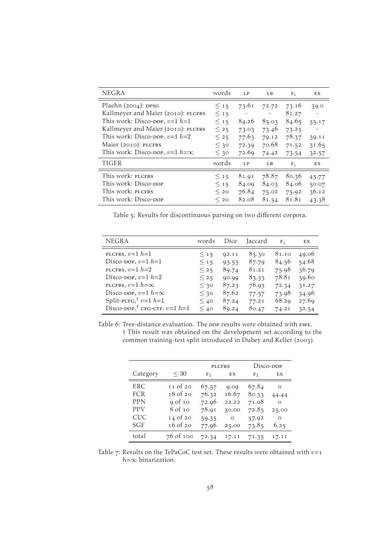<span id="page-63-0"></span>

| <b>NEGRA</b>                           | words     | LP    | LR    | F <sub>1</sub> | EX    |
|----------------------------------------|-----------|-------|-------|----------------|-------|
| Plaehn $(2004)$ : DPSG                 | $\leq 15$ | 73.61 | 72.72 | 73.16          | 39.0  |
| Kallmeyer and Maier (2010): PLCFRS     | $\leq 15$ |       |       | 81.27          |       |
| This work: Disco-pop, $v=1$ $h=1$      | $\leq 15$ | 84.26 | 85.03 | 84.65          | 55.17 |
| Kallmeyer and Maier (2010): PLCFRS     | $\leq$ 25 | 73.03 | 73.46 | 73.25          |       |
| This work: Disco-pop, $v=1$ $h=2$      | $\leq$ 25 | 77.63 | 79.12 | 78.37          | 39.11 |
| Maier (2010): PLCFRS                   | $\leq 30$ | 72.39 | 70.68 | 71.52          | 31.65 |
| This work: Disco-DOP, $v=1$ $h=\infty$ | $\leq$ 30 | 72.69 | 74.42 | 73.54          | 32.57 |
| <b>TIGER</b>                           | words     | LP    | LR    | $F_1$          | EX    |
| This work: PLCFRS                      | $\leq 15$ | 81.91 | 78.87 | 80.36          | 45.77 |
| This work: Disco-pop                   | $<$ 15    | 84.09 | 84.03 | 84.06          | 50.07 |
| This work: PLCFRS                      | $<$ 20    | 76.84 | 75.02 | 75.92          | 36.12 |
| This work: Disco-pop                   | $<$ 20    | 82.08 | 81.54 | 81.81          | 43.38 |

Table 5: Results for discontinuous parsing on two different corpora.

<span id="page-63-1"></span>

| <b>NEGRA</b>                               | words     | Dice  | Jaccard | $F_{1}$ | EX    |
|--------------------------------------------|-----------|-------|---------|---------|-------|
| PLCFRS, $v=1$ $h=1$                        | $\leq 15$ | 92.11 | 85.30   | 81.10   | 49.06 |
| Disco-pop, $v=1$ $h=1$                     | $\leq 15$ | 93.53 | 87.79   | 84.56   | 54.68 |
| PLCFRS, $v=1$ $h=2$                        | $\leq$ 25 | 89.74 | 81.21   | 75.98   | 36.79 |
| Disco-pop, $v=1$ $h=2$                     | $\leq$ 25 | 90.99 | 83.33   | 78.81   | 39.60 |
| PLCFRS, $v=1$ $h=\infty$                   | $\leq 30$ | 87.23 | 76.93   | 72.34   | 31.27 |
| Disco-pop, $v=1$ $h=\infty$                | $\leq 30$ | 87.62 | 77.57   | 73.98   | 34.96 |
| Split-PCFG, <sup>†</sup> $v=1$ h=1         | $\leq 40$ | 87.24 | 77.21   | 68.29   | 27.69 |
| Disco-DOP, <sup>†</sup> CFG-CTF, $v=1$ h=1 | $\leq 40$ | 89.24 | 80.47   | 74.21   | 32.54 |

Table 6: Tree-distance evaluation. The pop results were obtained with ewe. † This result was obtained on the development set according to the common training-test split introduced in [Dubey and Keller](#page-71-5) (2003).

<span id="page-63-2"></span>

|            |           | <b>PLCFRS</b>  |         | Disco-dop      |          |
|------------|-----------|----------------|---------|----------------|----------|
| Category   | $\leq 30$ | F <sub>1</sub> | EX      | F <sub>1</sub> | EX       |
| ERC        | 11 of 20  | 67.57          | 9.09    | 67.84          | Ο        |
| <b>FCR</b> | 18 of 20  | 76.32          | 16.67   | 80.33          | 44.44    |
| <b>PPN</b> | 9 of 10   | 72.96          | 22.22   | 71.08          | $\Omega$ |
| <b>PPV</b> | 8 of 10   | 78.91          | 50.00   | 72.85          | 25.00    |
| <b>CUC</b> | 14 of 20  | 59.35          | $\circ$ | 57.92          | $\Omega$ |
| SGF        | 16 of 20  | 77.96          | 25.00   | 73.85          | 6.25     |
| total      | 76 of 100 | 72.34          | 17.11   | 71.35          | 17.11    |

Table 7: Results on the TePaCoC test set. These results were obtained with  $v=1$ h= $\infty$  binarization.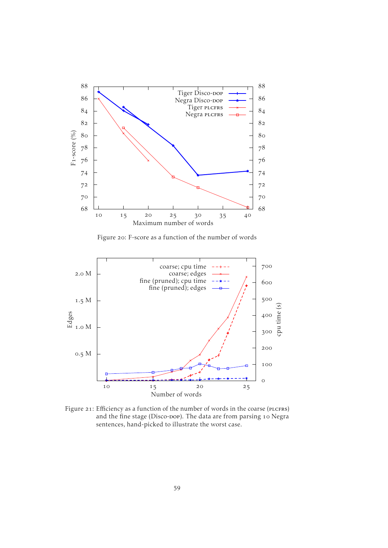<span id="page-64-0"></span>

Figure 20: F-score as a function of the number of words

<span id="page-64-1"></span>

Figure 21: Efficiency as a function of the number of words in the coarse (PLCFRS) and the fine stage (Disco-pop). The data are from parsing 10 Negra sentences, hand-picked to illustrate the worst case.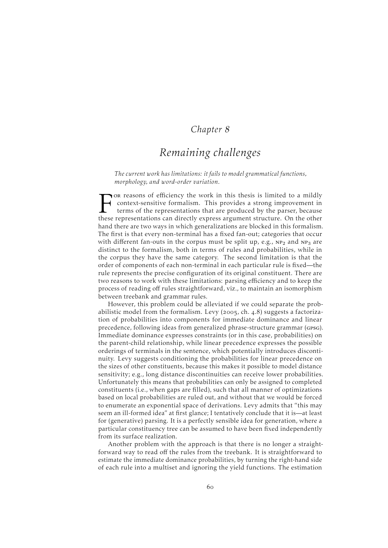### *Chapter*

## *Remaining challenges*

*The current work has limitations: it fails to model grammatical functions, morphology, and word-order variation.*

For reasons of efficiency the work in this thesis is limited to a mildly context-sensitive formalism. This provides a strong improvement in terms of the representations that are produced by the parser, because these repres or reasons of efficiency the work in this thesis is limited to a mildly context-sensitive formalism. This provides a strong improvement in terms of the representations that are produced by the parser, because hand there are two ways in which generalizations are blocked in this formalism. The first is that every non-terminal has a fixed fan-out; categories that occur with different fan-outs in the corpus must be split up, e.g.,  $NP<sub>2</sub>$  and  $NP<sub>3</sub>$  are distinct to the formalism, both in terms of rules and probabilities, while in the corpus they have the same category. The second limitation is that the order of components of each non-terminal in each particular rule is fixed—the rule represents the precise configuration of its original constituent. There are two reasons to work with these limitations: parsing efficiency and to keep the process of reading off rules straightforward, viz., to maintain an isomorphism between treebank and grammar rules.

However, this problem could be alleviated if we could separate the prob-abilistic model from the formalism. [Levy](#page-73-1) (2005, ch.  $4.8$ ) suggests a factorization of probabilities into components for immediate dominance and linear precedence, following ideas from generalized phrase-structure grammar (GPSG). Immediate dominance expresses constraints (or in this case, probabilities) on the parent-child relationship, while linear precedence expresses the possible orderings of terminals in the sentence, which potentially introduces discontinuity. [Levy](#page-73-1) suggests conditioning the probabilities for linear precedence on the sizes of other constituents, because this makes it possible to model distance sensitivity; e.g., long distance discontinuities can receive lower probabilities. Unfortunately this means that probabilities can only be assigned to completed constituents (i.e., when gaps are filled), such that all manner of optimizations based on local probabilities are ruled out, and without that we would be forced to enumerate an exponential space of derivations. [Levy](#page-73-1) admits that "this may seem an ill-formed idea" at first glance; I tentatively conclude that it is—at least for (generative) parsing. It is a perfectly sensible idea for generation, where a particular constituency tree can be assumed to have been fixed independently from its surface realization.

Another problem with the approach is that there is no longer a straightforward way to read off the rules from the treebank. It is straightforward to estimate the immediate dominance probabilities, by turning the right-hand side of each rule into a multiset and ignoring the yield functions. The estimation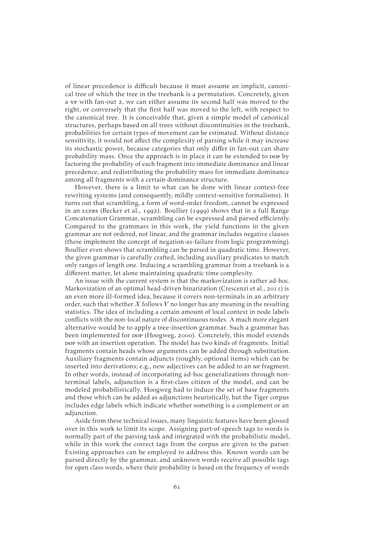of linear precedence is difficult because it must assume an implicit, canonical tree of which the tree in the treebank is a permutation. Concretely, given a vp with fan-out 2, we can either assume its second half was moved to the right, or conversely that the first half was moved to the left, with respect to the canonical tree. It is conceivable that, given a simple model of canonical structures, perhaps based on all trees without discontinuities in the treebank, probabilities for certain types of movement can be estimated. Without distance sensitivity, it would not affect the complexity of parsing while it may increase its stochastic power, because categories that only differ in fan-out can share probability mass. Once the approach is in place it can be extended to pop by factoring the probability of each fragment into immediate dominance and linear precedence, and redistributing the probability mass for immediate dominance among all fragments with a certain dominance structure.

However, there is a limit to what can be done with linear context-free rewriting systems (and consequently, mildly context-sensitive formalisms). It turns out that scrambling, a form of word-order freedom, cannot be expressed in an LCFRS [\(Becker et al.,](#page-69-7) 1992). [Boullier](#page-70-4) (1999) shows that in a full Range Concatenation Grammar, scrambling can be expressed and parsed efficiently. Compared to the grammars in this work, the yield functions in the given grammar are not ordered, not linear, and the grammar includes negative clauses (these implement the concept of negation-as-failure from logic programming). Boullier even shows that scrambling can be parsed in quadratic time. However, the given grammar is carefully crafted, including auxiliary predicates to match only ranges of length one. Inducing a scrambling grammar from a treebank is a different matter, let alone maintaining quadratic time complexity.

An issue with the current system is that the markovization is rather ad-hoc. Markovization of an optimal head-driven binarization [\(Crescenzi et al.,](#page-71-6) 2011) is an even more ill-formed idea, because it covers non-terminals in an arbitrary order, such that whether  $X$  follows  $Y$  no longer has any meaning in the resulting statistics. The idea of including a certain amount of local context in node labels conflicts with the non-local nature of discontinuous nodes. A much more elegant alternative would be to apply a tree-insertion grammar. Such a grammar has been implemented for pop [\(Hoogweg,](#page-71-7) 2000). Concretely, this model extends bop with an insertion operation. The model has two kinds of fragments. Initial fragments contain heads whose arguments can be added through substitution. Auxiliary fragments contain adjuncts (roughly, optional items) which can be inserted into derivations; e.g., new adjectives can be added to an np fragment. In other words, instead of incorporating ad-hoc generalizations through nonterminal labels, adjunction is a first-class citizen of the model, and can be modeled probabilistically. [Hoogweg](#page-71-7) had to induce the set of base fragments and those which can be added as adjunctions heuristically, but the Tiger corpus includes edge labels which indicate whether something is a complement or an adjunction.

Aside from these technical issues, many linguistic features have been glossed over in this work to limit its scope. Assigning part-of-speech tags to words is normally part of the parsing task and integrated with the probabilistic model, while in this work the correct tags from the corpus are given to the parser. Existing approaches can be employed to address this. Known words can be parsed directly by the grammar, and unknown words receive all possible tags for open class words, where their probability is based on the frequency of words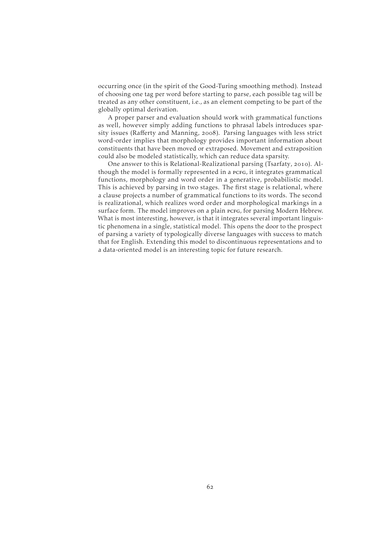occurring once (in the spirit of the Good-Turing smoothing method). Instead of choosing one tag per word before starting to parse, each possible tag will be treated as any other constituent, i.e., as an element competing to be part of the globally optimal derivation.

A proper parser and evaluation should work with grammatical functions as well, however simply adding functions to phrasal labels introduces sparsity issues (Raff[erty and Manning,](#page-74-6) 2008). Parsing languages with less strict word-order implies that morphology provides important information about constituents that have been moved or extraposed. Movement and extraposition could also be modeled statistically, which can reduce data sparsity.

One answer to this is Relational-Realizational parsing [\(Tsarfaty,](#page-75-0) 2010). Although the model is formally represented in a pcro, it integrates grammatical functions, morphology and word order in a generative, probabilistic model. This is achieved by parsing in two stages. The first stage is relational, where a clause projects a number of grammatical functions to its words. The second is realizational, which realizes word order and morphological markings in a surface form. The model improves on a plain pcrg, for parsing Modern Hebrew. What is most interesting, however, is that it integrates several important linguistic phenomena in a single, statistical model. This opens the door to the prospect of parsing a variety of typologically diverse languages with success to match that for English. Extending this model to discontinuous representations and to a data-oriented model is an interesting topic for future research.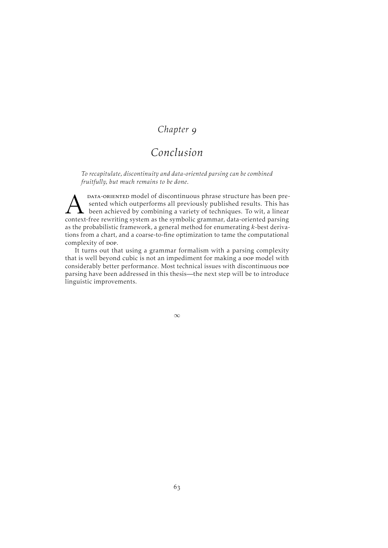## *Chapter*

# *Conclusion*

*To recapitulate, discontinuity and data-oriented parsing can be combined fruitfully, but much remains to be done.*

**AM** DATA-ORIENTED model of discontinuous phrase structure has been presented which outperforms all previously published results. This has been achieved by combining a variety of techniques. To wit, a linear context-free r DATA-ORIENTED model of discontinuous phrase structure has been presented which outperforms all previously published results. This has been achieved by combining a variety of techniques. To wit, a linear as the probabilistic framework, a general method for enumerating  $k$ -best derivations from a chart, and a coarse-to-fine optimization to tame the computational complexity of pop.

It turns out that using a grammar formalism with a parsing complexity that is well beyond cubic is not an impediment for making a pop model with considerably better performance. Most technical issues with discontinuous pop parsing have been addressed in this thesis—the next step will be to introduce linguistic improvements.

∞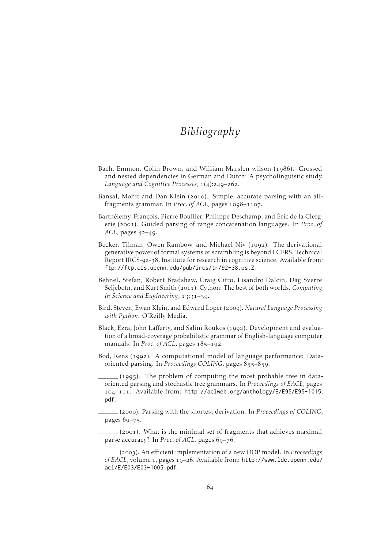# *Bibliography*

- Bach, Emmon, Colin Brown, and William Marslen-wilson (1986). Crossed and nested dependencies in German and Dutch: A psycholinguistic study. *Language and Cognitive Processes*,  $1(4):249-262$ .
- <span id="page-69-2"></span>Bansal, Mohit and Dan Klein (2010). Simple, accurate parsing with an allfragments grammar. In *Proc. of ACL*, pages 1098-1107.
- <span id="page-69-3"></span>Barthélemy, François, Pierre Boullier, Philippe Deschamp, and Éric de la Clergerie (2001). Guided parsing of range concatenation languages. In *Proc. of ACL*, pages 42-49.
- <span id="page-69-7"></span>Becker, Tilman, Owen Rambow, and Michael Niv (1992). The derivational generative power of formal systems or scrambling is beyond LCFRS. Technical Report IRCS-92-38, Institute for research in cognitive science. Available from: <ftp://ftp.cis.upenn.edu/pub/ircs/tr/92-38.ps.Z>.
- <span id="page-69-5"></span>Behnel, Stefan, Robert Bradshaw, Craig Citro, Lisandro Dalcin, Dag Sverre Seljebotn, and Kurt Smith (2011). Cython: The best of both worlds. *Computing in Science and Engineering*, 13:31-39.
- <span id="page-69-4"></span>Bird, Steven, Ewan Klein, and Edward Loper (). *Natural Language Processing with Python*. O'Reilly Media.
- <span id="page-69-6"></span>Black, Ezra, John Lafferty, and Salim Roukos (1992). Development and evaluation of a broad-coverage probabilistic grammar of English-language computer manuals. In *Proc. of ACL*, pages 185-192.
- Bod, Rens (1992). A computational model of language performance: Dataoriented parsing. In *Proceedings COLING*, pages 855-859.
- $(1995)$ . The problem of computing the most probable tree in dataoriented parsing and stochastic tree grammars. In *Proceedings of EACL*, pages 104-111. Available from: [http://aclweb.org/anthology/E/E95/E95-1015.](http://aclweb.org/anthology/E/E95/E95-1015.pdf) [pdf](http://aclweb.org/anthology/E/E95/E95-1015.pdf).
- (). Parsing with the shortest derivation. In *Proceedings of COLING*, pages  $69 - 75$ .
- <span id="page-69-1"></span> $(2001)$ . What is the minimal set of fragments that achieves maximal parse accuracy? In *Proc. of ACL*, pages 69–76.

<span id="page-69-0"></span><sup>(</sup>). An efficient implementation of a new DOP model. In *Proceedings of EACL*, volume 1, pages 19–26. Available from: [http://www.ldc.upenn.edu/](http://www.ldc.upenn.edu/acl/E/E03/E03-1005.pdf) [acl/E/E03/E03-1005.pdf](http://www.ldc.upenn.edu/acl/E/E03/E03-1005.pdf).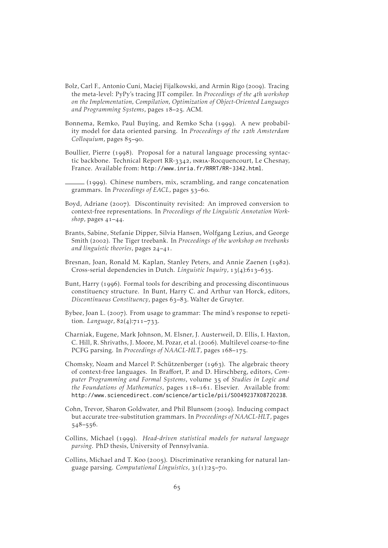- <span id="page-70-3"></span>Bolz, Carl F., Antonio Cuni, Maciej Fijalkowski, and Armin Rigo (2009). Tracing the meta-level: PyPy's tracing JIT compiler. In *Proceedings of the th workshop on the Implementation, Compilation, Optimization of Object-Oriented Languages* and Programming Systems, pages 18-25. ACM.
- <span id="page-70-0"></span>Bonnema, Remko, Paul Buying, and Remko Scha (1999). A new probability model for data oriented parsing. In *Proceedings of the th Amsterdam Colloquium*, pages 85-90.
- Boullier, Pierre (1998). Proposal for a natural language processing syntactic backbone. Technical Report RR-3342, INRIA-Rocquencourt, Le Chesnay, France. Available from: <http://www.inria.fr/RRRT/RR-3342.html>.
- <span id="page-70-4"></span> $(1999)$ . Chinese numbers, mix, scrambling, and range concatenation grammars. In *Proceedings of EACL*, pages 53–60.
- <span id="page-70-2"></span>Boyd, Adriane (2007). Discontinuity revisited: An improved conversion to context-free representations. In *Proceedings of the Linguistic Annotation Work-, pages*  $41-44$ *.*
- Brants, Sabine, Stefanie Dipper, Silvia Hansen, Wolfgang Lezius, and George Smith (2002). The Tiger treebank. In *Proceedings of the workshop on treebanks and linguistic theories*, pages 24-41.
- Bresnan, Joan, Ronald M. Kaplan, Stanley Peters, and Annie Zaenen (1982). Cross-serial dependencies in Dutch. *Linguistic Inquiry*, 13(4):613–635.
- Bunt, Harry (1996). Formal tools for describing and processing discontinuous constituency structure. In Bunt, Harry C. and Arthur van Horck, editors, Discontinuous Constituency, pages 63-83. Walter de Gruyter.
- Bybee, Joan L. (2007). From usage to grammar: The mind's response to repetition. *Language*,  $82(4):711-733$ .
- <span id="page-70-1"></span>Charniak, Eugene, Mark Johnson, M. Elsner, J. Austerweil, D. Ellis, I. Haxton, C. Hill, R. Shrivaths, J. Moore, M. Pozar, et al. (2006). Multilevel coarse-to-fine PCFG parsing. In *Proceedings of NAACL-HLT*, pages 168-175.
- Chomsky, Noam and Marcel P. Schützenberger (1963). The algebraic theory of context-free languages. In Braffort, P. and D. Hirschberg, editors, *Com*puter Programming and Formal Systems, volume 35 of Studies in Logic and *the Foundations of Mathematics, pages 118-161. Elsevier. Available from:* <http://www.sciencedirect.com/science/article/pii/S0049237X08720238>.
- Cohn, Trevor, Sharon Goldwater, and Phil Blunsom (2009). Inducing compact but accurate tree-substitution grammars. In *Proceedings of NAACL-HLT*, pages  $548 - 556.$
- Collins, Michael (1999). *Head-driven statistical models for natural language parsing*. PhD thesis, University of Pennsylvania.
- Collins, Michael and T. Koo (2005). Discriminative reranking for natural language parsing. *Computational Linguistics*,  $31(1):25-70$ .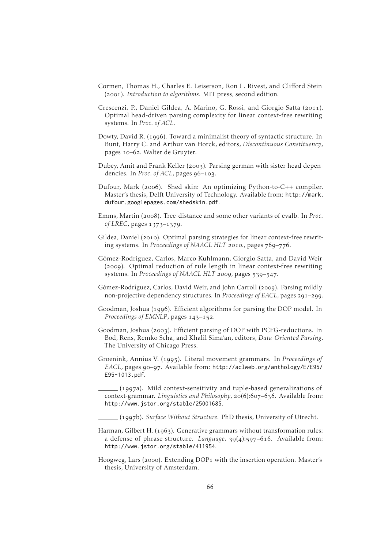- <span id="page-71-3"></span>Cormen, Thomas H., Charles E. Leiserson, Ron L. Rivest, and Clifford Stein (2001). *Introduction to algorithms*. MIT press, second edition.
- <span id="page-71-6"></span>Crescenzi, P., Daniel Gildea, A. Marino, G. Rossi, and Giorgio Satta (2011). Optimal head-driven parsing complexity for linear context-free rewriting systems. In *Proc. of ACL*.
- Dowty, David R. (1996). Toward a minimalist theory of syntactic structure. In Bunt, Harry C. and Arthur van Horck, editors, *Discontinuous Constituency*, pages 10-62. Walter de Gruyter.
- <span id="page-71-5"></span>Dubey, Amit and Frank Keller (2003). Parsing german with sister-head dependencies. In *Proc. of ACL*, pages 96-103.
- <span id="page-71-2"></span>Dufour, Mark (2006). Shed skin: An optimizing Python-to-C++ compiler. Master's thesis, Delft University of Technology. Available from: [http://mark.](http://mark.dufour.googlepages.com/shedskin.pdf) [dufour.googlepages.com/shedskin.pdf](http://mark.dufour.googlepages.com/shedskin.pdf).
- <span id="page-71-4"></span>Emms, Martin (2008). Tree-distance and some other variants of evalb. In *Proc*. of LREC, pages 1373-1379.
- Gildea, Daniel (2010). Optimal parsing strategies for linear context-free rewriting systems. In *Proceedings of NAACL HLT* 2010., pages 769-776.
- Gómez-Rodríguez, Carlos, Marco Kuhlmann, Giorgio Satta, and David Weir (2009). Optimal reduction of rule length in linear context-free rewriting systems. In *Proceedings of NAACL HLT 2009*, pages 539-547.
- Gómez-Rodríguez, Carlos, David Weir, and John Carroll (2009). Parsing mildly non-projective dependency structures. In *Proceedings of EACL*, pages 291-299.
- <span id="page-71-0"></span>Goodman, Joshua (1996). Efficient algorithms for parsing the DOP model. In *Proceedings of EMNLP*, pages 143-152.
- <span id="page-71-1"></span>Goodman, Joshua (2003). Efficient parsing of DOP with PCFG-reductions. In Bod, Rens, Remko Scha, and Khalil Sima'an, editors, *Data-Oriented Parsing*. The University of Chicago Press.
- Groenink, Annius V. (1995). Literal movement grammars. In *Proceedings of EACL*, pages 90-97. Available from: [http://aclweb.org/anthology/E/E95/](http://aclweb.org/anthology/E/E95/E95-1013.pdf) [E95-1013.pdf](http://aclweb.org/anthology/E/E95/E95-1013.pdf).

 $(1997a)$ . Mild context-sensitivity and tuple-based generalizations of context-grammar. *Linguistics and Philosophy*, 20(6):607–636. Available from: <http://www.jstor.org/stable/25001685>.

(b). *Surface Without Structure*. PhD thesis, University of Utrecht.

- Harman, Gilbert H.  $(1963)$ . Generative grammars without transformation rules: a defense of phrase structure. *Language*, 39(4):597-616. Available from: <http://www.jstor.org/stable/411954>.
- <span id="page-71-7"></span>Hoogweg, Lars (2000). Extending DOP1 with the insertion operation. Master's thesis, University of Amsterdam.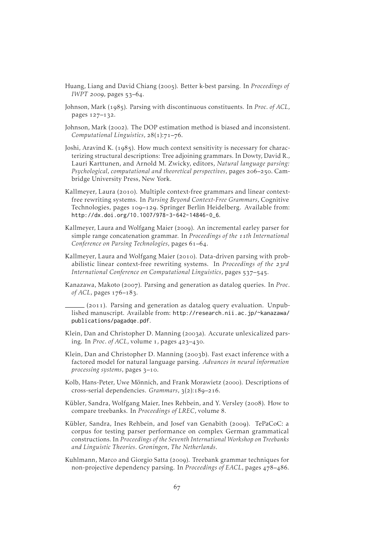- Huang, Liang and David Chiang (). Better k-best parsing. In *Proceedings of IWPT* 2009, pages 53-64.
- Johnson, Mark (1985). Parsing with discontinuous constituents. In *Proc. of ACL*, pages 127-132.
- Johnson, Mark (2002). The DOP estimation method is biased and inconsistent. *Computational Linguistics*,  $28(1):71-76$ .
- Joshi, Aravind K.  $(1985)$ . How much context sensitivity is necessary for characterizing structural descriptions: Tree adjoining grammars. In Dowty, David R., Lauri Karttunen, and Arnold M. Zwicky, editors, *Natural language parsing: Psychological, computational and theoretical perspectives, pages 206–250.* Cambridge University Press, New York.
- Kallmeyer, Laura (2010). Multiple context-free grammars and linear contextfree rewriting systems. In *Parsing Beyond Context-Free Grammars*, Cognitive Technologies, pages 109–129. Springer Berlin Heidelberg. Available from: [http://dx.doi.org/10.1007/978-3-642-14846-0\\_6](http://dx.doi.org/10.1007/978-3-642-14846-0_6).
- Kallmeyer, Laura and Wolfgang Maier (2009). An incremental earley parser for simple range concatenation grammar. In *Proceedings of the th International Conference on Parsing Technologies*, pages 61-64.
- Kallmeyer, Laura and Wolfgang Maier (2010). Data-driven parsing with probabilistic linear context-free rewriting systems. In *Proceedings of the* 23rd *International Conference on Computational Linguistics*, pages 537–545.
- Kanazawa, Makoto (2007). Parsing and generation as datalog queries. In *Proc*. *of ACL*, pages  $176 - 183$ .
	- $(2011)$ . Parsing and generation as datalog query evaluation. Unpublished manuscript. Available from: [http://research.nii.ac.jp/~kanazawa/](http://research.nii.ac.jp/~kanazawa/publications/pagadqe.pdf) [publications/pagadqe.pdf](http://research.nii.ac.jp/~kanazawa/publications/pagadqe.pdf).
- Klein, Dan and Christopher D. Manning (2003a). Accurate unlexicalized parsing. In *Proc. of ACL*, volume  $1$ , pages  $423-430$ .
- Klein, Dan and Christopher D. Manning (2003b). Fast exact inference with a factored model for natural language parsing. *Advances in neural information processing systems*, pages  $3-10$ .
- Kolb, Hans-Peter, Uwe Mönnich, and Frank Morawietz (2000). Descriptions of cross-serial dependencies. *Grammars*, 3(2):189-216.
- Kübler, Sandra, Wolfgang Maier, Ines Rehbein, and Y. Versley (2008). How to compare treebanks. In *Proceedings of LREC*, volume 8.
- Kübler, Sandra, Ines Rehbein, and Josef van Genabith (2009). TePaCoC: a corpus for testing parser performance on complex German grammatical constructions. In *Proceedings of the Seventh International Workshop on Treebanks and Linguistic Theories. Groningen, The Netherlands*.
- Kuhlmann, Marco and Giorgio Satta (2009). Treebank grammar techniques for non-projective dependency parsing. In *Proceedings of EACL*, pages  $478-486$ .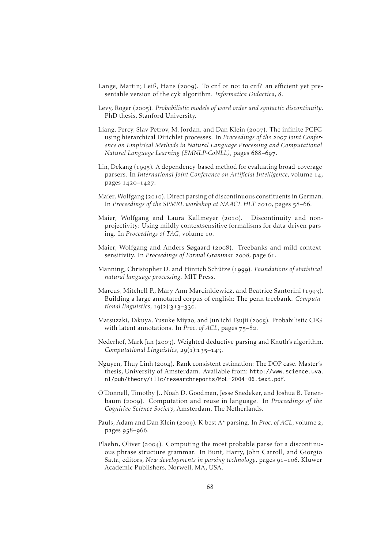- Lange, Martin; Leiß, Hans (2009). To cnf or not to cnf? an efficient yet presentable version of the cyk algorithm. *Informatica Didactica*, 8.
- Levy, Roger (2005). Probabilistic models of word order and syntactic discontinuity. PhD thesis, Stanford University.
- Liang, Percy, Slav Petrov, M. Jordan, and Dan Klein (2007). The infinite PCFG using hierarchical Dirichlet processes. In *Proceedings of the Joint Conference on Empirical Methods in Natural Language Processing and Computational Natural Language Learning (EMNLP-CoNLL)*, pages 688-697.
- Lin, Dekang (1995). A dependency-based method for evaluating broad-coverage parsers. In *International Joint Conference on Artificial Intelligence*, volume 14, pages 1420-1427.
- Maier, Wolfgang (2010). Direct parsing of discontinuous constituents in German. In *Proceedings of the SPMRL workshop at NAACL HLT* 2010, pages 58-66.
- Maier, Wolfgang and Laura Kallmeyer (2010). Discontinuity and nonprojectivity: Using mildly contextsensitive formalisms for data-driven parsing. In *Proceedings of TAG*, volume 10.
- Maier, Wolfgang and Anders Søgaard (2008). Treebanks and mild contextsensitivity. In *Proceedings of Formal Grammar* 2008, page 61.
- Manning, Christopher D. and Hinrich Schütze (1999). *Foundations of statistical natural language processing*. MIT Press.
- Marcus, Mitchell P., Mary Ann Marcinkiewicz, and Beatrice Santorini (1993). Building a large annotated corpus of english: The penn treebank. *Computational linguistics*, 19(2):313-330.
- Matsuzaki, Takuya, Yusuke Miyao, and Jun'ichi Tsujii (2005). Probabilistic CFG with latent annotations. In *Proc. of ACL*, pages  $75-82$ .
- Nederhof, Mark-Jan (2003). Weighted deductive parsing and Knuth's algorithm. *Computational Linguistics*, 29(1):135-143.
- Nguyen, Thuy Linh (2004). Rank consistent estimation: The DOP case. Master's thesis, University of Amsterdam. Available from: [http://www.science.uva.](http://www.science.uva.nl/pub/theory/illc/researchreports/MoL-2004-06.text.pdf) [nl/pub/theory/illc/researchreports/MoL-2004-06.text.pdf](http://www.science.uva.nl/pub/theory/illc/researchreports/MoL-2004-06.text.pdf).
- O'Donnell, Timothy J., Noah D. Goodman, Jesse Snedeker, and Joshua B. Tenenbaum (2009). Computation and reuse in language. In *Proceedings of the Cognitive Science Society*, Amsterdam, The Netherlands.
- Pauls, Adam and Dan Klein (2009). K-best A\* parsing. In *Proc. of ACL*, volume 2, pages 958-966.
- Plaehn, Oliver (2004). Computing the most probable parse for a discontinuous phrase structure grammar. In Bunt, Harry, John Carroll, and Giorgio Satta, editors, *New developments in parsing technology*, pages 91–106. Kluwer Academic Publishers, Norwell, MA, USA.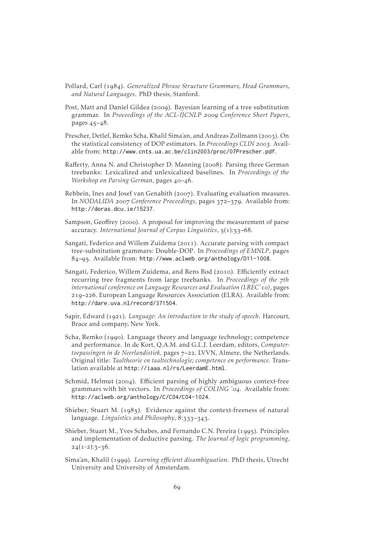- Pollard, Carl (1984). *Generalized Phrase Structure Grammars, Head Grammars, and Natural Languages*. PhD thesis, Stanford.
- Post, Matt and Daniel Gildea (2009). Bayesian learning of a tree substitution grammar. In *Proceedings of the ACL-IJCNLP Conference Short Papers*, pages  $45 - 48$ .
- Prescher, Detlef, Remko Scha, Khalil Sima'an, and Andreas Zollmann (2003). On the statistical consistency of DOP estimators. In *Proceedings CLIN* 2003. Available from: <http://www.cnts.ua.ac.be/clin2003/proc/07Prescher.pdf>.
- Rafferty, Anna N. and Christopher D. Manning (2008). Parsing three German treebanks: Lexicalized and unlexicalized baselines. In *Proceedings of the Workshop on Parsing German*, pages 40-46.
- Rehbein, Ines and Josef van Genabith (2007). Evaluating evaluation measures. In *NODALIDA* 2007 Conference Proceedings, pages 372-379. Available from: <http://doras.dcu.ie/15237>.
- Sampson, Geoffrey (2000). A proposal for improving the measurement of parse accuracy. *International Journal of Corpus Linguistics*,  $\frac{1}{2}(1):$
- Sangati, Federico and Willem Zuidema (2011). Accurate parsing with compact tree-substitution grammars: Double-DOP. In *Proceedings of EMNLP*, pages 84-95. Available from: <http://www.aclweb.org/anthology/D11-1008>.
- Sangati, Federico, Willem Zuidema, and Rens Bod (2010). Efficiently extract recurring tree fragments from large treebanks. In *Proceedings of the th international conference on Language Resources and Evaluation (LREC')*, pages 219-226. European Language Resources Association (ELRA). Available from: <http://dare.uva.nl/record/371504>.
- Sapir, Edward (1921). *Language: An introduction to the study of speech*. Harcourt, Brace and company, New York.
- Scha, Remko (1990). Language theory and language technology; competence and performance. In de Kort, Q.A.M. and G.L.J. Leerdam, editors, *Computertoepassingen in de Neerlandistiek*, pages 7-22. LVVN, Almere, the Netherlands. Original title: *Taaltheorie en taaltechnologie; competence en performance*. Translation available at <http://iaaa.nl/rs/LeerdamE.html>.
- Schmid, Helmut ( $2004$ ). Efficient parsing of highly ambiguous context-free grammars with bit vectors. In *Proceedings of COLING '04*. Available from: <http://aclweb.org/anthology/C/C04/C04-1024>.
- Shieber, Stuart M.  $(1985)$ . Evidence against the context-freeness of natural language. *Linguistics and Philosophy*, 8:333-343.
- Shieber, Stuart M., Yves Schabes, and Fernando C.N. Pereira (1995). Principles and implementation of deductive parsing. *The Journal of logic programming*,  $24(1-2):3-36.$
- Sima'an, Khalil (). *Learning efficient disambiguation*. PhD thesis, Utrecht University and University of Amsterdam.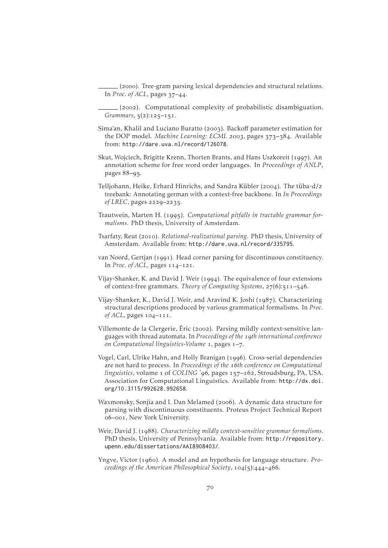(). Tree-gram parsing lexical dependencies and structural relations. In *Proc. of ACL*, pages  $37-44$ .

 $(2002)$ . Computational complexity of probabilistic disambiguation.  $Grammars, 5(2):125-151.$ 

- Sima'an, Khalil and Luciano Buratto (2003). Backoff parameter estimation for the DOP model. *Machine Learning: ECML* 2003, pages 373-384. Available from: <http://dare.uva.nl/record/126078>.
- Skut, Wojciech, Brigitte Krenn, Thorten Brants, and Hans Uszkoreit (1997). An annotation scheme for free word order languages. In *Proceedings of ANLP*, pages 88-95.
- Telljohann, Heike, Erhard Hinrichs, and Sandra Kübler (2004). The tüba-d/z treebank: Annotating german with a context-free backbone. In *In Proceedings of LREC*, pages 2229-2235.
- Trautwein, Marten H. (1995). *Computational pitfalls in tractable grammar formalisms*. PhD thesis, University of Amsterdam.
- Tsarfaty, Reut (2010). *Relational-realizational parsing*. PhD thesis, University of Amsterdam. Available from: <http://dare.uva.nl/record/335795>.
- van Noord, Gertjan (1991). Head corner parsing for discontinuous constituency. In *Proc. of ACL*, pages 114-121.
- Vijay-Shanker, K. and David J. Weir (1994). The equivalence of four extensions of context-free grammars. *Theory of Computing Systems*, 27(6):511-546.
- Vijay-Shanker, K., David J. Weir, and Aravind K. Joshi (1987). Characterizing structural descriptions produced by various grammatical formalisms. In *Proc. of ACL*, pages 104-111.
- Villemonte de la Clergerie, Éric (2002). Parsing mildly context-sensitive languages with thread automata. In *Proceedings of the th international conference* on Computational linguistics-Volume 1, pages 1-7.
- Vogel, Carl, Ulrike Hahn, and Holly Branigan (1996). Cross-serial dependencies are not hard to process. In *Proceedings of the 16th conference on Computational* linguistics, volume 1 of *COLING* '96, pages 157-162, Stroudsburg, PA, USA. Association for Computational Linguistics. Available from: [http://dx.doi.](http://dx.doi.org/10.3115/992628.992658) [org/10.3115/992628.992658](http://dx.doi.org/10.3115/992628.992658).
- Waxmonsky, Sonjia and I. Dan Melamed (2006). A dynamic data structure for parsing with discontinuous constituents. Proteus Project Technical Report –, New York University.
- Weir, David J. (1988). *Characterizing mildly context-sensitive grammar formalisms*. PhD thesis, University of Pennsylvania. Available from: [http://repository.](http://repository.upenn.edu/dissertations/AAI8908403/) [upenn.edu/dissertations/AAI8908403/](http://repository.upenn.edu/dissertations/AAI8908403/).
- Yngve, Victor (1960). A model and an hypothesis for language structure. *Proceedings of the American Philosophical Society*,  $104(5):444-466$ .